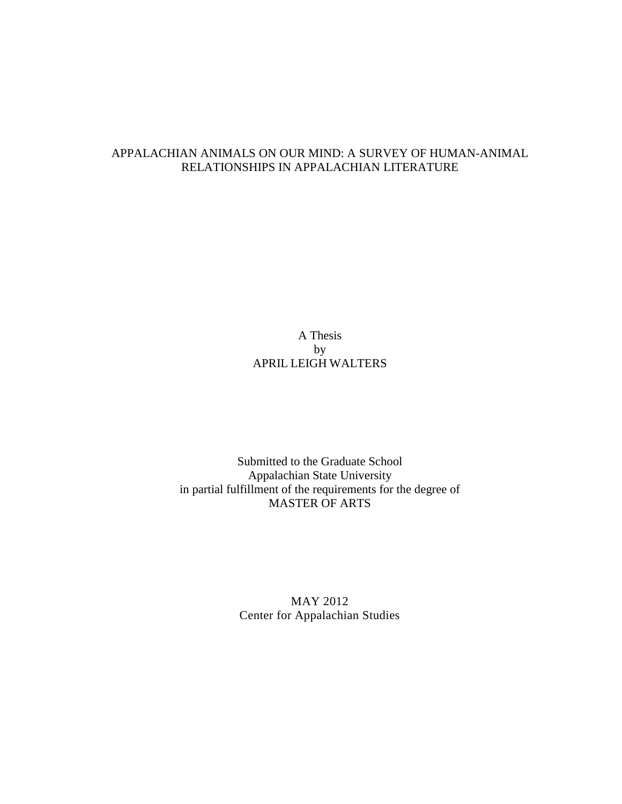## APPALACHIAN ANIMALS ON OUR MIND: A SURVEY OF HUMAN-ANIMAL RELATIONSHIPS IN APPALACHIAN LITERATURE

A Thesis by APRIL LEIGH WALTERS

Submitted to the Graduate School Appalachian State University in partial fulfillment of the requirements for the degree of MASTER OF ARTS

> MAY 2012 Center for Appalachian Studies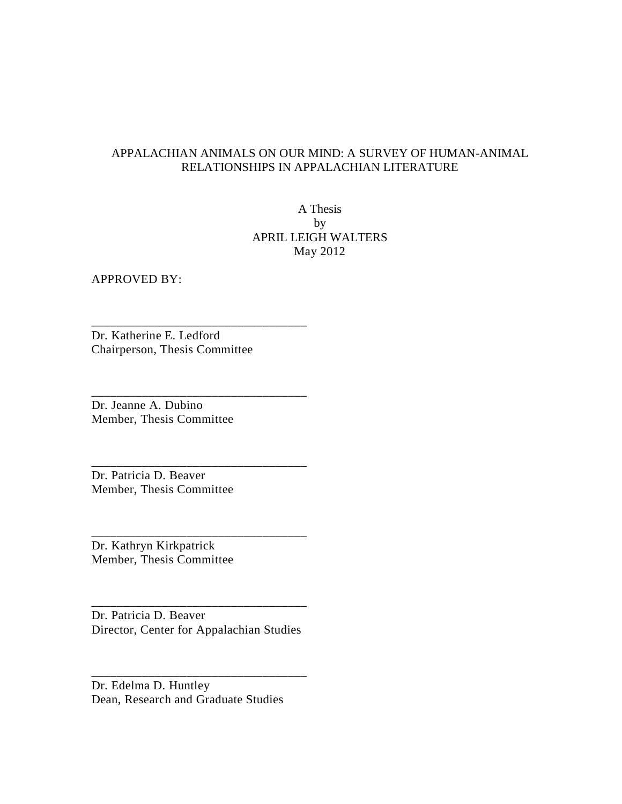## APPALACHIAN ANIMALS ON OUR MIND: A SURVEY OF HUMAN-ANIMAL RELATIONSHIPS IN APPALACHIAN LITERATURE

A Thesis by APRIL LEIGH WALTERS May 2012

APPROVED BY:

Dr. Katherine E. Ledford Chairperson, Thesis Committee

\_\_\_\_\_\_\_\_\_\_\_\_\_\_\_\_\_\_\_\_\_\_\_\_\_\_\_\_\_\_\_\_\_\_

\_\_\_\_\_\_\_\_\_\_\_\_\_\_\_\_\_\_\_\_\_\_\_\_\_\_\_\_\_\_\_\_\_\_

\_\_\_\_\_\_\_\_\_\_\_\_\_\_\_\_\_\_\_\_\_\_\_\_\_\_\_\_\_\_\_\_\_\_

\_\_\_\_\_\_\_\_\_\_\_\_\_\_\_\_\_\_\_\_\_\_\_\_\_\_\_\_\_\_\_\_\_\_

Dr. Jeanne A. Dubino Member, Thesis Committee

Dr. Patricia D. Beaver Member, Thesis Committee

Dr. Kathryn Kirkpatrick Member, Thesis Committee

Dr. Patricia D. Beaver Director, Center for Appalachian Studies

\_\_\_\_\_\_\_\_\_\_\_\_\_\_\_\_\_\_\_\_\_\_\_\_\_\_\_\_\_\_\_\_\_\_

\_\_\_\_\_\_\_\_\_\_\_\_\_\_\_\_\_\_\_\_\_\_\_\_\_\_\_\_\_\_\_\_\_\_

Dr. Edelma D. Huntley Dean, Research and Graduate Studies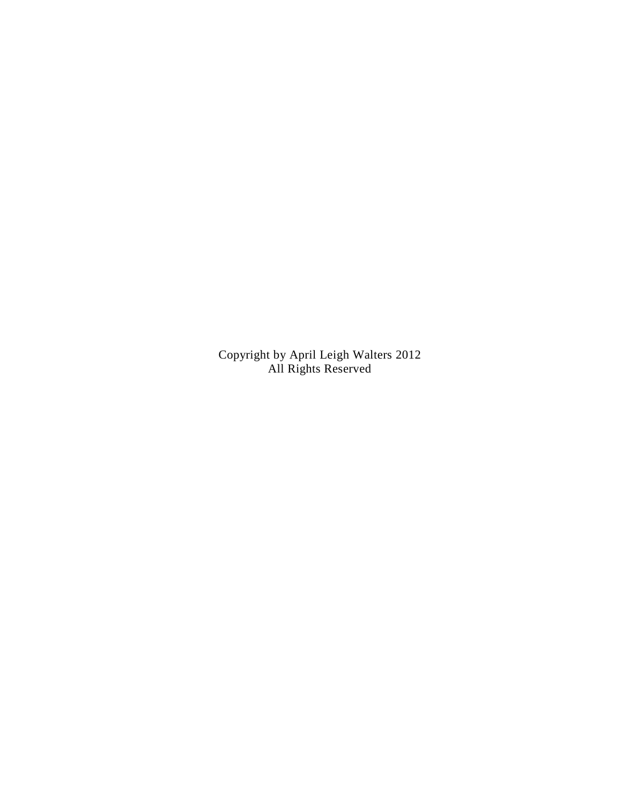Copyright by April Leigh Walters 2012 All Rights Reserved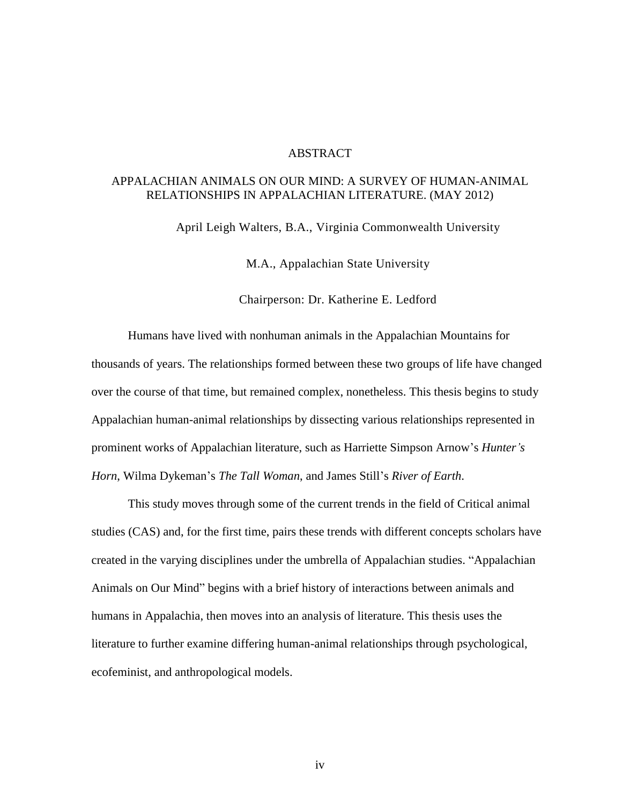#### **ABSTRACT**

## APPALACHIAN ANIMALS ON OUR MIND: A SURVEY OF HUMAN-ANIMAL RELATIONSHIPS IN APPALACHIAN LITERATURE. (MAY 2012)

April Leigh Walters, B.A., Virginia Commonwealth University

M.A., Appalachian State University

Chairperson: Dr. Katherine E. Ledford

Humans have lived with nonhuman animals in the Appalachian Mountains for thousands of years. The relationships formed between these two groups of life have changed over the course of that time, but remained complex, nonetheless. This thesis begins to study Appalachian human-animal relationships by dissecting various relationships represented in prominent works of Appalachian literature, such as Harriette Simpson Arnow's *Hunter's Horn*, Wilma Dykeman's *The Tall Woman*, and James Still's *River of Earth*.

This study moves through some of the current trends in the field of Critical animal studies (CAS) and, for the first time, pairs these trends with different concepts scholars have created in the varying disciplines under the umbrella of Appalachian studies. "Appalachian Animals on Our Mind" begins with a brief history of interactions between animals and humans in Appalachia, then moves into an analysis of literature. This thesis uses the literature to further examine differing human-animal relationships through psychological, ecofeminist, and anthropological models.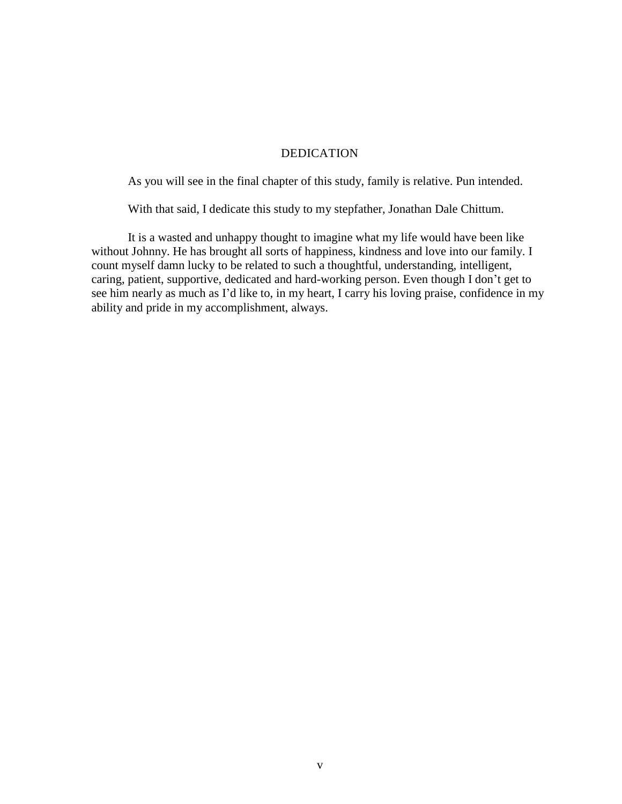### DEDICATION

As you will see in the final chapter of this study, family is relative. Pun intended.

With that said, I dedicate this study to my stepfather, Jonathan Dale Chittum.

It is a wasted and unhappy thought to imagine what my life would have been like without Johnny. He has brought all sorts of happiness, kindness and love into our family. I count myself damn lucky to be related to such a thoughtful, understanding, intelligent, caring, patient, supportive, dedicated and hard-working person. Even though I don't get to see him nearly as much as I'd like to, in my heart, I carry his loving praise, confidence in my ability and pride in my accomplishment, always.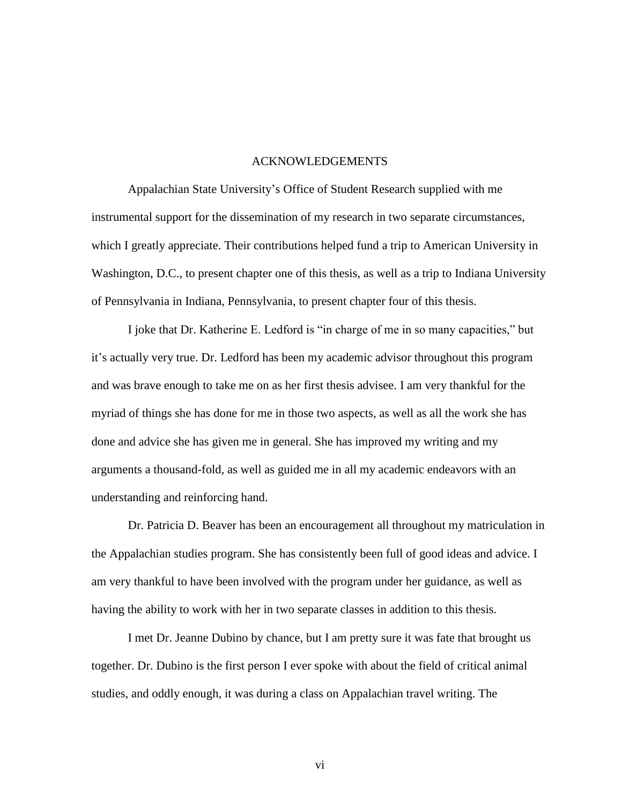#### ACKNOWLEDGEMENTS

Appalachian State University's Office of Student Research supplied with me instrumental support for the dissemination of my research in two separate circumstances, which I greatly appreciate. Their contributions helped fund a trip to American University in Washington, D.C., to present chapter one of this thesis, as well as a trip to Indiana University of Pennsylvania in Indiana, Pennsylvania, to present chapter four of this thesis.

I joke that Dr. Katherine E. Ledford is "in charge of me in so many capacities," but it's actually very true. Dr. Ledford has been my academic advisor throughout this program and was brave enough to take me on as her first thesis advisee. I am very thankful for the myriad of things she has done for me in those two aspects, as well as all the work she has done and advice she has given me in general. She has improved my writing and my arguments a thousand-fold, as well as guided me in all my academic endeavors with an understanding and reinforcing hand.

Dr. Patricia D. Beaver has been an encouragement all throughout my matriculation in the Appalachian studies program. She has consistently been full of good ideas and advice. I am very thankful to have been involved with the program under her guidance, as well as having the ability to work with her in two separate classes in addition to this thesis.

I met Dr. Jeanne Dubino by chance, but I am pretty sure it was fate that brought us together. Dr. Dubino is the first person I ever spoke with about the field of critical animal studies, and oddly enough, it was during a class on Appalachian travel writing. The

vi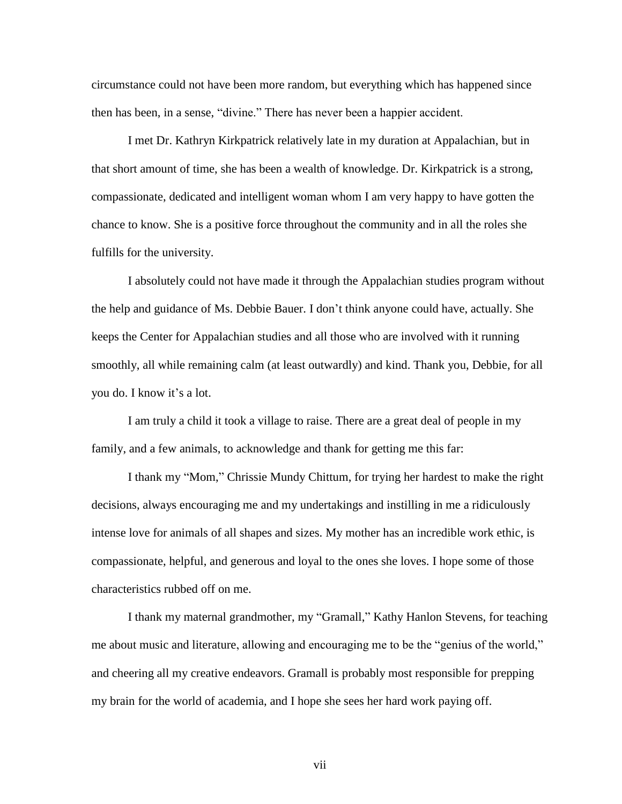circumstance could not have been more random, but everything which has happened since then has been, in a sense, "divine." There has never been a happier accident.

I met Dr. Kathryn Kirkpatrick relatively late in my duration at Appalachian, but in that short amount of time, she has been a wealth of knowledge. Dr. Kirkpatrick is a strong, compassionate, dedicated and intelligent woman whom I am very happy to have gotten the chance to know. She is a positive force throughout the community and in all the roles she fulfills for the university.

I absolutely could not have made it through the Appalachian studies program without the help and guidance of Ms. Debbie Bauer. I don't think anyone could have, actually. She keeps the Center for Appalachian studies and all those who are involved with it running smoothly, all while remaining calm (at least outwardly) and kind. Thank you, Debbie, for all you do. I know it's a lot.

I am truly a child it took a village to raise. There are a great deal of people in my family, and a few animals, to acknowledge and thank for getting me this far:

I thank my "Mom," Chrissie Mundy Chittum, for trying her hardest to make the right decisions, always encouraging me and my undertakings and instilling in me a ridiculously intense love for animals of all shapes and sizes. My mother has an incredible work ethic, is compassionate, helpful, and generous and loyal to the ones she loves. I hope some of those characteristics rubbed off on me.

I thank my maternal grandmother, my "Gramall," Kathy Hanlon Stevens, for teaching me about music and literature, allowing and encouraging me to be the "genius of the world," and cheering all my creative endeavors. Gramall is probably most responsible for prepping my brain for the world of academia, and I hope she sees her hard work paying off.

vii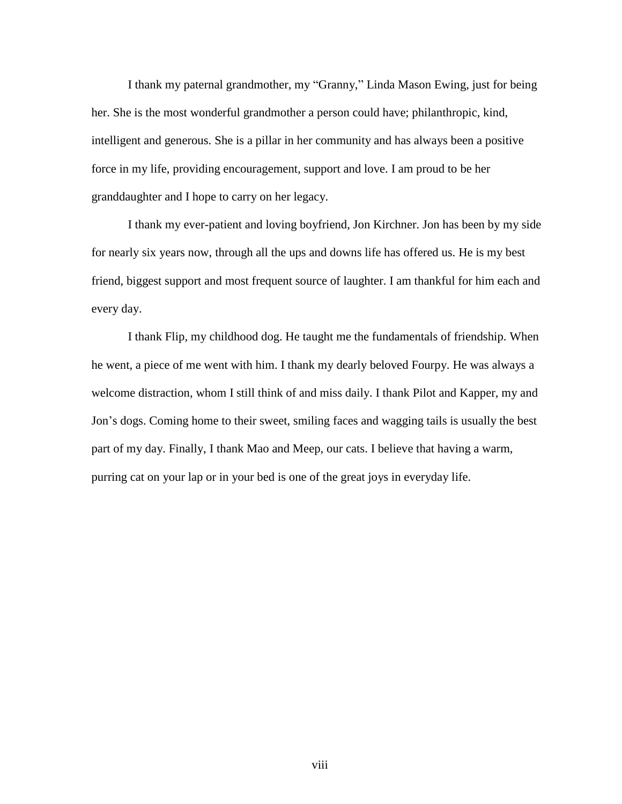I thank my paternal grandmother, my "Granny," Linda Mason Ewing, just for being her. She is the most wonderful grandmother a person could have; philanthropic, kind, intelligent and generous. She is a pillar in her community and has always been a positive force in my life, providing encouragement, support and love. I am proud to be her granddaughter and I hope to carry on her legacy.

I thank my ever-patient and loving boyfriend, Jon Kirchner. Jon has been by my side for nearly six years now, through all the ups and downs life has offered us. He is my best friend, biggest support and most frequent source of laughter. I am thankful for him each and every day.

I thank Flip, my childhood dog. He taught me the fundamentals of friendship. When he went, a piece of me went with him. I thank my dearly beloved Fourpy. He was always a welcome distraction, whom I still think of and miss daily. I thank Pilot and Kapper, my and Jon's dogs. Coming home to their sweet, smiling faces and wagging tails is usually the best part of my day. Finally, I thank Mao and Meep, our cats. I believe that having a warm, purring cat on your lap or in your bed is one of the great joys in everyday life.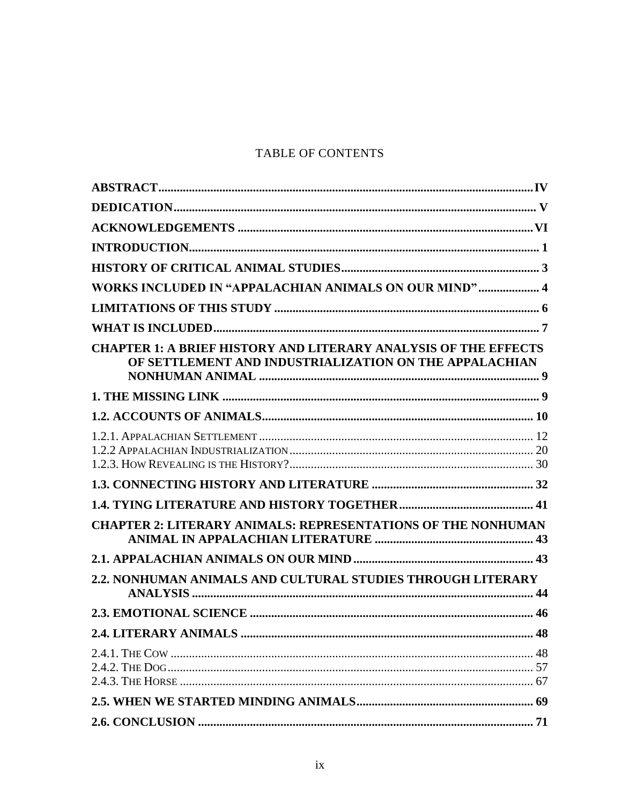## TABLE OF CONTENTS

| WORKS INCLUDED IN "APPALACHIAN ANIMALS ON OUR MIND" 4                                                                            |    |
|----------------------------------------------------------------------------------------------------------------------------------|----|
|                                                                                                                                  |    |
|                                                                                                                                  |    |
| <b>CHAPTER 1: A BRIEF HISTORY AND LITERARY ANALYSIS OF THE EFFECTS</b><br>OF SETTLEMENT AND INDUSTRIALIZATION ON THE APPALACHIAN |    |
|                                                                                                                                  |    |
|                                                                                                                                  |    |
|                                                                                                                                  |    |
|                                                                                                                                  |    |
|                                                                                                                                  |    |
|                                                                                                                                  |    |
| <b>CHAPTER 2: LITERARY ANIMALS: REPRESENTATIONS OF THE NONHUMAN</b>                                                              |    |
|                                                                                                                                  |    |
| 2.2. NONHUMAN ANIMALS AND CULTURAL STUDIES THROUGH LITERARY                                                                      |    |
|                                                                                                                                  |    |
| <b>2.4. LITERARY ANIMALS</b>                                                                                                     | 48 |
|                                                                                                                                  |    |
|                                                                                                                                  |    |
|                                                                                                                                  |    |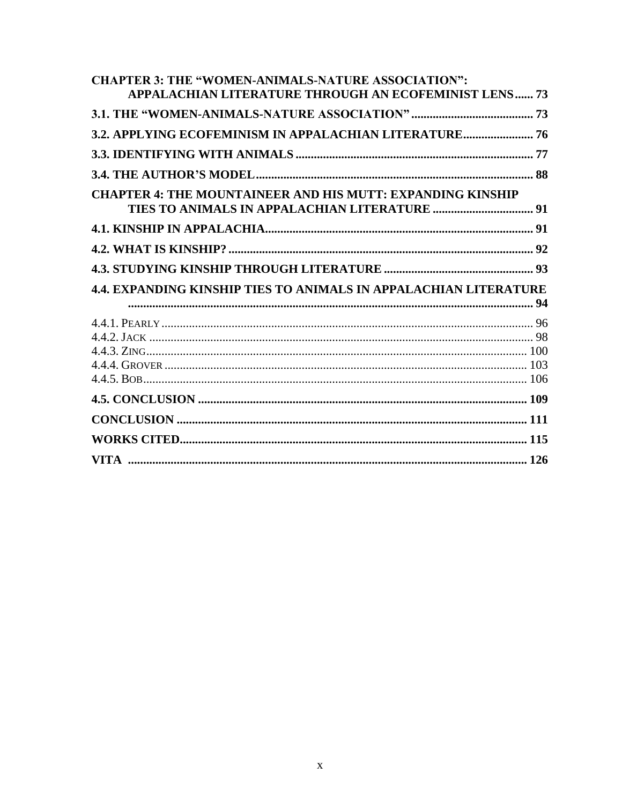| <b>CHAPTER 3: THE "WOMEN-ANIMALS-NATURE ASSOCIATION":</b>         |  |
|-------------------------------------------------------------------|--|
| <b>APPALACHIAN LITERATURE THROUGH AN ECOFEMINIST LENS 73</b>      |  |
|                                                                   |  |
| 3.2. APPLYING ECOFEMINISM IN APPALACHIAN LITERATURE 76            |  |
|                                                                   |  |
|                                                                   |  |
| <b>CHAPTER 4: THE MOUNTAINEER AND HIS MUTT: EXPANDING KINSHIP</b> |  |
|                                                                   |  |
|                                                                   |  |
|                                                                   |  |
| 4.4. EXPANDING KINSHIP TIES TO ANIMALS IN APPALACHIAN LITERATURE  |  |
|                                                                   |  |
|                                                                   |  |
|                                                                   |  |
|                                                                   |  |
|                                                                   |  |
|                                                                   |  |
|                                                                   |  |
|                                                                   |  |
|                                                                   |  |
|                                                                   |  |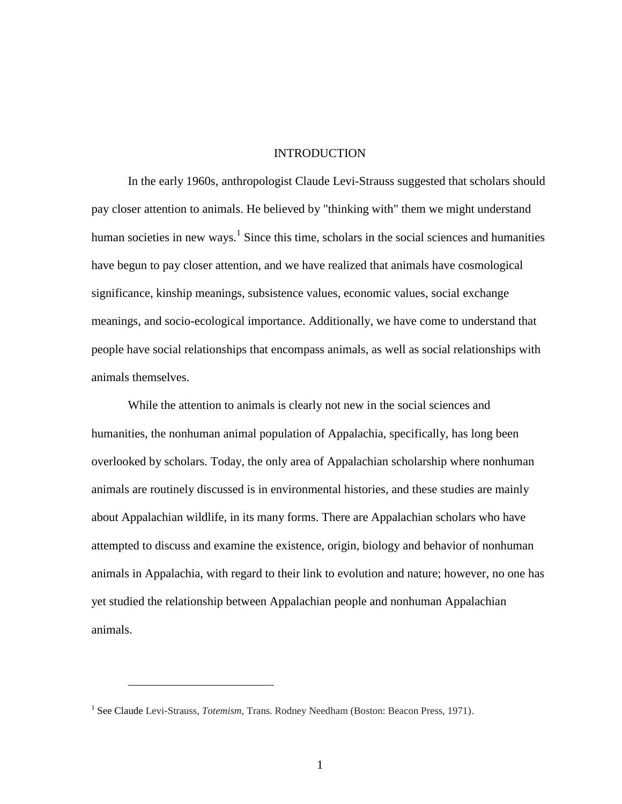#### **INTRODUCTION**

In the early 1960s, anthropologist Claude Levi-Strauss suggested that scholars should pay closer attention to animals. He believed by "thinking with" them we might understand human societies in new ways.<sup>1</sup> Since this time, scholars in the social sciences and humanities have begun to pay closer attention, and we have realized that animals have cosmological significance, kinship meanings, subsistence values, economic values, social exchange meanings, and socio-ecological importance. Additionally, we have come to understand that people have social relationships that encompass animals, as well as social relationships with animals themselves.

While the attention to animals is clearly not new in the social sciences and humanities, the nonhuman animal population of Appalachia, specifically, has long been overlooked by scholars. Today, the only area of Appalachian scholarship where nonhuman animals are routinely discussed is in environmental histories, and these studies are mainly about Appalachian wildlife, in its many forms. There are Appalachian scholars who have attempted to discuss and examine the existence, origin, biology and behavior of nonhuman animals in Appalachia, with regard to their link to evolution and nature; however, no one has yet studied the relationship between Appalachian people and nonhuman Appalachian animals.

 $\overline{a}$ 

<sup>&</sup>lt;sup>1</sup> See Claude Levi-Strauss, *Totemism*, Trans. Rodney Needham (Boston: Beacon Press, 1971).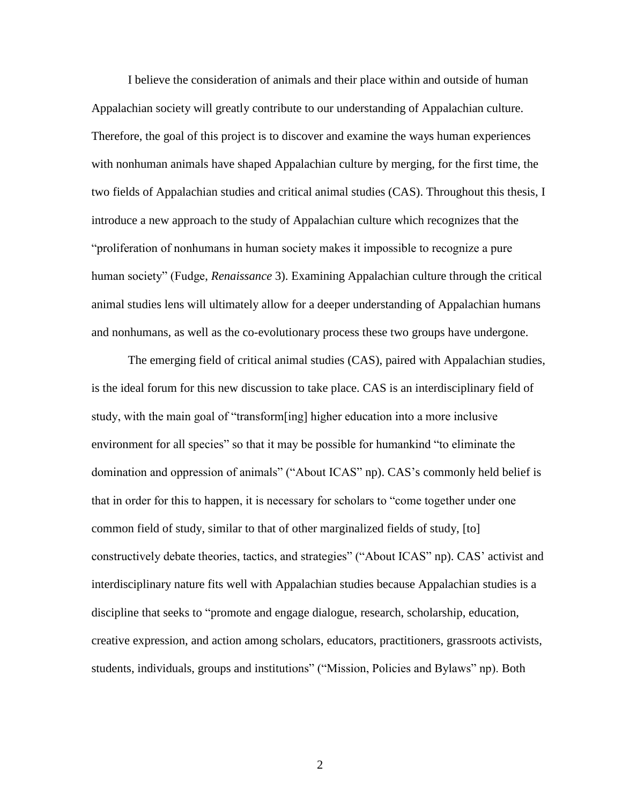I believe the consideration of animals and their place within and outside of human Appalachian society will greatly contribute to our understanding of Appalachian culture. Therefore, the goal of this project is to discover and examine the ways human experiences with nonhuman animals have shaped Appalachian culture by merging, for the first time, the two fields of Appalachian studies and critical animal studies (CAS). Throughout this thesis, I introduce a new approach to the study of Appalachian culture which recognizes that the "proliferation of nonhumans in human society makes it impossible to recognize a pure human society" (Fudge, *Renaissance* 3). Examining Appalachian culture through the critical animal studies lens will ultimately allow for a deeper understanding of Appalachian humans and nonhumans, as well as the co-evolutionary process these two groups have undergone.

The emerging field of critical animal studies (CAS), paired with Appalachian studies, is the ideal forum for this new discussion to take place. CAS is an interdisciplinary field of study, with the main goal of "transform[ing] higher education into a more inclusive environment for all species" so that it may be possible for humankind "to eliminate the domination and oppression of animals" ("About ICAS" np). CAS's commonly held belief is that in order for this to happen, it is necessary for scholars to "come together under one common field of study, similar to that of other marginalized fields of study, [to] constructively debate theories, tactics, and strategies" ("About ICAS" np). CAS' activist and interdisciplinary nature fits well with Appalachian studies because Appalachian studies is a discipline that seeks to "promote and engage dialogue, research, scholarship, education, creative expression, and action among scholars, educators, practitioners, grassroots activists, students, individuals, groups and institutions" ("Mission, Policies and Bylaws" np). Both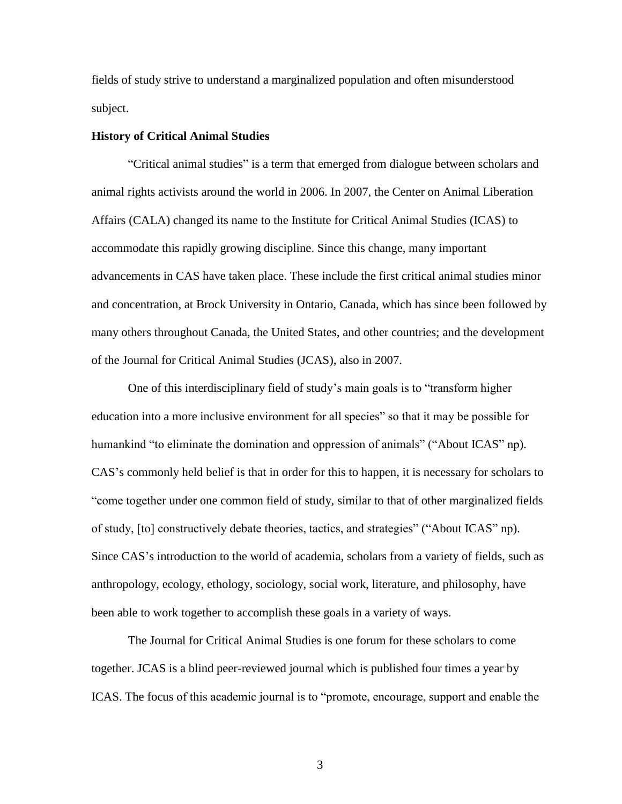fields of study strive to understand a marginalized population and often misunderstood subject.

#### **History of Critical Animal Studies**

"Critical animal studies" is a term that emerged from dialogue between scholars and animal rights activists around the world in 2006. In 2007, the Center on Animal Liberation Affairs (CALA) changed its name to the Institute for Critical Animal Studies (ICAS) to accommodate this rapidly growing discipline. Since this change, many important advancements in CAS have taken place. These include the first critical animal studies minor and concentration, at Brock University in Ontario, Canada, which has since been followed by many others throughout Canada, the United States, and other countries; and the development of the Journal for Critical Animal Studies (JCAS), also in 2007.

One of this interdisciplinary field of study's main goals is to "transform higher education into a more inclusive environment for all species" so that it may be possible for humankind "to eliminate the domination and oppression of animals" ("About ICAS" np). CAS's commonly held belief is that in order for this to happen, it is necessary for scholars to "come together under one common field of study, similar to that of other marginalized fields of study, [to] constructively debate theories, tactics, and strategies" ("About ICAS" np). Since CAS's introduction to the world of academia, scholars from a variety of fields, such as anthropology, ecology, ethology, sociology, social work, literature, and philosophy, have been able to work together to accomplish these goals in a variety of ways.

The Journal for Critical Animal Studies is one forum for these scholars to come together. JCAS is a blind peer-reviewed journal which is published four times a year by ICAS. The focus of this academic journal is to "promote, encourage, support and enable the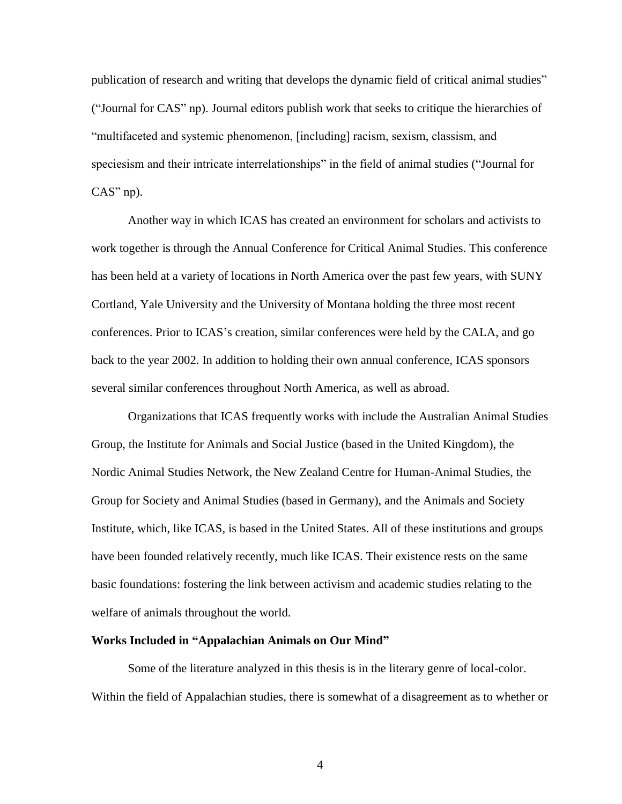publication of research and writing that develops the dynamic field of critical animal studies" ("Journal for CAS" np). Journal editors publish work that seeks to critique the hierarchies of "multifaceted and systemic phenomenon, [including] racism, sexism, classism, and speciesism and their intricate interrelationships" in the field of animal studies ("Journal for CAS" np).

Another way in which ICAS has created an environment for scholars and activists to work together is through the Annual Conference for Critical Animal Studies. This conference has been held at a variety of locations in North America over the past few years, with SUNY Cortland, Yale University and the University of Montana holding the three most recent conferences. Prior to ICAS's creation, similar conferences were held by the CALA, and go back to the year 2002. In addition to holding their own annual conference, ICAS sponsors several similar conferences throughout North America, as well as abroad.

Organizations that ICAS frequently works with include the Australian Animal Studies Group, the Institute for Animals and Social Justice (based in the United Kingdom), the Nordic Animal Studies Network, the New Zealand Centre for Human-Animal Studies, the Group for Society and Animal Studies (based in Germany), and the Animals and Society Institute, which, like ICAS, is based in the United States. All of these institutions and groups have been founded relatively recently, much like ICAS. Their existence rests on the same basic foundations: fostering the link between activism and academic studies relating to the welfare of animals throughout the world.

#### **Works Included in "Appalachian Animals on Our Mind"**

Some of the literature analyzed in this thesis is in the literary genre of local-color. Within the field of Appalachian studies, there is somewhat of a disagreement as to whether or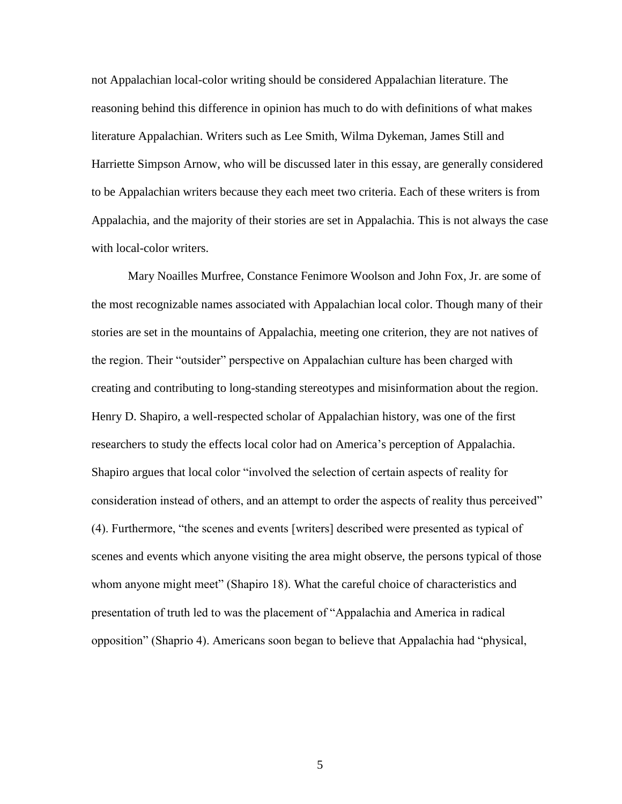not Appalachian local-color writing should be considered Appalachian literature. The reasoning behind this difference in opinion has much to do with definitions of what makes literature Appalachian. Writers such as Lee Smith, Wilma Dykeman, James Still and Harriette Simpson Arnow, who will be discussed later in this essay, are generally considered to be Appalachian writers because they each meet two criteria. Each of these writers is from Appalachia, and the majority of their stories are set in Appalachia. This is not always the case with local-color writers.

Mary Noailles Murfree, Constance Fenimore Woolson and John Fox, Jr. are some of the most recognizable names associated with Appalachian local color. Though many of their stories are set in the mountains of Appalachia, meeting one criterion, they are not natives of the region. Their "outsider" perspective on Appalachian culture has been charged with creating and contributing to long-standing stereotypes and misinformation about the region. Henry D. Shapiro, a well-respected scholar of Appalachian history, was one of the first researchers to study the effects local color had on America's perception of Appalachia. Shapiro argues that local color "involved the selection of certain aspects of reality for consideration instead of others, and an attempt to order the aspects of reality thus perceived" (4). Furthermore, "the scenes and events [writers] described were presented as typical of scenes and events which anyone visiting the area might observe, the persons typical of those whom anyone might meet" (Shapiro 18). What the careful choice of characteristics and presentation of truth led to was the placement of "Appalachia and America in radical opposition" (Shaprio 4). Americans soon began to believe that Appalachia had "physical,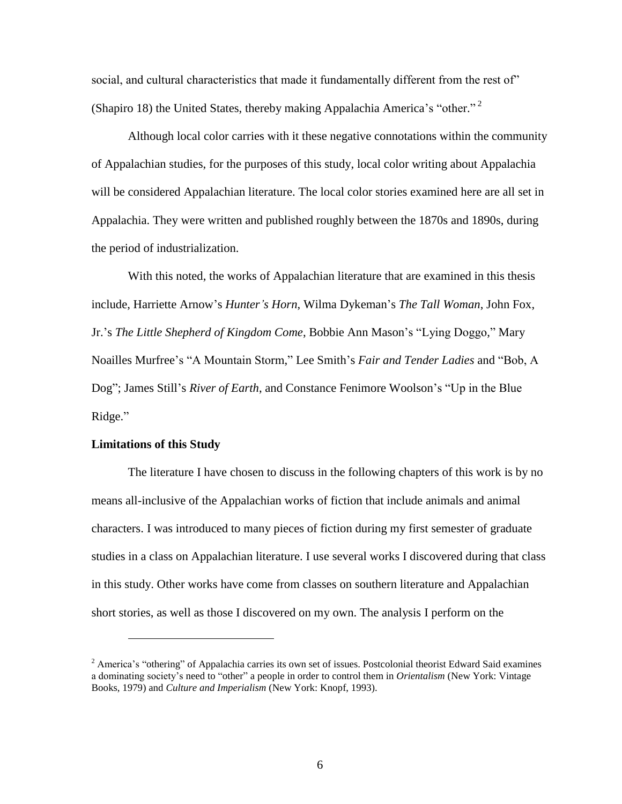social, and cultural characteristics that made it fundamentally different from the rest of" (Shapiro 18) the United States, thereby making Appalachia America's "other." 2

Although local color carries with it these negative connotations within the community of Appalachian studies, for the purposes of this study, local color writing about Appalachia will be considered Appalachian literature. The local color stories examined here are all set in Appalachia. They were written and published roughly between the 1870s and 1890s, during the period of industrialization.

With this noted, the works of Appalachian literature that are examined in this thesis include, Harriette Arnow's *Hunter's Horn*, Wilma Dykeman's *The Tall Woman*, John Fox, Jr.'s *The Little Shepherd of Kingdom Come*, Bobbie Ann Mason's "Lying Doggo," Mary Noailles Murfree's "A Mountain Storm," Lee Smith's *Fair and Tender Ladies* and "Bob, A Dog"; James Still's *River of Earth*, and Constance Fenimore Woolson's "Up in the Blue Ridge."

#### **Limitations of this Study**

 $\overline{a}$ 

The literature I have chosen to discuss in the following chapters of this work is by no means all-inclusive of the Appalachian works of fiction that include animals and animal characters. I was introduced to many pieces of fiction during my first semester of graduate studies in a class on Appalachian literature. I use several works I discovered during that class in this study. Other works have come from classes on southern literature and Appalachian short stories, as well as those I discovered on my own. The analysis I perform on the

 $2$  America's "othering" of Appalachia carries its own set of issues. Postcolonial theorist Edward Said examines a dominating society's need to "other" a people in order to control them in *Orientalism* (New York: Vintage Books, 1979) and *Culture and Imperialism* (New York: Knopf, 1993).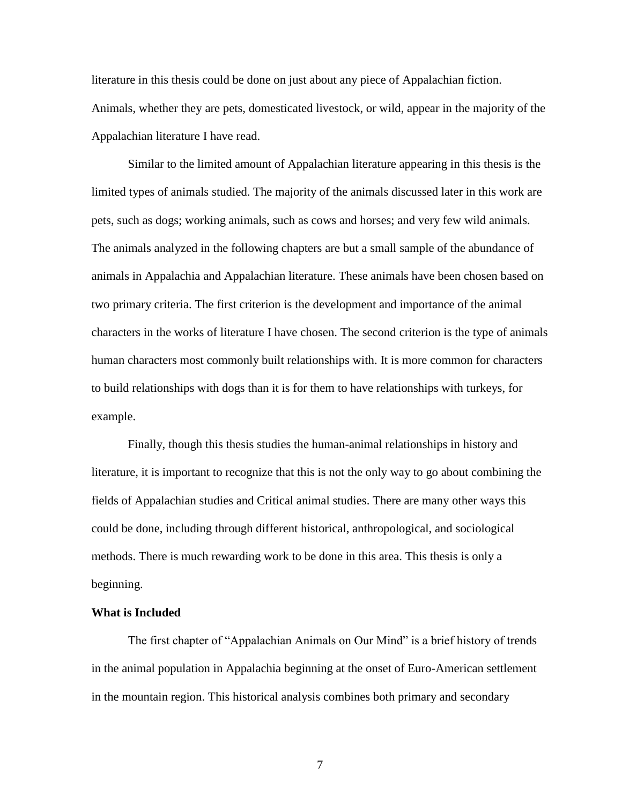literature in this thesis could be done on just about any piece of Appalachian fiction. Animals, whether they are pets, domesticated livestock, or wild, appear in the majority of the Appalachian literature I have read.

Similar to the limited amount of Appalachian literature appearing in this thesis is the limited types of animals studied. The majority of the animals discussed later in this work are pets, such as dogs; working animals, such as cows and horses; and very few wild animals. The animals analyzed in the following chapters are but a small sample of the abundance of animals in Appalachia and Appalachian literature. These animals have been chosen based on two primary criteria. The first criterion is the development and importance of the animal characters in the works of literature I have chosen. The second criterion is the type of animals human characters most commonly built relationships with. It is more common for characters to build relationships with dogs than it is for them to have relationships with turkeys, for example.

Finally, though this thesis studies the human-animal relationships in history and literature, it is important to recognize that this is not the only way to go about combining the fields of Appalachian studies and Critical animal studies. There are many other ways this could be done, including through different historical, anthropological, and sociological methods. There is much rewarding work to be done in this area. This thesis is only a beginning.

#### **What is Included**

The first chapter of "Appalachian Animals on Our Mind" is a brief history of trends in the animal population in Appalachia beginning at the onset of Euro-American settlement in the mountain region. This historical analysis combines both primary and secondary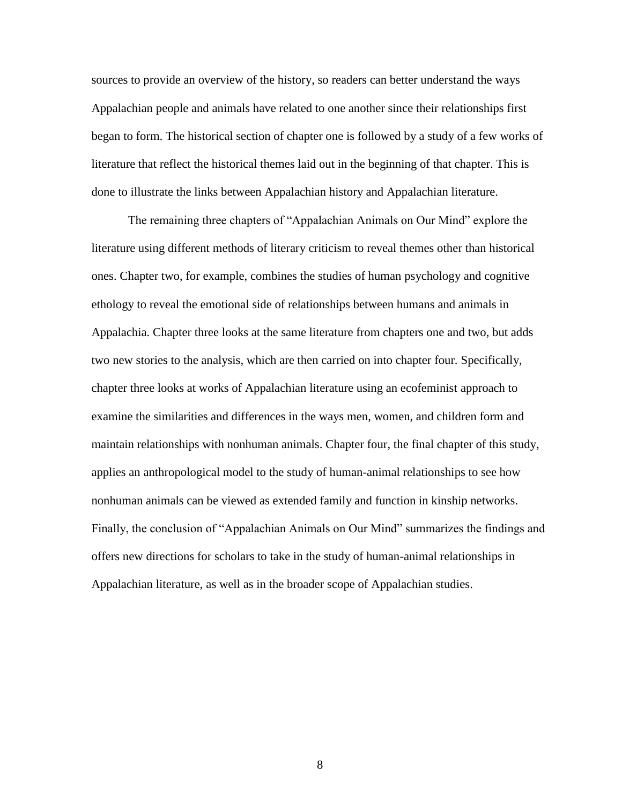sources to provide an overview of the history, so readers can better understand the ways Appalachian people and animals have related to one another since their relationships first began to form. The historical section of chapter one is followed by a study of a few works of literature that reflect the historical themes laid out in the beginning of that chapter. This is done to illustrate the links between Appalachian history and Appalachian literature.

The remaining three chapters of "Appalachian Animals on Our Mind" explore the literature using different methods of literary criticism to reveal themes other than historical ones. Chapter two, for example, combines the studies of human psychology and cognitive ethology to reveal the emotional side of relationships between humans and animals in Appalachia. Chapter three looks at the same literature from chapters one and two, but adds two new stories to the analysis, which are then carried on into chapter four. Specifically, chapter three looks at works of Appalachian literature using an ecofeminist approach to examine the similarities and differences in the ways men, women, and children form and maintain relationships with nonhuman animals. Chapter four, the final chapter of this study, applies an anthropological model to the study of human-animal relationships to see how nonhuman animals can be viewed as extended family and function in kinship networks. Finally, the conclusion of "Appalachian Animals on Our Mind" summarizes the findings and offers new directions for scholars to take in the study of human-animal relationships in Appalachian literature, as well as in the broader scope of Appalachian studies.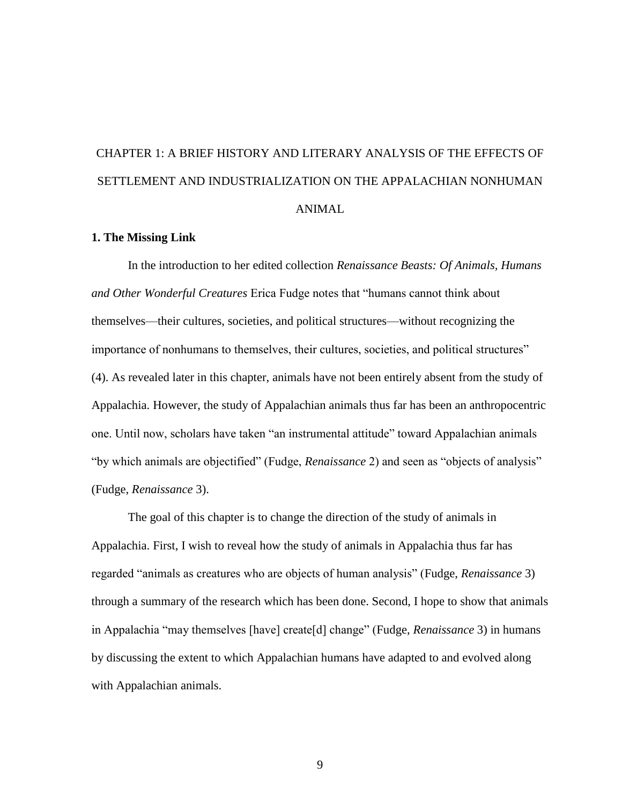# CHAPTER 1: A BRIEF HISTORY AND LITERARY ANALYSIS OF THE EFFECTS OF SETTLEMENT AND INDUSTRIALIZATION ON THE APPALACHIAN NONHUMAN ANIMAL

#### **1. The Missing Link**

In the introduction to her edited collection *Renaissance Beasts: Of Animals, Humans and Other Wonderful Creatures* Erica Fudge notes that "humans cannot think about themselves—their cultures, societies, and political structures—without recognizing the importance of nonhumans to themselves, their cultures, societies, and political structures" (4). As revealed later in this chapter, animals have not been entirely absent from the study of Appalachia. However, the study of Appalachian animals thus far has been an anthropocentric one. Until now, scholars have taken "an instrumental attitude" toward Appalachian animals "by which animals are objectified" (Fudge, *Renaissance* 2) and seen as "objects of analysis" (Fudge, *Renaissance* 3).

The goal of this chapter is to change the direction of the study of animals in Appalachia. First, I wish to reveal how the study of animals in Appalachia thus far has regarded "animals as creatures who are objects of human analysis" (Fudge, *Renaissance* 3) through a summary of the research which has been done. Second, I hope to show that animals in Appalachia "may themselves [have] create[d] change" (Fudge, *Renaissance* 3) in humans by discussing the extent to which Appalachian humans have adapted to and evolved along with Appalachian animals.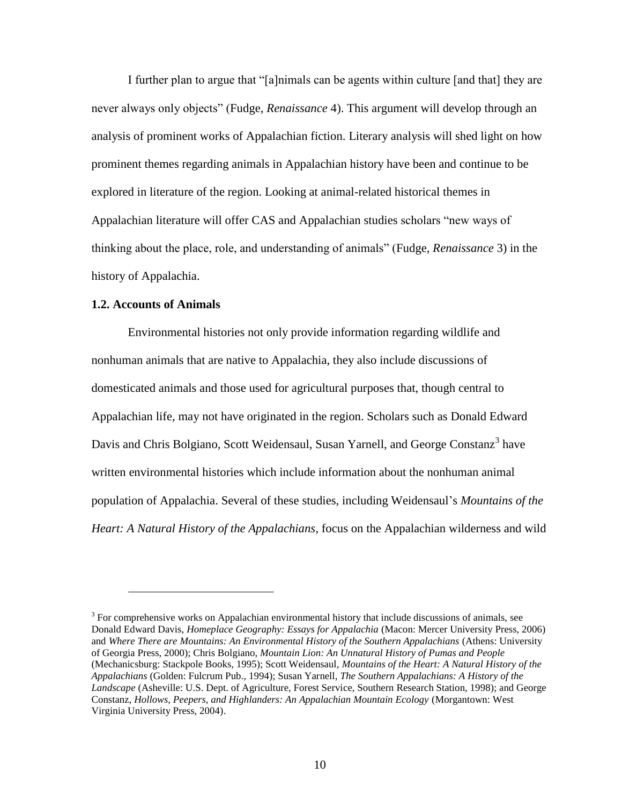I further plan to argue that "[a]nimals can be agents within culture [and that] they are never always only objects" (Fudge, *Renaissance* 4). This argument will develop through an analysis of prominent works of Appalachian fiction. Literary analysis will shed light on how prominent themes regarding animals in Appalachian history have been and continue to be explored in literature of the region. Looking at animal-related historical themes in Appalachian literature will offer CAS and Appalachian studies scholars "new ways of thinking about the place, role, and understanding of animals" (Fudge, *Renaissance* 3) in the history of Appalachia.

#### **1.2. Accounts of Animals**

 $\overline{a}$ 

Environmental histories not only provide information regarding wildlife and nonhuman animals that are native to Appalachia, they also include discussions of domesticated animals and those used for agricultural purposes that, though central to Appalachian life, may not have originated in the region. Scholars such as Donald Edward Davis and Chris Bolgiano, Scott Weidensaul, Susan Yarnell, and George Constanz<sup>3</sup> have written environmental histories which include information about the nonhuman animal population of Appalachia. Several of these studies, including Weidensaul's *Mountains of the Heart: A Natural History of the Appalachians*, focus on the Appalachian wilderness and wild

 $3$  For comprehensive works on Appalachian environmental history that include discussions of animals, see Donald Edward Davis, *Homeplace Geography: Essays for Appalachia* (Macon: Mercer University Press, 2006) and *Where There are Mountains: An Environmental History of the Southern Appalachians* (Athens: University of Georgia Press, 2000); Chris Bolgiano, *Mountain Lion: An Unnatural History of Pumas and People* (Mechanicsburg: Stackpole Books, 1995); Scott Weidensaul, *Mountains of the Heart: A Natural History of the Appalachians* (Golden: Fulcrum Pub., 1994); Susan Yarnell, *The Southern Appalachians: A History of the Landscape* (Asheville: U.S. Dept. of Agriculture, Forest Service, Southern Research Station, 1998); and George Constanz, *Hollows, Peepers, and Highlanders: An Appalachian Mountain Ecology* (Morgantown: West Virginia University Press, 2004).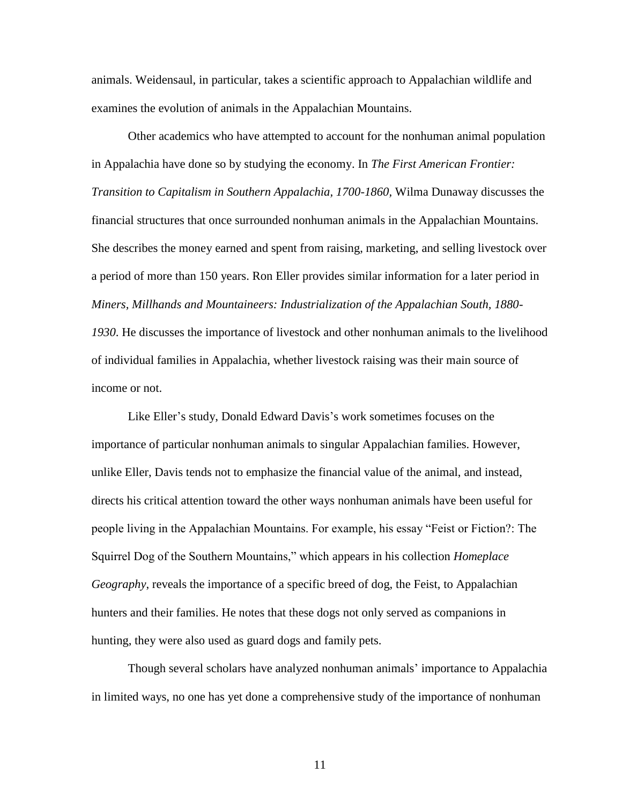animals. Weidensaul, in particular, takes a scientific approach to Appalachian wildlife and examines the evolution of animals in the Appalachian Mountains.

Other academics who have attempted to account for the nonhuman animal population in Appalachia have done so by studying the economy. In *The First American Frontier: Transition to Capitalism in Southern Appalachia, 1700-1860,* Wilma Dunaway discusses the financial structures that once surrounded nonhuman animals in the Appalachian Mountains. She describes the money earned and spent from raising, marketing, and selling livestock over a period of more than 150 years. Ron Eller provides similar information for a later period in *Miners, Millhands and Mountaineers: Industrialization of the Appalachian South, 1880-*

*1930*. He discusses the importance of livestock and other nonhuman animals to the livelihood of individual families in Appalachia, whether livestock raising was their main source of income or not.

Like Eller's study, Donald Edward Davis's work sometimes focuses on the importance of particular nonhuman animals to singular Appalachian families. However, unlike Eller, Davis tends not to emphasize the financial value of the animal, and instead, directs his critical attention toward the other ways nonhuman animals have been useful for people living in the Appalachian Mountains. For example, his essay "Feist or Fiction?: The Squirrel Dog of the Southern Mountains," which appears in his collection *Homeplace Geography*, reveals the importance of a specific breed of dog, the Feist, to Appalachian hunters and their families. He notes that these dogs not only served as companions in hunting, they were also used as guard dogs and family pets.

Though several scholars have analyzed nonhuman animals' importance to Appalachia in limited ways, no one has yet done a comprehensive study of the importance of nonhuman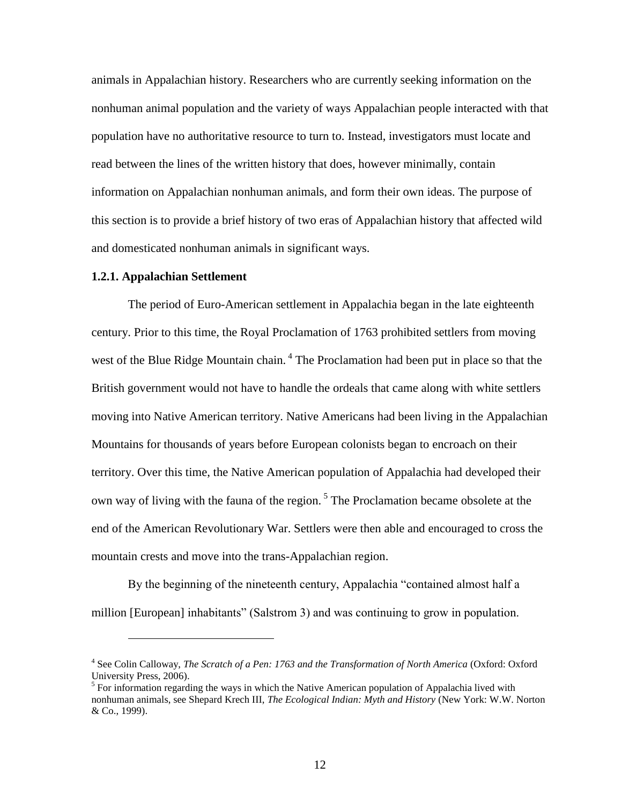animals in Appalachian history. Researchers who are currently seeking information on the nonhuman animal population and the variety of ways Appalachian people interacted with that population have no authoritative resource to turn to. Instead, investigators must locate and read between the lines of the written history that does, however minimally, contain information on Appalachian nonhuman animals, and form their own ideas. The purpose of this section is to provide a brief history of two eras of Appalachian history that affected wild and domesticated nonhuman animals in significant ways.

#### **1.2.1. Appalachian Settlement**

 $\overline{a}$ 

The period of Euro-American settlement in Appalachia began in the late eighteenth century. Prior to this time, the Royal Proclamation of 1763 prohibited settlers from moving west of the Blue Ridge Mountain chain.<sup>4</sup> The Proclamation had been put in place so that the British government would not have to handle the ordeals that came along with white settlers moving into Native American territory. Native Americans had been living in the Appalachian Mountains for thousands of years before European colonists began to encroach on their territory. Over this time, the Native American population of Appalachia had developed their own way of living with the fauna of the region.<sup>5</sup> The Proclamation became obsolete at the end of the American Revolutionary War. Settlers were then able and encouraged to cross the mountain crests and move into the trans-Appalachian region.

By the beginning of the nineteenth century, Appalachia "contained almost half a million [European] inhabitants" (Salstrom 3) and was continuing to grow in population.

<sup>&</sup>lt;sup>4</sup> See Colin Calloway, *The Scratch of a Pen: 1763 and the Transformation of North America* (Oxford: Oxford University Press, 2006).

 $<sup>5</sup>$  For information regarding the ways in which the Native American population of Appalachia lived with</sup> nonhuman animals, see Shepard Krech III, *The Ecological Indian: Myth and History* (New York: W.W. Norton & Co., 1999).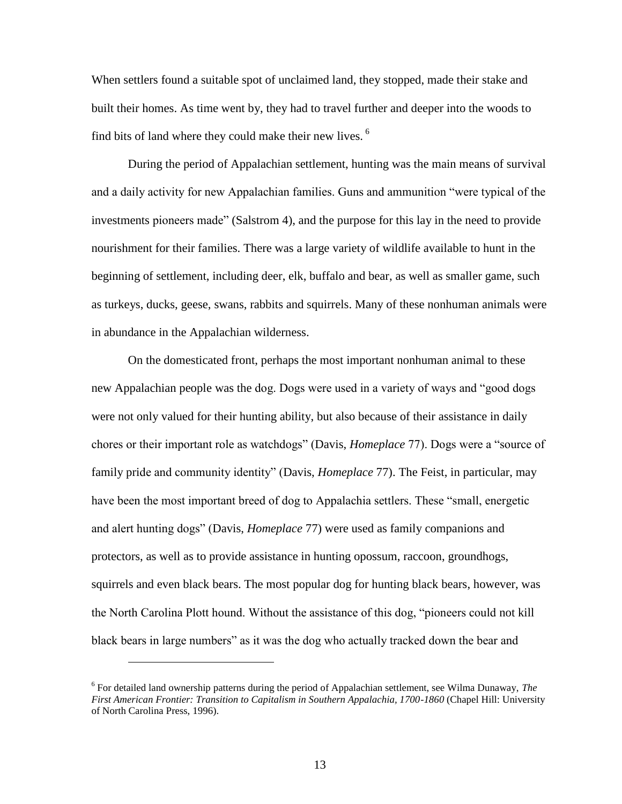When settlers found a suitable spot of unclaimed land, they stopped, made their stake and built their homes. As time went by, they had to travel further and deeper into the woods to find bits of land where they could make their new lives.  $6\overline{ }$ 

During the period of Appalachian settlement, hunting was the main means of survival and a daily activity for new Appalachian families. Guns and ammunition "were typical of the investments pioneers made" (Salstrom 4), and the purpose for this lay in the need to provide nourishment for their families. There was a large variety of wildlife available to hunt in the beginning of settlement, including deer, elk, buffalo and bear, as well as smaller game, such as turkeys, ducks, geese, swans, rabbits and squirrels. Many of these nonhuman animals were in abundance in the Appalachian wilderness.

On the domesticated front, perhaps the most important nonhuman animal to these new Appalachian people was the dog. Dogs were used in a variety of ways and "good dogs were not only valued for their hunting ability, but also because of their assistance in daily chores or their important role as watchdogs" (Davis, *Homeplace* 77). Dogs were a "source of family pride and community identity" (Davis, *Homeplace* 77). The Feist, in particular, may have been the most important breed of dog to Appalachia settlers. These "small, energetic and alert hunting dogs" (Davis, *Homeplace* 77) were used as family companions and protectors, as well as to provide assistance in hunting opossum, raccoon, groundhogs, squirrels and even black bears. The most popular dog for hunting black bears, however, was the North Carolina Plott hound. Without the assistance of this dog, "pioneers could not kill black bears in large numbers" as it was the dog who actually tracked down the bear and

 $\overline{a}$ 

<sup>6</sup> For detailed land ownership patterns during the period of Appalachian settlement, see Wilma Dunaway, *The First American Frontier: Transition to Capitalism in Southern Appalachia, 1700-1860* (Chapel Hill: University of North Carolina Press, 1996).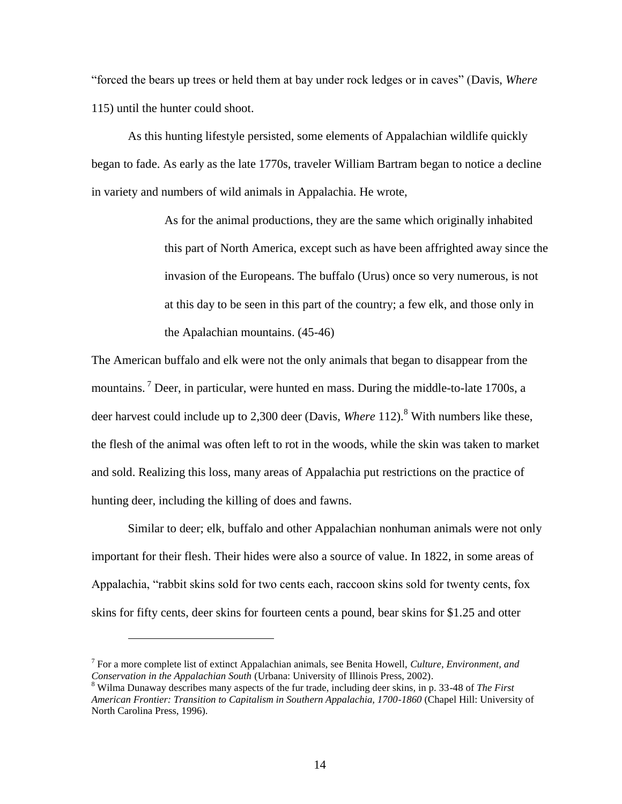"forced the bears up trees or held them at bay under rock ledges or in caves" (Davis, *Where*  115) until the hunter could shoot.

As this hunting lifestyle persisted, some elements of Appalachian wildlife quickly began to fade. As early as the late 1770s, traveler William Bartram began to notice a decline in variety and numbers of wild animals in Appalachia. He wrote,

> As for the animal productions, they are the same which originally inhabited this part of North America, except such as have been affrighted away since the invasion of the Europeans. The buffalo (Urus) once so very numerous, is not at this day to be seen in this part of the country; a few elk, and those only in the Apalachian mountains. (45-46)

The American buffalo and elk were not the only animals that began to disappear from the mountains. <sup>7</sup> Deer, in particular, were hunted en mass. During the middle-to-late 1700s, a deer harvest could include up to 2,300 deer (Davis, *Where* 112).<sup>8</sup> With numbers like these, the flesh of the animal was often left to rot in the woods, while the skin was taken to market and sold. Realizing this loss, many areas of Appalachia put restrictions on the practice of hunting deer, including the killing of does and fawns.

Similar to deer; elk, buffalo and other Appalachian nonhuman animals were not only important for their flesh. Their hides were also a source of value. In 1822, in some areas of Appalachia, "rabbit skins sold for two cents each, raccoon skins sold for twenty cents, fox skins for fifty cents, deer skins for fourteen cents a pound, bear skins for \$1.25 and otter

 $\overline{a}$ 

<sup>7</sup> For a more complete list of extinct Appalachian animals, see Benita Howell, *Culture, Environment, and Conservation in the Appalachian South* (Urbana: University of Illinois Press, 2002).

<sup>8</sup> Wilma Dunaway describes many aspects of the fur trade, including deer skins, in p. 33-48 of *The First American Frontier: Transition to Capitalism in Southern Appalachia, 1700-1860* (Chapel Hill: University of North Carolina Press, 1996).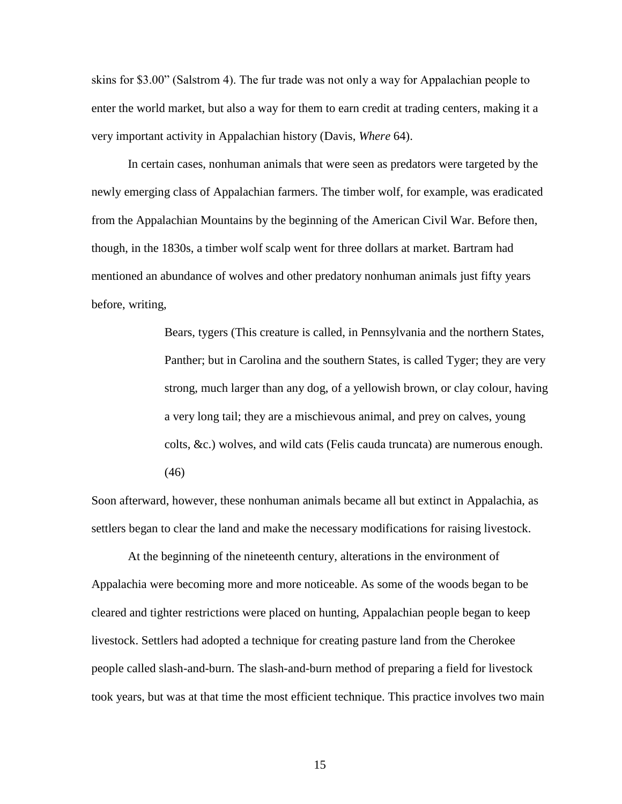skins for \$3.00" (Salstrom 4). The fur trade was not only a way for Appalachian people to enter the world market, but also a way for them to earn credit at trading centers, making it a very important activity in Appalachian history (Davis, *Where* 64).

In certain cases, nonhuman animals that were seen as predators were targeted by the newly emerging class of Appalachian farmers. The timber wolf, for example, was eradicated from the Appalachian Mountains by the beginning of the American Civil War. Before then, though, in the 1830s, a timber wolf scalp went for three dollars at market. Bartram had mentioned an abundance of wolves and other predatory nonhuman animals just fifty years before, writing,

> Bears, tygers (This creature is called, in Pennsylvania and the northern States, Panther; but in Carolina and the southern States, is called Tyger; they are very strong, much larger than any dog, of a yellowish brown, or clay colour, having a very long tail; they are a mischievous animal, and prey on calves, young colts, &c.) wolves, and wild cats (Felis cauda truncata) are numerous enough. (46)

Soon afterward, however, these nonhuman animals became all but extinct in Appalachia, as settlers began to clear the land and make the necessary modifications for raising livestock.

At the beginning of the nineteenth century, alterations in the environment of Appalachia were becoming more and more noticeable. As some of the woods began to be cleared and tighter restrictions were placed on hunting, Appalachian people began to keep livestock. Settlers had adopted a technique for creating pasture land from the Cherokee people called slash-and-burn. The slash-and-burn method of preparing a field for livestock took years, but was at that time the most efficient technique. This practice involves two main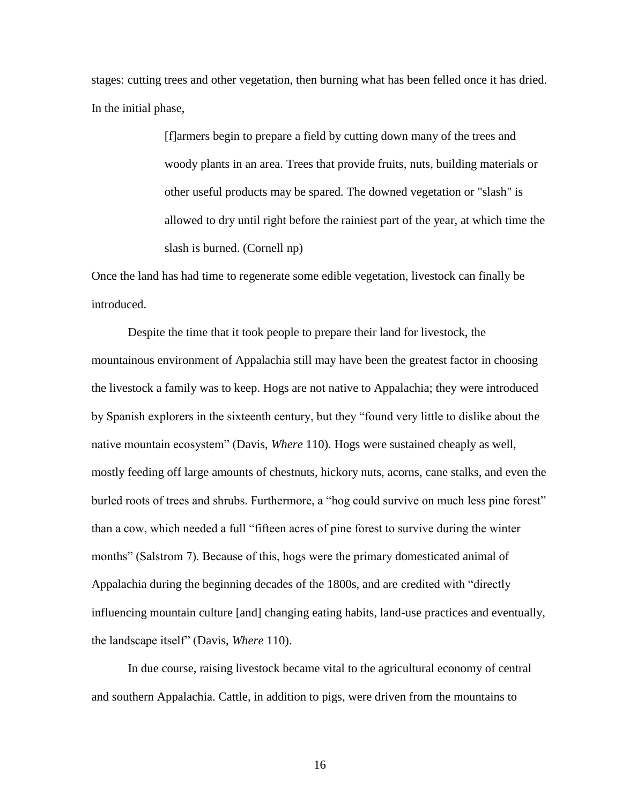stages: cutting trees and other vegetation, then burning what has been felled once it has dried. In the initial phase,

> [f]armers begin to prepare a field by cutting down many of the trees and woody plants in an area. Trees that provide fruits, nuts, building materials or other useful products may be spared. The downed vegetation or "slash" is allowed to dry until right before the rainiest part of the year, at which time the slash is burned. (Cornell np)

Once the land has had time to regenerate some edible vegetation, livestock can finally be introduced.

Despite the time that it took people to prepare their land for livestock, the mountainous environment of Appalachia still may have been the greatest factor in choosing the livestock a family was to keep. Hogs are not native to Appalachia; they were introduced by Spanish explorers in the sixteenth century, but they "found very little to dislike about the native mountain ecosystem" (Davis, *Where* 110). Hogs were sustained cheaply as well, mostly feeding off large amounts of chestnuts, hickory nuts, acorns, cane stalks, and even the burled roots of trees and shrubs. Furthermore, a "hog could survive on much less pine forest" than a cow, which needed a full "fifteen acres of pine forest to survive during the winter months" (Salstrom 7). Because of this, hogs were the primary domesticated animal of Appalachia during the beginning decades of the 1800s, and are credited with "directly influencing mountain culture [and] changing eating habits, land-use practices and eventually, the landscape itself" (Davis, *Where* 110).

In due course, raising livestock became vital to the agricultural economy of central and southern Appalachia. Cattle, in addition to pigs, were driven from the mountains to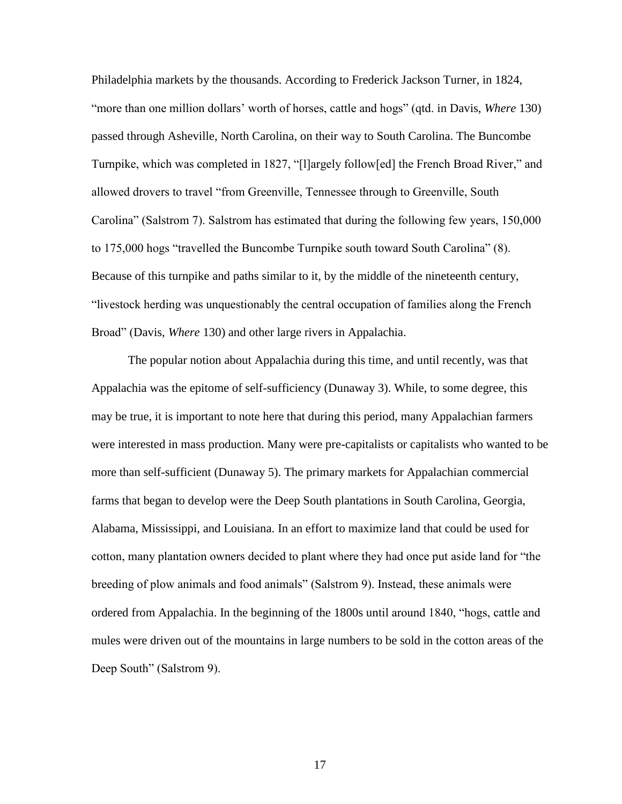Philadelphia markets by the thousands. According to Frederick Jackson Turner, in 1824, "more than one million dollars' worth of horses, cattle and hogs" (qtd. in Davis, *Where* 130) passed through Asheville, North Carolina, on their way to South Carolina. The Buncombe Turnpike, which was completed in 1827, "[l]argely follow[ed] the French Broad River," and allowed drovers to travel "from Greenville, Tennessee through to Greenville, South Carolina" (Salstrom 7). Salstrom has estimated that during the following few years, 150,000 to 175,000 hogs "travelled the Buncombe Turnpike south toward South Carolina" (8). Because of this turnpike and paths similar to it, by the middle of the nineteenth century, "livestock herding was unquestionably the central occupation of families along the French Broad" (Davis, *Where* 130) and other large rivers in Appalachia.

The popular notion about Appalachia during this time, and until recently, was that Appalachia was the epitome of self-sufficiency (Dunaway 3). While, to some degree, this may be true, it is important to note here that during this period, many Appalachian farmers were interested in mass production. Many were pre-capitalists or capitalists who wanted to be more than self-sufficient (Dunaway 5). The primary markets for Appalachian commercial farms that began to develop were the Deep South plantations in South Carolina, Georgia, Alabama, Mississippi, and Louisiana. In an effort to maximize land that could be used for cotton, many plantation owners decided to plant where they had once put aside land for "the breeding of plow animals and food animals" (Salstrom 9). Instead, these animals were ordered from Appalachia. In the beginning of the 1800s until around 1840, "hogs, cattle and mules were driven out of the mountains in large numbers to be sold in the cotton areas of the Deep South" (Salstrom 9).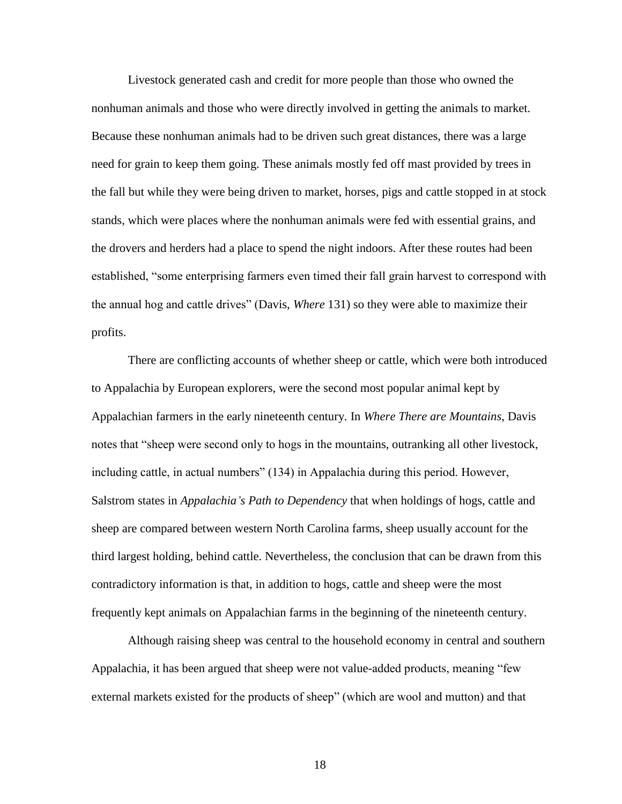Livestock generated cash and credit for more people than those who owned the nonhuman animals and those who were directly involved in getting the animals to market. Because these nonhuman animals had to be driven such great distances, there was a large need for grain to keep them going. These animals mostly fed off mast provided by trees in the fall but while they were being driven to market, horses, pigs and cattle stopped in at stock stands, which were places where the nonhuman animals were fed with essential grains, and the drovers and herders had a place to spend the night indoors. After these routes had been established, "some enterprising farmers even timed their fall grain harvest to correspond with the annual hog and cattle drives" (Davis, *Where* 131) so they were able to maximize their profits.

There are conflicting accounts of whether sheep or cattle, which were both introduced to Appalachia by European explorers, were the second most popular animal kept by Appalachian farmers in the early nineteenth century. In *Where There are Mountains*, Davis notes that "sheep were second only to hogs in the mountains, outranking all other livestock, including cattle, in actual numbers" (134) in Appalachia during this period. However, Salstrom states in *Appalachia's Path to Dependency* that when holdings of hogs, cattle and sheep are compared between western North Carolina farms, sheep usually account for the third largest holding, behind cattle. Nevertheless, the conclusion that can be drawn from this contradictory information is that, in addition to hogs, cattle and sheep were the most frequently kept animals on Appalachian farms in the beginning of the nineteenth century.

Although raising sheep was central to the household economy in central and southern Appalachia, it has been argued that sheep were not value-added products, meaning "few external markets existed for the products of sheep" (which are wool and mutton) and that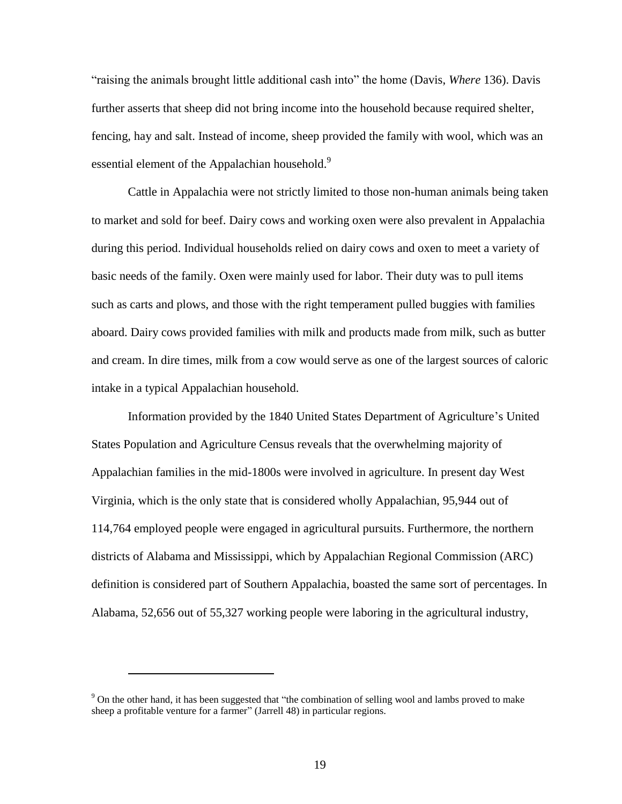"raising the animals brought little additional cash into" the home (Davis, *Where* 136). Davis further asserts that sheep did not bring income into the household because required shelter, fencing, hay and salt. Instead of income, sheep provided the family with wool, which was an essential element of the Appalachian household.<sup>9</sup>

Cattle in Appalachia were not strictly limited to those non-human animals being taken to market and sold for beef. Dairy cows and working oxen were also prevalent in Appalachia during this period. Individual households relied on dairy cows and oxen to meet a variety of basic needs of the family. Oxen were mainly used for labor. Their duty was to pull items such as carts and plows, and those with the right temperament pulled buggies with families aboard. Dairy cows provided families with milk and products made from milk, such as butter and cream. In dire times, milk from a cow would serve as one of the largest sources of caloric intake in a typical Appalachian household.

Information provided by the 1840 United States Department of Agriculture's United States Population and Agriculture Census reveals that the overwhelming majority of Appalachian families in the mid-1800s were involved in agriculture. In present day West Virginia, which is the only state that is considered wholly Appalachian, 95,944 out of 114,764 employed people were engaged in agricultural pursuits. Furthermore, the northern districts of Alabama and Mississippi, which by Appalachian Regional Commission (ARC) definition is considered part of Southern Appalachia, boasted the same sort of percentages. In Alabama, 52,656 out of 55,327 working people were laboring in the agricultural industry,

 $\overline{a}$ 

<sup>&</sup>lt;sup>9</sup> On the other hand, it has been suggested that "the combination of selling wool and lambs proved to make sheep a profitable venture for a farmer" (Jarrell 48) in particular regions.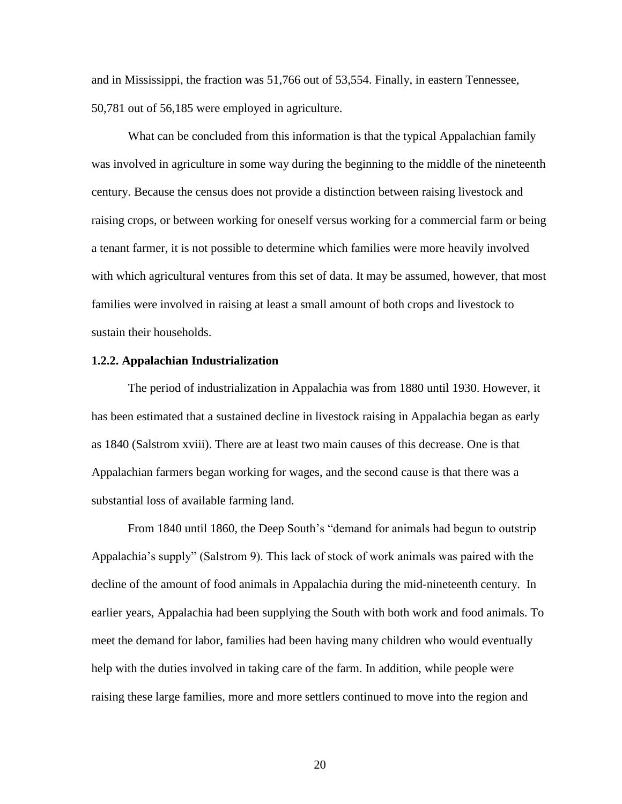and in Mississippi, the fraction was 51,766 out of 53,554. Finally, in eastern Tennessee, 50,781 out of 56,185 were employed in agriculture.

What can be concluded from this information is that the typical Appalachian family was involved in agriculture in some way during the beginning to the middle of the nineteenth century. Because the census does not provide a distinction between raising livestock and raising crops, or between working for oneself versus working for a commercial farm or being a tenant farmer, it is not possible to determine which families were more heavily involved with which agricultural ventures from this set of data. It may be assumed, however, that most families were involved in raising at least a small amount of both crops and livestock to sustain their households.

#### **1.2.2. Appalachian Industrialization**

The period of industrialization in Appalachia was from 1880 until 1930. However, it has been estimated that a sustained decline in livestock raising in Appalachia began as early as 1840 (Salstrom xviii). There are at least two main causes of this decrease. One is that Appalachian farmers began working for wages, and the second cause is that there was a substantial loss of available farming land.

From 1840 until 1860, the Deep South's "demand for animals had begun to outstrip Appalachia's supply" (Salstrom 9). This lack of stock of work animals was paired with the decline of the amount of food animals in Appalachia during the mid-nineteenth century. In earlier years, Appalachia had been supplying the South with both work and food animals. To meet the demand for labor, families had been having many children who would eventually help with the duties involved in taking care of the farm. In addition, while people were raising these large families, more and more settlers continued to move into the region and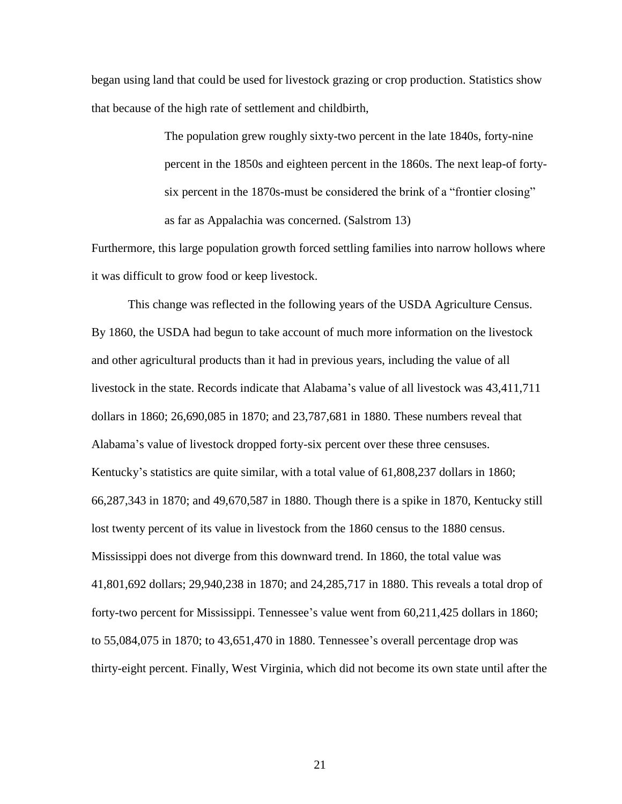began using land that could be used for livestock grazing or crop production. Statistics show that because of the high rate of settlement and childbirth,

> The population grew roughly sixty-two percent in the late 1840s, forty-nine percent in the 1850s and eighteen percent in the 1860s. The next leap-of fortysix percent in the 1870s-must be considered the brink of a "frontier closing" as far as Appalachia was concerned. (Salstrom 13)

Furthermore, this large population growth forced settling families into narrow hollows where it was difficult to grow food or keep livestock.

This change was reflected in the following years of the USDA Agriculture Census. By 1860, the USDA had begun to take account of much more information on the livestock and other agricultural products than it had in previous years, including the value of all livestock in the state. Records indicate that Alabama's value of all livestock was 43,411,711 dollars in 1860; 26,690,085 in 1870; and 23,787,681 in 1880. These numbers reveal that Alabama's value of livestock dropped forty-six percent over these three censuses. Kentucky's statistics are quite similar, with a total value of 61,808,237 dollars in 1860; 66,287,343 in 1870; and 49,670,587 in 1880. Though there is a spike in 1870, Kentucky still lost twenty percent of its value in livestock from the 1860 census to the 1880 census. Mississippi does not diverge from this downward trend. In 1860, the total value was 41,801,692 dollars; 29,940,238 in 1870; and 24,285,717 in 1880. This reveals a total drop of forty-two percent for Mississippi. Tennessee's value went from 60,211,425 dollars in 1860; to 55,084,075 in 1870; to 43,651,470 in 1880. Tennessee's overall percentage drop was thirty-eight percent. Finally, West Virginia, which did not become its own state until after the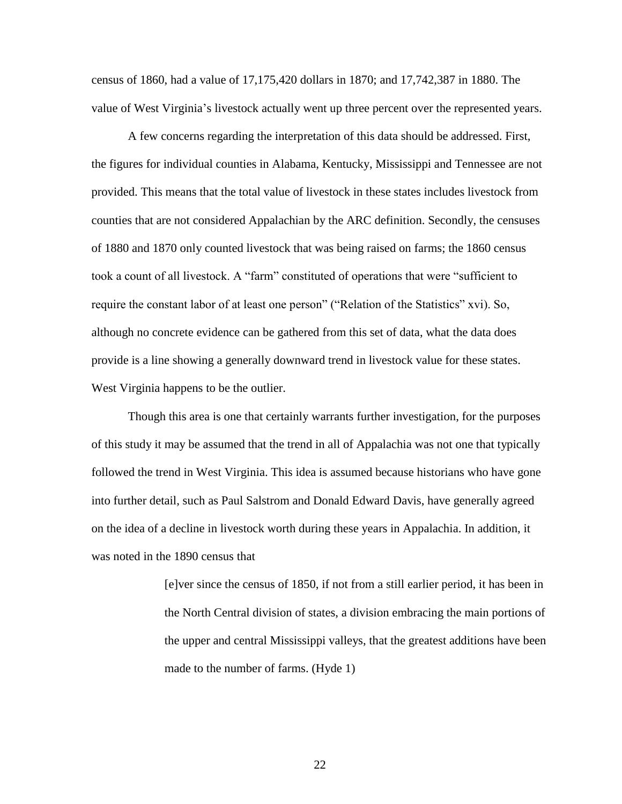census of 1860, had a value of 17,175,420 dollars in 1870; and 17,742,387 in 1880. The value of West Virginia's livestock actually went up three percent over the represented years.

A few concerns regarding the interpretation of this data should be addressed. First, the figures for individual counties in Alabama, Kentucky, Mississippi and Tennessee are not provided. This means that the total value of livestock in these states includes livestock from counties that are not considered Appalachian by the ARC definition. Secondly, the censuses of 1880 and 1870 only counted livestock that was being raised on farms; the 1860 census took a count of all livestock. A "farm" constituted of operations that were "sufficient to require the constant labor of at least one person" ("Relation of the Statistics" xvi). So, although no concrete evidence can be gathered from this set of data, what the data does provide is a line showing a generally downward trend in livestock value for these states. West Virginia happens to be the outlier.

Though this area is one that certainly warrants further investigation, for the purposes of this study it may be assumed that the trend in all of Appalachia was not one that typically followed the trend in West Virginia. This idea is assumed because historians who have gone into further detail, such as Paul Salstrom and Donald Edward Davis, have generally agreed on the idea of a decline in livestock worth during these years in Appalachia. In addition, it was noted in the 1890 census that

> [e]ver since the census of 1850, if not from a still earlier period, it has been in the North Central division of states, a division embracing the main portions of the upper and central Mississippi valleys, that the greatest additions have been made to the number of farms. (Hyde 1)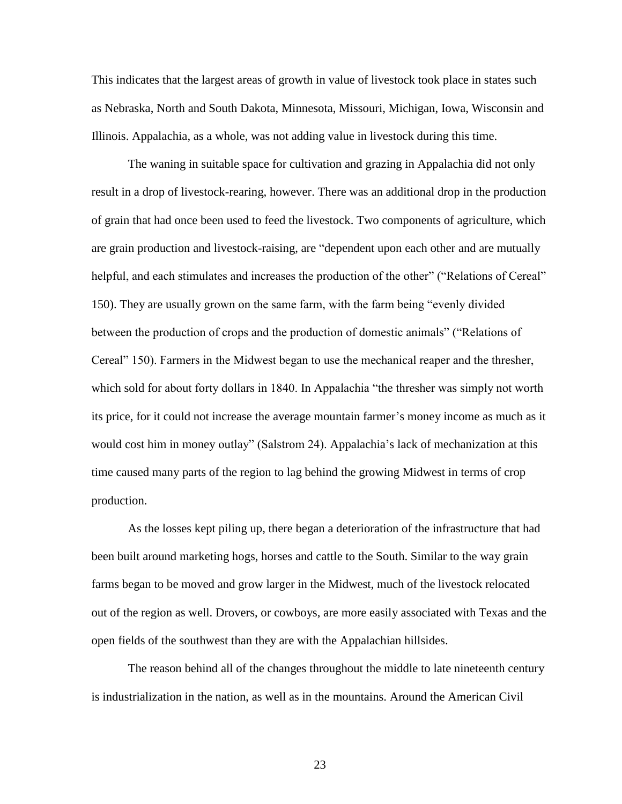This indicates that the largest areas of growth in value of livestock took place in states such as Nebraska, North and South Dakota, Minnesota, Missouri, Michigan, Iowa, Wisconsin and Illinois. Appalachia, as a whole, was not adding value in livestock during this time.

The waning in suitable space for cultivation and grazing in Appalachia did not only result in a drop of livestock-rearing, however. There was an additional drop in the production of grain that had once been used to feed the livestock. Two components of agriculture, which are grain production and livestock-raising, are "dependent upon each other and are mutually helpful, and each stimulates and increases the production of the other" ("Relations of Cereal" 150). They are usually grown on the same farm, with the farm being "evenly divided between the production of crops and the production of domestic animals" ("Relations of Cereal" 150). Farmers in the Midwest began to use the mechanical reaper and the thresher, which sold for about forty dollars in 1840. In Appalachia "the thresher was simply not worth its price, for it could not increase the average mountain farmer's money income as much as it would cost him in money outlay" (Salstrom 24). Appalachia's lack of mechanization at this time caused many parts of the region to lag behind the growing Midwest in terms of crop production.

As the losses kept piling up, there began a deterioration of the infrastructure that had been built around marketing hogs, horses and cattle to the South. Similar to the way grain farms began to be moved and grow larger in the Midwest, much of the livestock relocated out of the region as well. Drovers, or cowboys, are more easily associated with Texas and the open fields of the southwest than they are with the Appalachian hillsides.

The reason behind all of the changes throughout the middle to late nineteenth century is industrialization in the nation, as well as in the mountains. Around the American Civil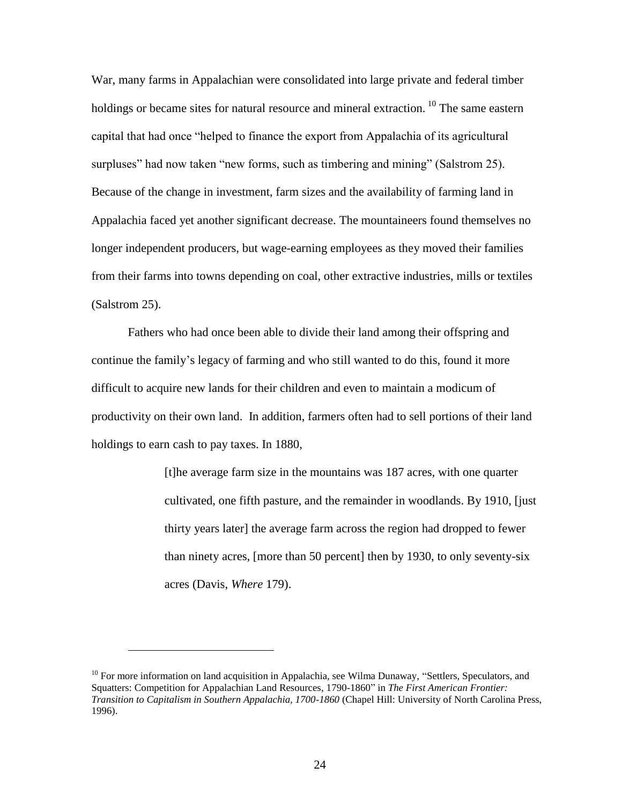War, many farms in Appalachian were consolidated into large private and federal timber holdings or became sites for natural resource and mineral extraction.  $^{10}$  The same eastern capital that had once "helped to finance the export from Appalachia of its agricultural surpluses" had now taken "new forms, such as timbering and mining" (Salstrom 25). Because of the change in investment, farm sizes and the availability of farming land in Appalachia faced yet another significant decrease. The mountaineers found themselves no longer independent producers, but wage-earning employees as they moved their families from their farms into towns depending on coal, other extractive industries, mills or textiles (Salstrom 25).

Fathers who had once been able to divide their land among their offspring and continue the family's legacy of farming and who still wanted to do this, found it more difficult to acquire new lands for their children and even to maintain a modicum of productivity on their own land. In addition, farmers often had to sell portions of their land holdings to earn cash to pay taxes. In 1880,

> [t]he average farm size in the mountains was 187 acres, with one quarter cultivated, one fifth pasture, and the remainder in woodlands. By 1910, [just thirty years later] the average farm across the region had dropped to fewer than ninety acres, [more than 50 percent] then by 1930, to only seventy-six acres (Davis, *Where* 179).

 $\overline{a}$ 

 $10$  For more information on land acquisition in Appalachia, see Wilma Dunaway, "Settlers, Speculators, and Squatters: Competition for Appalachian Land Resources, 1790-1860" in *The First American Frontier: Transition to Capitalism in Southern Appalachia, 1700-1860* (Chapel Hill: University of North Carolina Press, 1996).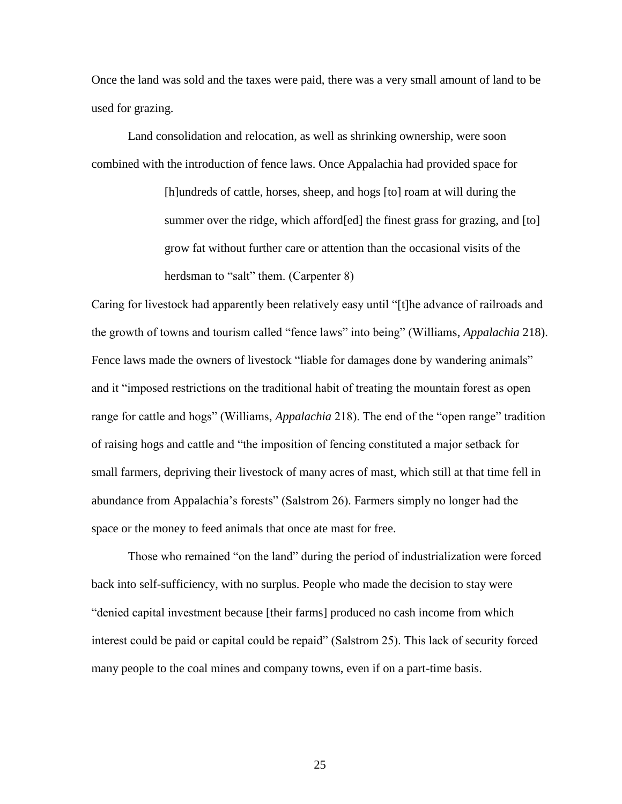Once the land was sold and the taxes were paid, there was a very small amount of land to be used for grazing.

Land consolidation and relocation, as well as shrinking ownership, were soon combined with the introduction of fence laws. Once Appalachia had provided space for

> [h]undreds of cattle, horses, sheep, and hogs [to] roam at will during the summer over the ridge, which afford[ed] the finest grass for grazing, and [to] grow fat without further care or attention than the occasional visits of the herdsman to "salt" them. (Carpenter 8)

Caring for livestock had apparently been relatively easy until "[t]he advance of railroads and the growth of towns and tourism called "fence laws" into being" (Williams, *Appalachia* 218). Fence laws made the owners of livestock "liable for damages done by wandering animals" and it "imposed restrictions on the traditional habit of treating the mountain forest as open range for cattle and hogs" (Williams, *Appalachia* 218). The end of the "open range" tradition of raising hogs and cattle and "the imposition of fencing constituted a major setback for small farmers, depriving their livestock of many acres of mast, which still at that time fell in abundance from Appalachia's forests" (Salstrom 26). Farmers simply no longer had the space or the money to feed animals that once ate mast for free.

Those who remained "on the land" during the period of industrialization were forced back into self-sufficiency, with no surplus. People who made the decision to stay were "denied capital investment because [their farms] produced no cash income from which interest could be paid or capital could be repaid" (Salstrom 25). This lack of security forced many people to the coal mines and company towns, even if on a part-time basis.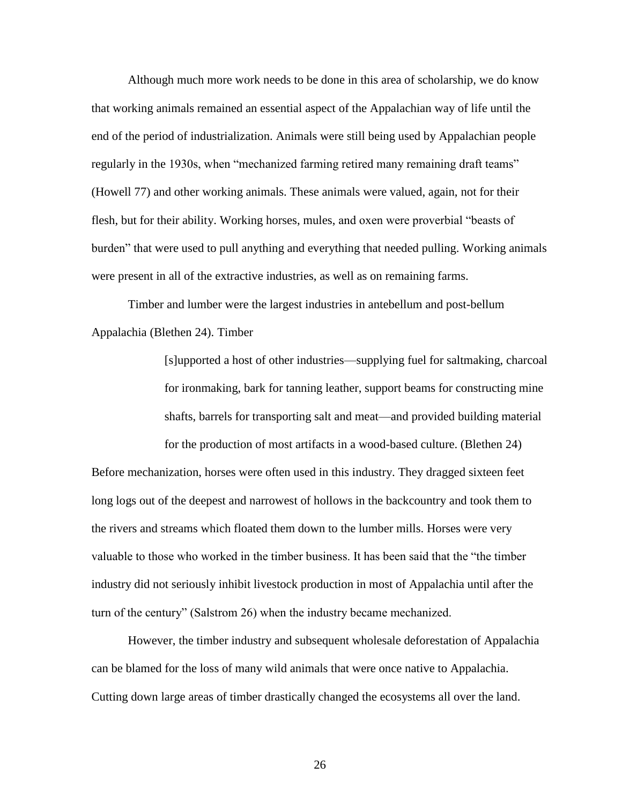Although much more work needs to be done in this area of scholarship, we do know that working animals remained an essential aspect of the Appalachian way of life until the end of the period of industrialization. Animals were still being used by Appalachian people regularly in the 1930s, when "mechanized farming retired many remaining draft teams" (Howell 77) and other working animals. These animals were valued, again, not for their flesh, but for their ability. Working horses, mules, and oxen were proverbial "beasts of burden" that were used to pull anything and everything that needed pulling. Working animals were present in all of the extractive industries, as well as on remaining farms.

Timber and lumber were the largest industries in antebellum and post-bellum Appalachia (Blethen 24). Timber

> [s]upported a host of other industries—supplying fuel for saltmaking, charcoal for ironmaking, bark for tanning leather, support beams for constructing mine shafts, barrels for transporting salt and meat—and provided building material

for the production of most artifacts in a wood-based culture. (Blethen 24) Before mechanization, horses were often used in this industry. They dragged sixteen feet long logs out of the deepest and narrowest of hollows in the backcountry and took them to the rivers and streams which floated them down to the lumber mills. Horses were very valuable to those who worked in the timber business. It has been said that the "the timber industry did not seriously inhibit livestock production in most of Appalachia until after the turn of the century" (Salstrom 26) when the industry became mechanized.

However, the timber industry and subsequent wholesale deforestation of Appalachia can be blamed for the loss of many wild animals that were once native to Appalachia. Cutting down large areas of timber drastically changed the ecosystems all over the land.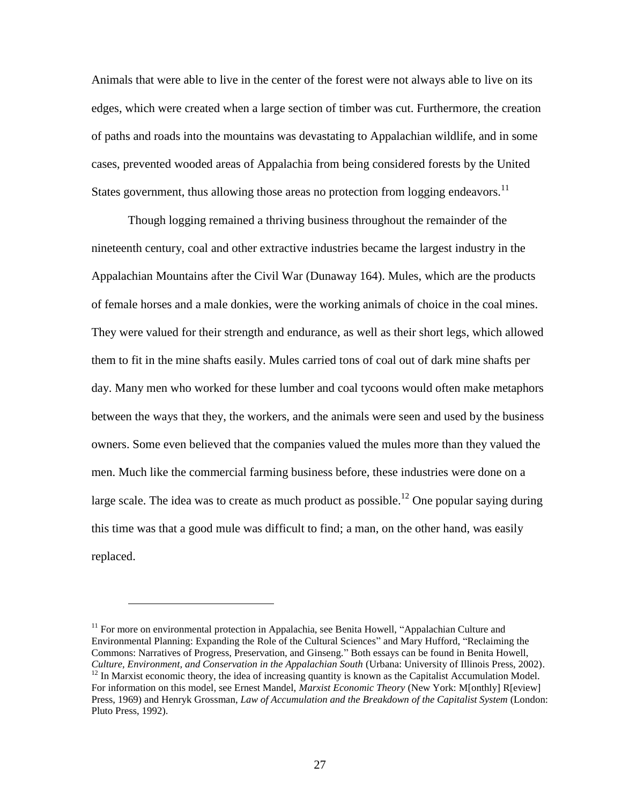Animals that were able to live in the center of the forest were not always able to live on its edges, which were created when a large section of timber was cut. Furthermore, the creation of paths and roads into the mountains was devastating to Appalachian wildlife, and in some cases, prevented wooded areas of Appalachia from being considered forests by the United States government, thus allowing those areas no protection from logging endeavors.<sup>11</sup>

Though logging remained a thriving business throughout the remainder of the nineteenth century, coal and other extractive industries became the largest industry in the Appalachian Mountains after the Civil War (Dunaway 164). Mules, which are the products of female horses and a male donkies, were the working animals of choice in the coal mines. They were valued for their strength and endurance, as well as their short legs, which allowed them to fit in the mine shafts easily. Mules carried tons of coal out of dark mine shafts per day. Many men who worked for these lumber and coal tycoons would often make metaphors between the ways that they, the workers, and the animals were seen and used by the business owners. Some even believed that the companies valued the mules more than they valued the men. Much like the commercial farming business before, these industries were done on a large scale. The idea was to create as much product as possible.<sup>12</sup> One popular saying during this time was that a good mule was difficult to find; a man, on the other hand, was easily replaced.

 $11$  For more on environmental protection in Appalachia, see Benita Howell, "Appalachian Culture and Environmental Planning: Expanding the Role of the Cultural Sciences" and Mary Hufford, "Reclaiming the Commons: Narratives of Progress, Preservation, and Ginseng." Both essays can be found in Benita Howell, *Culture, Environment, and Conservation in the Appalachian South* (Urbana: University of Illinois Press, 2002). <sup>12</sup> In Marxist economic theory, the idea of increasing quantity is known as the Capitalist Accumulation Model. For information on this model, see Ernest Mandel, *Marxist Economic Theory* (New York: M[onthly] R[eview] Press, 1969) and Henryk Grossman, *Law of Accumulation and the Breakdown of the Capitalist System* (London: Pluto Press, 1992).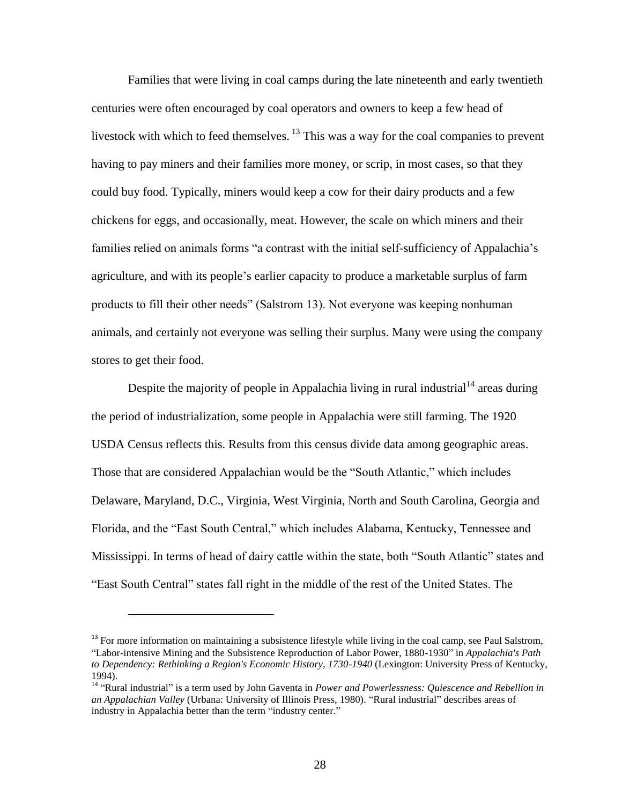Families that were living in coal camps during the late nineteenth and early twentieth centuries were often encouraged by coal operators and owners to keep a few head of livestock with which to feed themselves.  $^{13}$  This was a way for the coal companies to prevent having to pay miners and their families more money, or scrip, in most cases, so that they could buy food. Typically, miners would keep a cow for their dairy products and a few chickens for eggs, and occasionally, meat. However, the scale on which miners and their families relied on animals forms "a contrast with the initial self-sufficiency of Appalachia's agriculture, and with its people's earlier capacity to produce a marketable surplus of farm products to fill their other needs" (Salstrom 13). Not everyone was keeping nonhuman animals, and certainly not everyone was selling their surplus. Many were using the company stores to get their food.

Despite the majority of people in Appalachia living in rural industrial  $14$  areas during the period of industrialization, some people in Appalachia were still farming. The 1920 USDA Census reflects this. Results from this census divide data among geographic areas. Those that are considered Appalachian would be the "South Atlantic," which includes Delaware, Maryland, D.C., Virginia, West Virginia, North and South Carolina, Georgia and Florida, and the "East South Central," which includes Alabama, Kentucky, Tennessee and Mississippi. In terms of head of dairy cattle within the state, both "South Atlantic" states and "East South Central" states fall right in the middle of the rest of the United States. The

 $13$  For more information on maintaining a subsistence lifestyle while living in the coal camp, see Paul Salstrom, "Labor-intensive Mining and the Subsistence Reproduction of Labor Power, 1880-1930" in *Appalachia's Path to Dependency: Rethinking a Region's Economic History, 1730-1940* (Lexington: University Press of Kentucky, 1994).

<sup>&</sup>lt;sup>14</sup> "Rural industrial" is a term used by John Gaventa in *Power and Powerlessness: Quiescence and Rebellion in an Appalachian Valley* (Urbana: University of Illinois Press, 1980). "Rural industrial" describes areas of industry in Appalachia better than the term "industry center."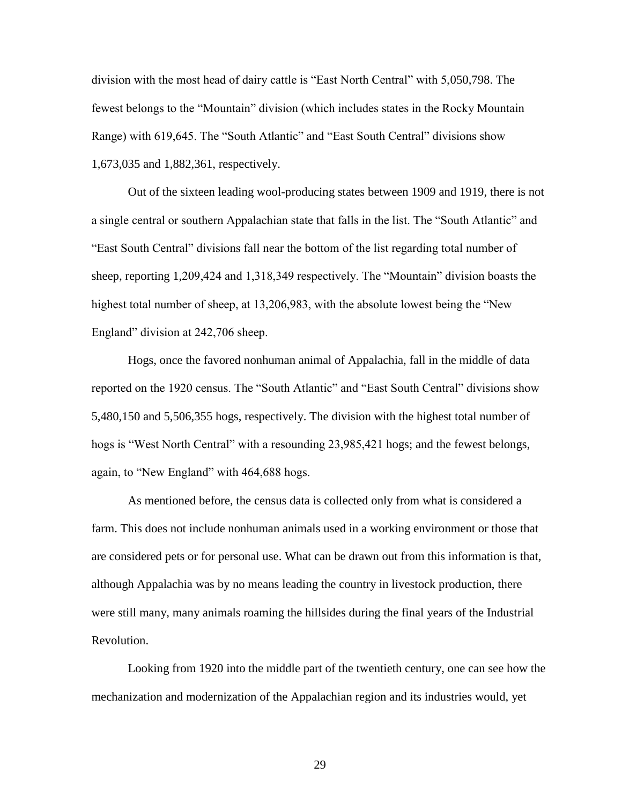division with the most head of dairy cattle is "East North Central" with 5,050,798. The fewest belongs to the "Mountain" division (which includes states in the Rocky Mountain Range) with 619,645. The "South Atlantic" and "East South Central" divisions show 1,673,035 and 1,882,361, respectively.

Out of the sixteen leading wool-producing states between 1909 and 1919, there is not a single central or southern Appalachian state that falls in the list. The "South Atlantic" and "East South Central" divisions fall near the bottom of the list regarding total number of sheep, reporting 1,209,424 and 1,318,349 respectively. The "Mountain" division boasts the highest total number of sheep, at 13,206,983, with the absolute lowest being the "New England" division at 242,706 sheep.

Hogs, once the favored nonhuman animal of Appalachia, fall in the middle of data reported on the 1920 census. The "South Atlantic" and "East South Central" divisions show 5,480,150 and 5,506,355 hogs, respectively. The division with the highest total number of hogs is "West North Central" with a resounding 23,985,421 hogs; and the fewest belongs, again, to "New England" with 464,688 hogs.

As mentioned before, the census data is collected only from what is considered a farm. This does not include nonhuman animals used in a working environment or those that are considered pets or for personal use. What can be drawn out from this information is that, although Appalachia was by no means leading the country in livestock production, there were still many, many animals roaming the hillsides during the final years of the Industrial Revolution.

Looking from 1920 into the middle part of the twentieth century, one can see how the mechanization and modernization of the Appalachian region and its industries would, yet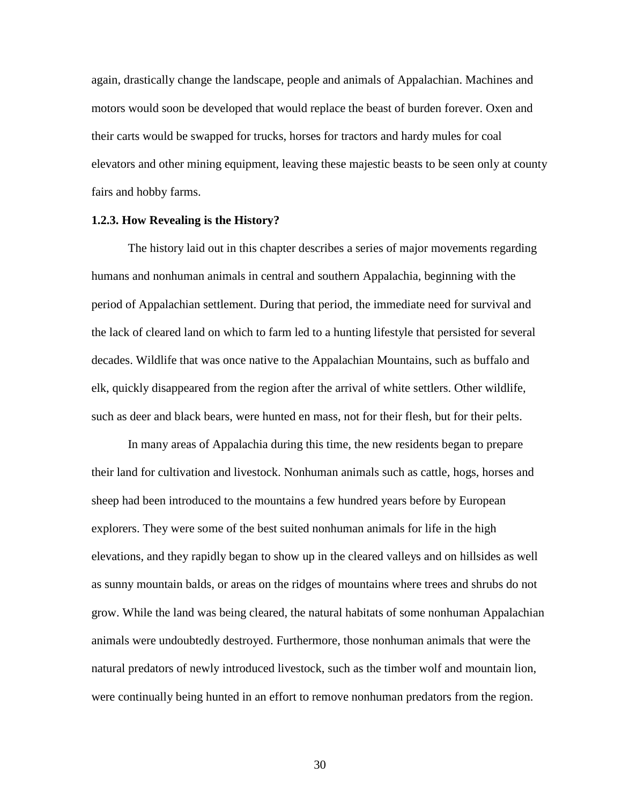again, drastically change the landscape, people and animals of Appalachian. Machines and motors would soon be developed that would replace the beast of burden forever. Oxen and their carts would be swapped for trucks, horses for tractors and hardy mules for coal elevators and other mining equipment, leaving these majestic beasts to be seen only at county fairs and hobby farms.

## **1.2.3. How Revealing is the History?**

The history laid out in this chapter describes a series of major movements regarding humans and nonhuman animals in central and southern Appalachia, beginning with the period of Appalachian settlement. During that period, the immediate need for survival and the lack of cleared land on which to farm led to a hunting lifestyle that persisted for several decades. Wildlife that was once native to the Appalachian Mountains, such as buffalo and elk, quickly disappeared from the region after the arrival of white settlers. Other wildlife, such as deer and black bears, were hunted en mass, not for their flesh, but for their pelts.

In many areas of Appalachia during this time, the new residents began to prepare their land for cultivation and livestock. Nonhuman animals such as cattle, hogs, horses and sheep had been introduced to the mountains a few hundred years before by European explorers. They were some of the best suited nonhuman animals for life in the high elevations, and they rapidly began to show up in the cleared valleys and on hillsides as well as sunny mountain balds, or areas on the ridges of mountains where trees and shrubs do not grow. While the land was being cleared, the natural habitats of some nonhuman Appalachian animals were undoubtedly destroyed. Furthermore, those nonhuman animals that were the natural predators of newly introduced livestock, such as the timber wolf and mountain lion, were continually being hunted in an effort to remove nonhuman predators from the region.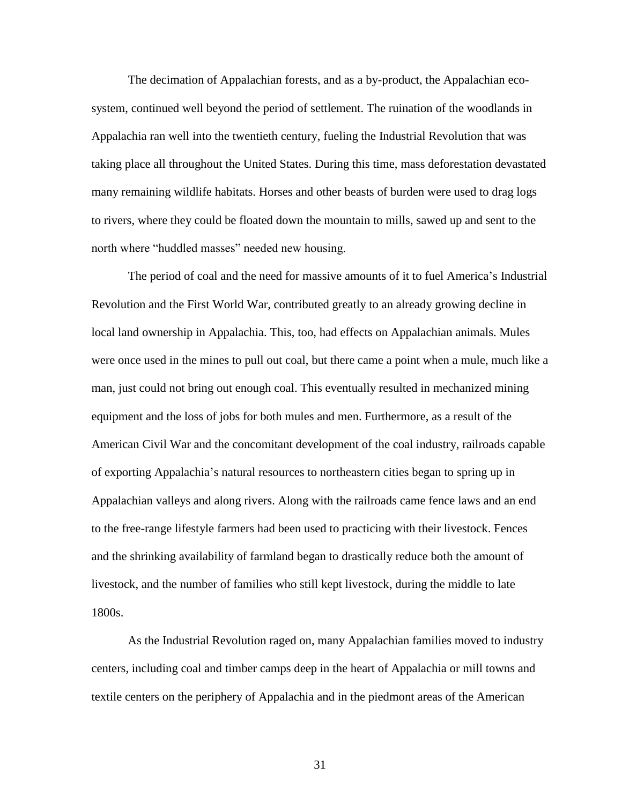The decimation of Appalachian forests, and as a by-product, the Appalachian ecosystem, continued well beyond the period of settlement. The ruination of the woodlands in Appalachia ran well into the twentieth century, fueling the Industrial Revolution that was taking place all throughout the United States. During this time, mass deforestation devastated many remaining wildlife habitats. Horses and other beasts of burden were used to drag logs to rivers, where they could be floated down the mountain to mills, sawed up and sent to the north where "huddled masses" needed new housing.

The period of coal and the need for massive amounts of it to fuel America's Industrial Revolution and the First World War, contributed greatly to an already growing decline in local land ownership in Appalachia. This, too, had effects on Appalachian animals. Mules were once used in the mines to pull out coal, but there came a point when a mule, much like a man, just could not bring out enough coal. This eventually resulted in mechanized mining equipment and the loss of jobs for both mules and men. Furthermore, as a result of the American Civil War and the concomitant development of the coal industry, railroads capable of exporting Appalachia's natural resources to northeastern cities began to spring up in Appalachian valleys and along rivers. Along with the railroads came fence laws and an end to the free-range lifestyle farmers had been used to practicing with their livestock. Fences and the shrinking availability of farmland began to drastically reduce both the amount of livestock, and the number of families who still kept livestock, during the middle to late 1800s.

As the Industrial Revolution raged on, many Appalachian families moved to industry centers, including coal and timber camps deep in the heart of Appalachia or mill towns and textile centers on the periphery of Appalachia and in the piedmont areas of the American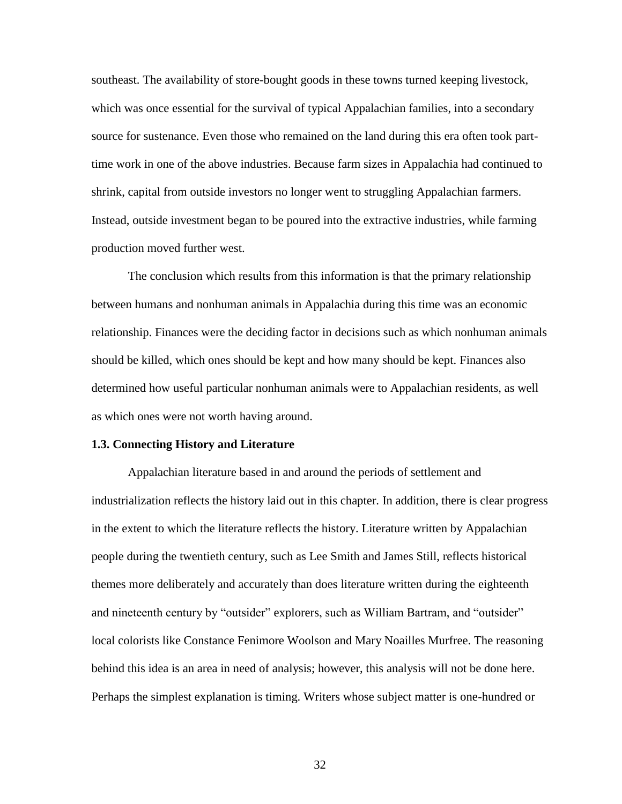southeast. The availability of store-bought goods in these towns turned keeping livestock, which was once essential for the survival of typical Appalachian families, into a secondary source for sustenance. Even those who remained on the land during this era often took parttime work in one of the above industries. Because farm sizes in Appalachia had continued to shrink, capital from outside investors no longer went to struggling Appalachian farmers. Instead, outside investment began to be poured into the extractive industries, while farming production moved further west.

The conclusion which results from this information is that the primary relationship between humans and nonhuman animals in Appalachia during this time was an economic relationship. Finances were the deciding factor in decisions such as which nonhuman animals should be killed, which ones should be kept and how many should be kept. Finances also determined how useful particular nonhuman animals were to Appalachian residents, as well as which ones were not worth having around.

#### **1.3. Connecting History and Literature**

Appalachian literature based in and around the periods of settlement and industrialization reflects the history laid out in this chapter. In addition, there is clear progress in the extent to which the literature reflects the history. Literature written by Appalachian people during the twentieth century, such as Lee Smith and James Still, reflects historical themes more deliberately and accurately than does literature written during the eighteenth and nineteenth century by "outsider" explorers, such as William Bartram, and "outsider" local colorists like Constance Fenimore Woolson and Mary Noailles Murfree. The reasoning behind this idea is an area in need of analysis; however, this analysis will not be done here. Perhaps the simplest explanation is timing. Writers whose subject matter is one-hundred or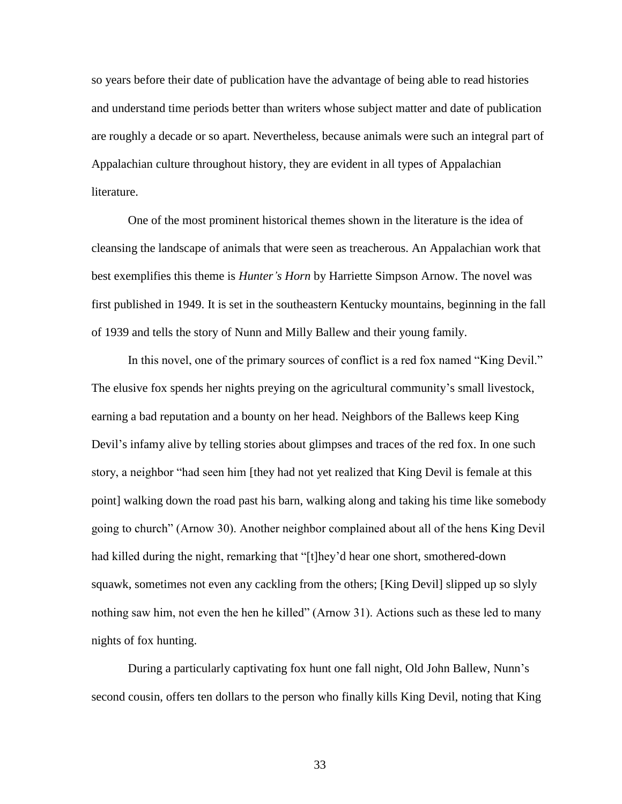so years before their date of publication have the advantage of being able to read histories and understand time periods better than writers whose subject matter and date of publication are roughly a decade or so apart. Nevertheless, because animals were such an integral part of Appalachian culture throughout history, they are evident in all types of Appalachian literature.

One of the most prominent historical themes shown in the literature is the idea of cleansing the landscape of animals that were seen as treacherous. An Appalachian work that best exemplifies this theme is *Hunter's Horn* by Harriette Simpson Arnow. The novel was first published in 1949. It is set in the southeastern Kentucky mountains, beginning in the fall of 1939 and tells the story of Nunn and Milly Ballew and their young family.

In this novel, one of the primary sources of conflict is a red fox named "King Devil." The elusive fox spends her nights preying on the agricultural community's small livestock, earning a bad reputation and a bounty on her head. Neighbors of the Ballews keep King Devil's infamy alive by telling stories about glimpses and traces of the red fox. In one such story, a neighbor "had seen him [they had not yet realized that King Devil is female at this point] walking down the road past his barn, walking along and taking his time like somebody going to church" (Arnow 30). Another neighbor complained about all of the hens King Devil had killed during the night, remarking that "[t]hey'd hear one short, smothered-down squawk, sometimes not even any cackling from the others; [King Devil] slipped up so slyly nothing saw him, not even the hen he killed" (Arnow 31). Actions such as these led to many nights of fox hunting.

During a particularly captivating fox hunt one fall night, Old John Ballew, Nunn's second cousin, offers ten dollars to the person who finally kills King Devil, noting that King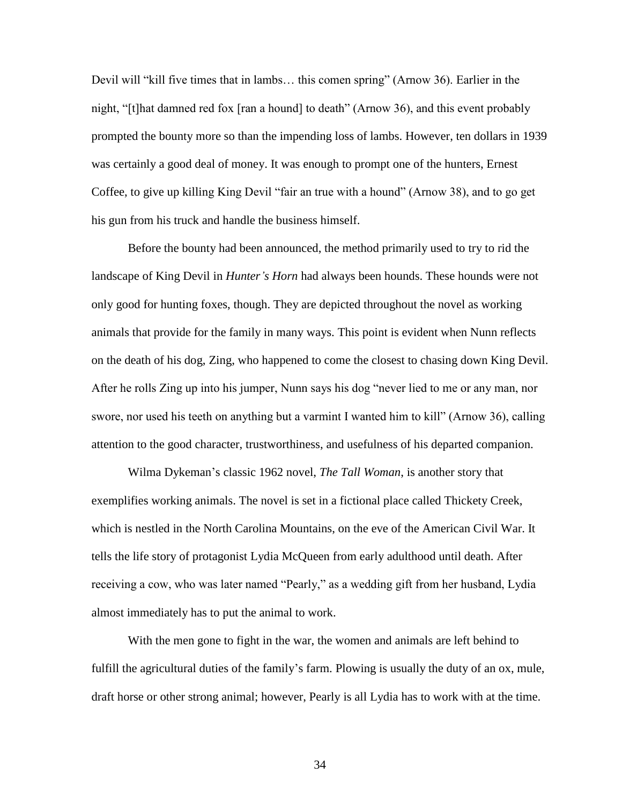Devil will "kill five times that in lambs… this comen spring" (Arnow 36). Earlier in the night, "[t]hat damned red fox [ran a hound] to death" (Arnow 36), and this event probably prompted the bounty more so than the impending loss of lambs. However, ten dollars in 1939 was certainly a good deal of money. It was enough to prompt one of the hunters, Ernest Coffee, to give up killing King Devil "fair an true with a hound" (Arnow 38), and to go get his gun from his truck and handle the business himself.

Before the bounty had been announced, the method primarily used to try to rid the landscape of King Devil in *Hunter's Horn* had always been hounds. These hounds were not only good for hunting foxes, though. They are depicted throughout the novel as working animals that provide for the family in many ways. This point is evident when Nunn reflects on the death of his dog, Zing, who happened to come the closest to chasing down King Devil. After he rolls Zing up into his jumper, Nunn says his dog "never lied to me or any man, nor swore, nor used his teeth on anything but a varmint I wanted him to kill" (Arnow 36), calling attention to the good character, trustworthiness, and usefulness of his departed companion.

Wilma Dykeman's classic 1962 novel, *The Tall Woman*, is another story that exemplifies working animals. The novel is set in a fictional place called Thickety Creek, which is nestled in the North Carolina Mountains, on the eve of the American Civil War. It tells the life story of protagonist Lydia McQueen from early adulthood until death. After receiving a cow, who was later named "Pearly," as a wedding gift from her husband, Lydia almost immediately has to put the animal to work.

With the men gone to fight in the war, the women and animals are left behind to fulfill the agricultural duties of the family's farm. Plowing is usually the duty of an ox, mule, draft horse or other strong animal; however, Pearly is all Lydia has to work with at the time.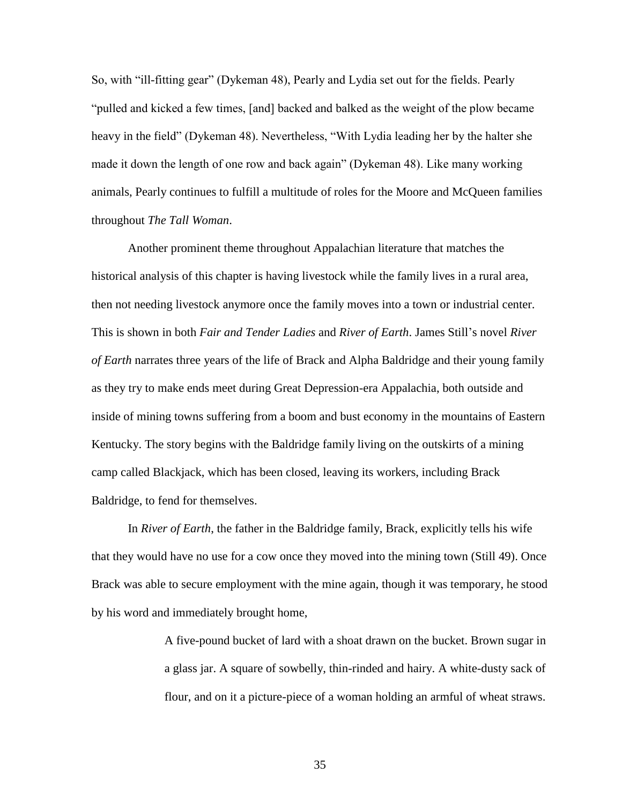So, with "ill-fitting gear" (Dykeman 48), Pearly and Lydia set out for the fields. Pearly "pulled and kicked a few times, [and] backed and balked as the weight of the plow became heavy in the field" (Dykeman 48). Nevertheless, "With Lydia leading her by the halter she made it down the length of one row and back again" (Dykeman 48). Like many working animals, Pearly continues to fulfill a multitude of roles for the Moore and McQueen families throughout *The Tall Woman*.

Another prominent theme throughout Appalachian literature that matches the historical analysis of this chapter is having livestock while the family lives in a rural area, then not needing livestock anymore once the family moves into a town or industrial center. This is shown in both *Fair and Tender Ladies* and *River of Earth*. James Still's novel *River of Earth* narrates three years of the life of Brack and Alpha Baldridge and their young family as they try to make ends meet during Great Depression-era Appalachia, both outside and inside of mining towns suffering from a boom and bust economy in the mountains of Eastern Kentucky. The story begins with the Baldridge family living on the outskirts of a mining camp called Blackjack, which has been closed, leaving its workers, including Brack Baldridge, to fend for themselves.

In *River of Earth*, the father in the Baldridge family, Brack, explicitly tells his wife that they would have no use for a cow once they moved into the mining town (Still 49). Once Brack was able to secure employment with the mine again, though it was temporary, he stood by his word and immediately brought home,

> A five-pound bucket of lard with a shoat drawn on the bucket. Brown sugar in a glass jar. A square of sowbelly, thin-rinded and hairy. A white-dusty sack of flour, and on it a picture-piece of a woman holding an armful of wheat straws.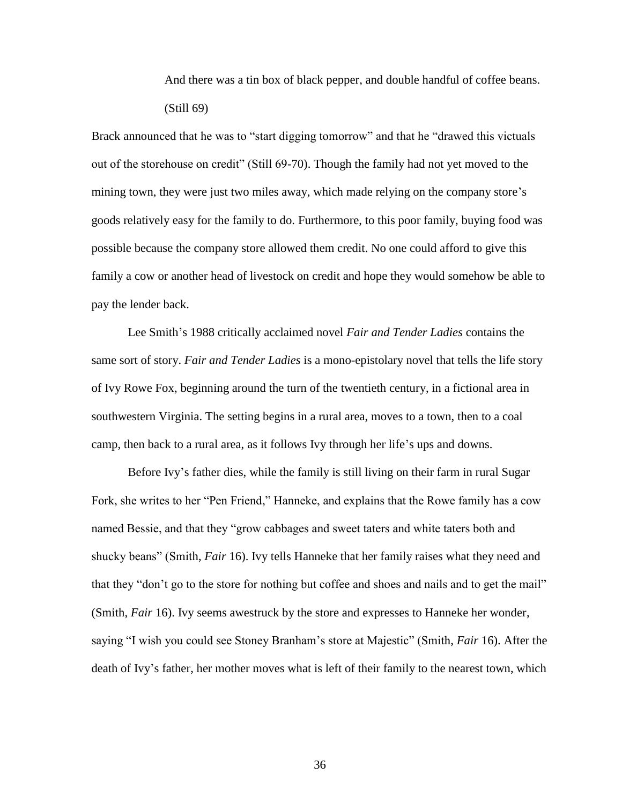And there was a tin box of black pepper, and double handful of coffee beans. (Still 69)

Brack announced that he was to "start digging tomorrow" and that he "drawed this victuals out of the storehouse on credit" (Still 69-70). Though the family had not yet moved to the mining town, they were just two miles away, which made relying on the company store's goods relatively easy for the family to do. Furthermore, to this poor family, buying food was possible because the company store allowed them credit. No one could afford to give this family a cow or another head of livestock on credit and hope they would somehow be able to pay the lender back.

Lee Smith's 1988 critically acclaimed novel *Fair and Tender Ladies* contains the same sort of story. *Fair and Tender Ladies* is a mono-epistolary novel that tells the life story of Ivy Rowe Fox, beginning around the turn of the twentieth century, in a fictional area in southwestern Virginia. The setting begins in a rural area, moves to a town, then to a coal camp, then back to a rural area, as it follows Ivy through her life's ups and downs.

Before Ivy's father dies, while the family is still living on their farm in rural Sugar Fork, she writes to her "Pen Friend," Hanneke, and explains that the Rowe family has a cow named Bessie, and that they "grow cabbages and sweet taters and white taters both and shucky beans" (Smith, *Fair* 16). Ivy tells Hanneke that her family raises what they need and that they "don't go to the store for nothing but coffee and shoes and nails and to get the mail" (Smith, *Fair* 16). Ivy seems awestruck by the store and expresses to Hanneke her wonder, saying "I wish you could see Stoney Branham's store at Majestic" (Smith, *Fair* 16). After the death of Ivy's father, her mother moves what is left of their family to the nearest town, which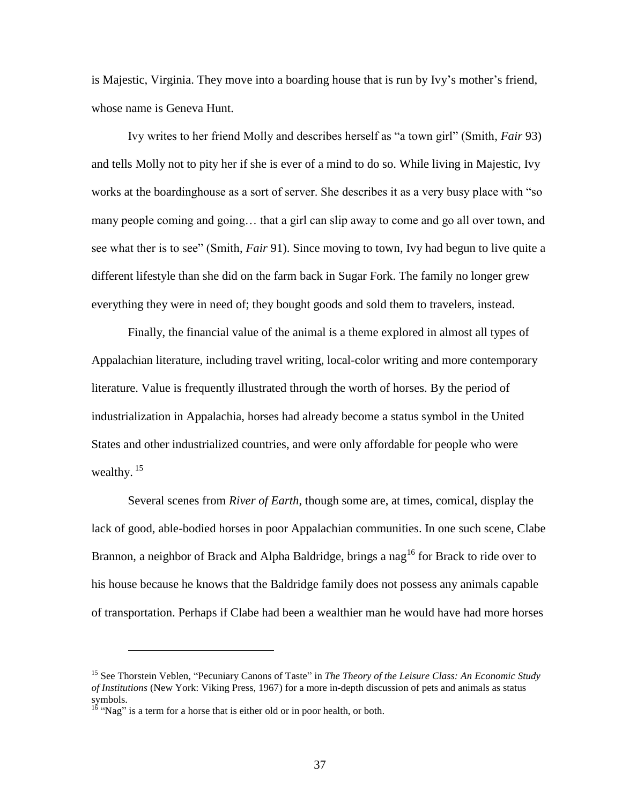is Majestic, Virginia. They move into a boarding house that is run by Ivy's mother's friend, whose name is Geneva Hunt.

Ivy writes to her friend Molly and describes herself as "a town girl" (Smith, *Fair* 93) and tells Molly not to pity her if she is ever of a mind to do so. While living in Majestic, Ivy works at the boardinghouse as a sort of server. She describes it as a very busy place with "so many people coming and going… that a girl can slip away to come and go all over town, and see what ther is to see" (Smith, *Fair* 91). Since moving to town, Ivy had begun to live quite a different lifestyle than she did on the farm back in Sugar Fork. The family no longer grew everything they were in need of; they bought goods and sold them to travelers, instead.

Finally, the financial value of the animal is a theme explored in almost all types of Appalachian literature, including travel writing, local-color writing and more contemporary literature. Value is frequently illustrated through the worth of horses. By the period of industrialization in Appalachia, horses had already become a status symbol in the United States and other industrialized countries, and were only affordable for people who were wealthy.  $15$ 

Several scenes from *River of Earth*, though some are, at times, comical, display the lack of good, able-bodied horses in poor Appalachian communities. In one such scene, Clabe Brannon, a neighbor of Brack and Alpha Baldridge, brings a nag<sup>16</sup> for Brack to ride over to his house because he knows that the Baldridge family does not possess any animals capable of transportation. Perhaps if Clabe had been a wealthier man he would have had more horses

<sup>15</sup> See Thorstein Veblen, "Pecuniary Canons of Taste" in *The Theory of the Leisure Class: An Economic Study of Institutions* (New York: Viking Press, 1967) for a more in-depth discussion of pets and animals as status symbols.

 $16$  "Nag" is a term for a horse that is either old or in poor health, or both.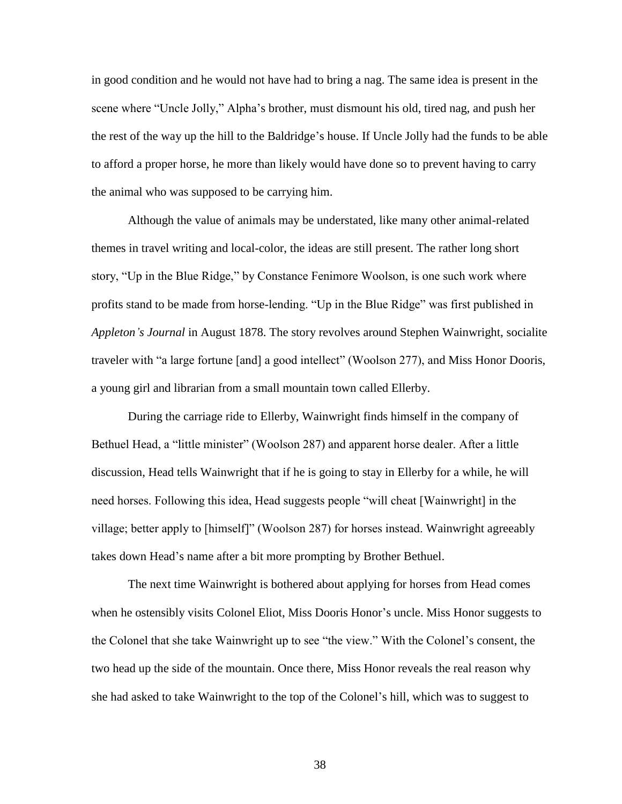in good condition and he would not have had to bring a nag. The same idea is present in the scene where "Uncle Jolly," Alpha's brother, must dismount his old, tired nag, and push her the rest of the way up the hill to the Baldridge's house. If Uncle Jolly had the funds to be able to afford a proper horse, he more than likely would have done so to prevent having to carry the animal who was supposed to be carrying him.

Although the value of animals may be understated, like many other animal-related themes in travel writing and local-color, the ideas are still present. The rather long short story, "Up in the Blue Ridge," by Constance Fenimore Woolson, is one such work where profits stand to be made from horse-lending. "Up in the Blue Ridge" was first published in *Appleton's Journal* in August 1878. The story revolves around Stephen Wainwright, socialite traveler with "a large fortune [and] a good intellect" (Woolson 277), and Miss Honor Dooris, a young girl and librarian from a small mountain town called Ellerby.

During the carriage ride to Ellerby, Wainwright finds himself in the company of Bethuel Head, a "little minister" (Woolson 287) and apparent horse dealer. After a little discussion, Head tells Wainwright that if he is going to stay in Ellerby for a while, he will need horses. Following this idea, Head suggests people "will cheat [Wainwright] in the village; better apply to [himself]" (Woolson 287) for horses instead. Wainwright agreeably takes down Head's name after a bit more prompting by Brother Bethuel.

The next time Wainwright is bothered about applying for horses from Head comes when he ostensibly visits Colonel Eliot, Miss Dooris Honor's uncle. Miss Honor suggests to the Colonel that she take Wainwright up to see "the view." With the Colonel's consent, the two head up the side of the mountain. Once there, Miss Honor reveals the real reason why she had asked to take Wainwright to the top of the Colonel's hill, which was to suggest to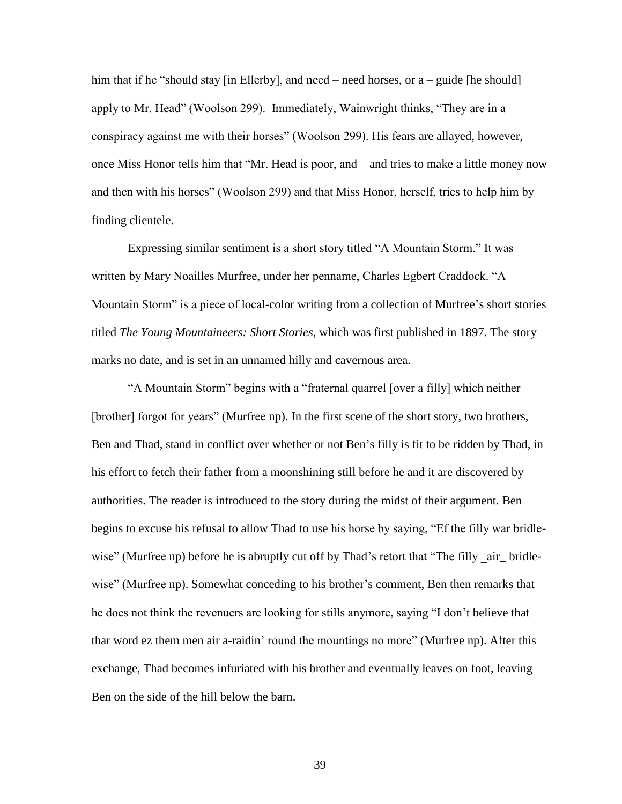him that if he "should stay [in Ellerby], and need – need horses, or a – guide [he should] apply to Mr. Head" (Woolson 299). Immediately, Wainwright thinks, "They are in a conspiracy against me with their horses" (Woolson 299). His fears are allayed, however, once Miss Honor tells him that "Mr. Head is poor, and – and tries to make a little money now and then with his horses" (Woolson 299) and that Miss Honor, herself, tries to help him by finding clientele.

Expressing similar sentiment is a short story titled "A Mountain Storm." It was written by Mary Noailles Murfree, under her penname, Charles Egbert Craddock. "A Mountain Storm" is a piece of local-color writing from a collection of Murfree's short stories titled *The Young Mountaineers: Short Stories*, which was first published in 1897. The story marks no date, and is set in an unnamed hilly and cavernous area.

"A Mountain Storm" begins with a "fraternal quarrel [over a filly] which neither [brother] forgot for years" (Murfree np). In the first scene of the short story, two brothers, Ben and Thad, stand in conflict over whether or not Ben's filly is fit to be ridden by Thad, in his effort to fetch their father from a moonshining still before he and it are discovered by authorities. The reader is introduced to the story during the midst of their argument. Ben begins to excuse his refusal to allow Thad to use his horse by saying, "Ef the filly war bridlewise" (Murfree np) before he is abruptly cut off by Thad's retort that "The filly air\_ bridlewise" (Murfree np). Somewhat conceding to his brother's comment, Ben then remarks that he does not think the revenuers are looking for stills anymore, saying "I don't believe that thar word ez them men air a-raidin' round the mountings no more" (Murfree np). After this exchange, Thad becomes infuriated with his brother and eventually leaves on foot, leaving Ben on the side of the hill below the barn.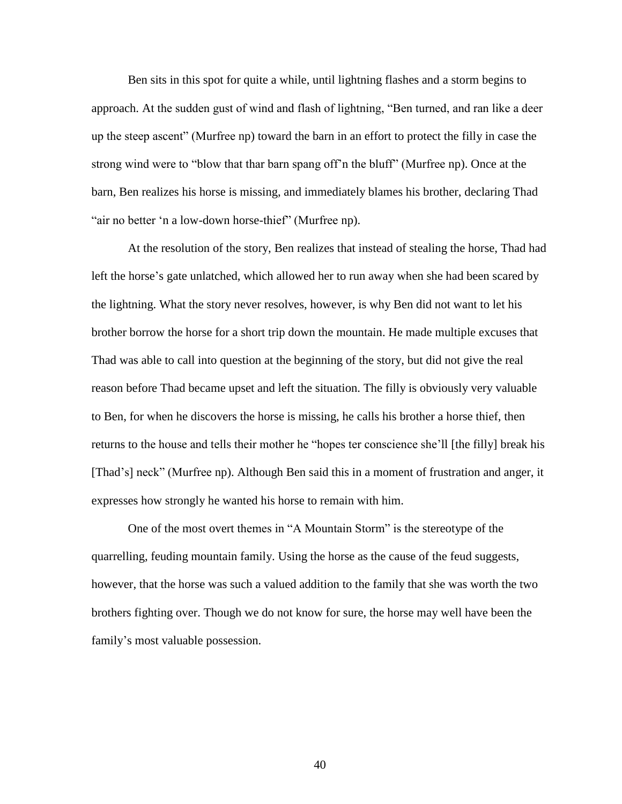Ben sits in this spot for quite a while, until lightning flashes and a storm begins to approach. At the sudden gust of wind and flash of lightning, "Ben turned, and ran like a deer up the steep ascent" (Murfree np) toward the barn in an effort to protect the filly in case the strong wind were to "blow that thar barn spang off'n the bluff" (Murfree np). Once at the barn, Ben realizes his horse is missing, and immediately blames his brother, declaring Thad "air no better 'n a low-down horse-thief" (Murfree np).

At the resolution of the story, Ben realizes that instead of stealing the horse, Thad had left the horse's gate unlatched, which allowed her to run away when she had been scared by the lightning. What the story never resolves, however, is why Ben did not want to let his brother borrow the horse for a short trip down the mountain. He made multiple excuses that Thad was able to call into question at the beginning of the story, but did not give the real reason before Thad became upset and left the situation. The filly is obviously very valuable to Ben, for when he discovers the horse is missing, he calls his brother a horse thief, then returns to the house and tells their mother he "hopes ter conscience she'll [the filly] break his [Thad's] neck" (Murfree np). Although Ben said this in a moment of frustration and anger, it expresses how strongly he wanted his horse to remain with him.

One of the most overt themes in "A Mountain Storm" is the stereotype of the quarrelling, feuding mountain family. Using the horse as the cause of the feud suggests, however, that the horse was such a valued addition to the family that she was worth the two brothers fighting over. Though we do not know for sure, the horse may well have been the family's most valuable possession.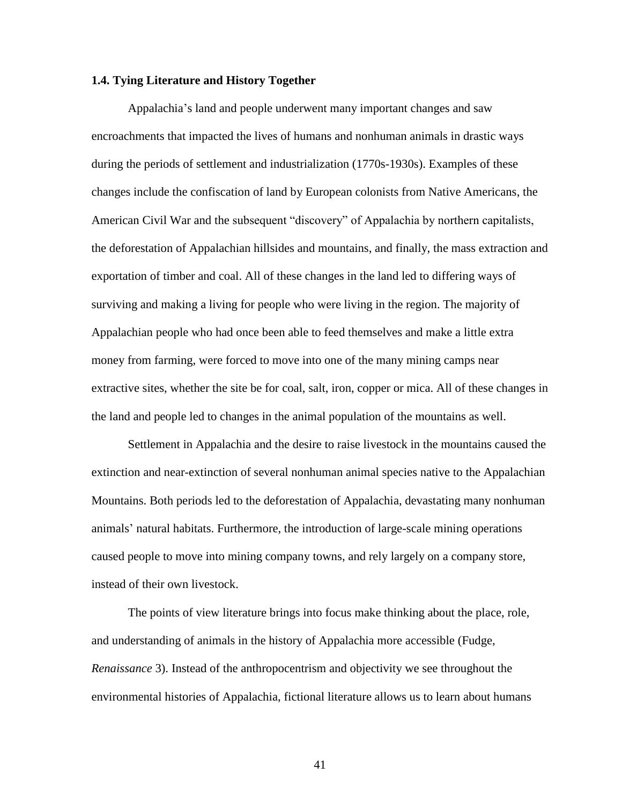#### **1.4. Tying Literature and History Together**

Appalachia's land and people underwent many important changes and saw encroachments that impacted the lives of humans and nonhuman animals in drastic ways during the periods of settlement and industrialization (1770s-1930s). Examples of these changes include the confiscation of land by European colonists from Native Americans, the American Civil War and the subsequent "discovery" of Appalachia by northern capitalists, the deforestation of Appalachian hillsides and mountains, and finally, the mass extraction and exportation of timber and coal. All of these changes in the land led to differing ways of surviving and making a living for people who were living in the region. The majority of Appalachian people who had once been able to feed themselves and make a little extra money from farming, were forced to move into one of the many mining camps near extractive sites, whether the site be for coal, salt, iron, copper or mica. All of these changes in the land and people led to changes in the animal population of the mountains as well.

Settlement in Appalachia and the desire to raise livestock in the mountains caused the extinction and near-extinction of several nonhuman animal species native to the Appalachian Mountains. Both periods led to the deforestation of Appalachia, devastating many nonhuman animals' natural habitats. Furthermore, the introduction of large-scale mining operations caused people to move into mining company towns, and rely largely on a company store, instead of their own livestock.

The points of view literature brings into focus make thinking about the place, role, and understanding of animals in the history of Appalachia more accessible (Fudge, *Renaissance* 3). Instead of the anthropocentrism and objectivity we see throughout the environmental histories of Appalachia, fictional literature allows us to learn about humans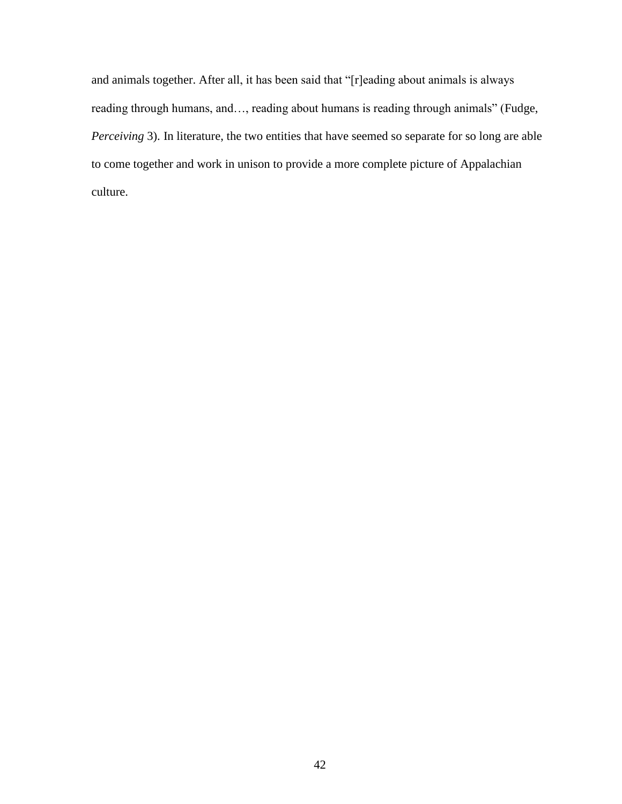and animals together. After all, it has been said that "[r]eading about animals is always reading through humans, and…, reading about humans is reading through animals" (Fudge, *Perceiving* 3). In literature, the two entities that have seemed so separate for so long are able to come together and work in unison to provide a more complete picture of Appalachian culture.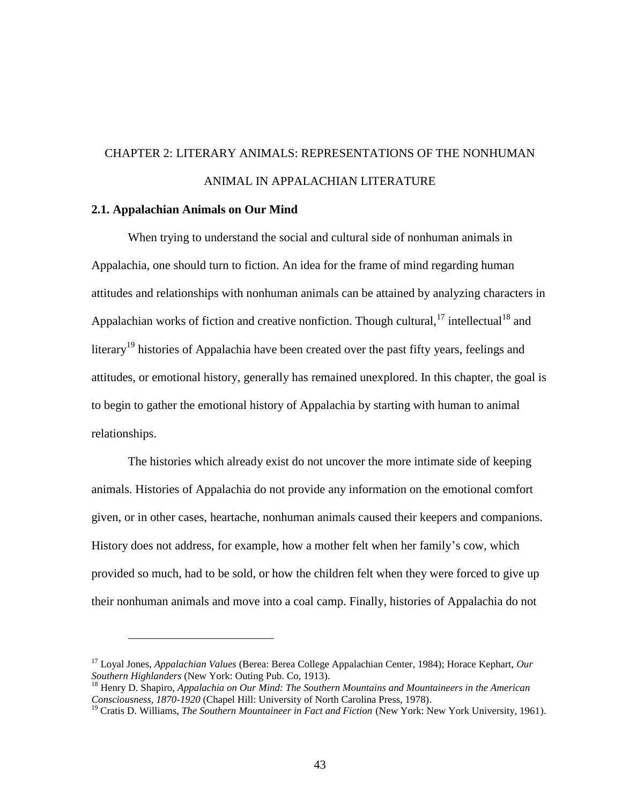# CHAPTER 2: LITERARY ANIMALS: REPRESENTATIONS OF THE NONHUMAN ANIMAL IN APPALACHIAN LITERATURE

#### **2.1. Appalachian Animals on Our Mind**

 $\overline{a}$ 

When trying to understand the social and cultural side of nonhuman animals in Appalachia, one should turn to fiction. An idea for the frame of mind regarding human attitudes and relationships with nonhuman animals can be attained by analyzing characters in Appalachian works of fiction and creative nonfiction. Though cultural,  $17$  intellectual  $18$  and literary<sup>19</sup> histories of Appalachia have been created over the past fifty years, feelings and attitudes, or emotional history, generally has remained unexplored. In this chapter, the goal is to begin to gather the emotional history of Appalachia by starting with human to animal relationships.

The histories which already exist do not uncover the more intimate side of keeping animals. Histories of Appalachia do not provide any information on the emotional comfort given, or in other cases, heartache, nonhuman animals caused their keepers and companions. History does not address, for example, how a mother felt when her family's cow, which provided so much, had to be sold, or how the children felt when they were forced to give up their nonhuman animals and move into a coal camp. Finally, histories of Appalachia do not

<sup>17</sup> Loyal Jones, *Appalachian Values* (Berea: Berea College Appalachian Center, 1984); Horace Kephart, *Our Southern Highlanders* (New York: Outing Pub. Co, 1913).

<sup>18</sup> Henry D. Shapiro, *Appalachia on Our Mind: The Southern Mountains and Mountaineers in the American Consciousness, 1870-1920* (Chapel Hill: University of North Carolina Press, 1978).

<sup>19</sup> Cratis D. Williams, *The Southern Mountaineer in Fact and Fiction* (New York: New York University, 1961).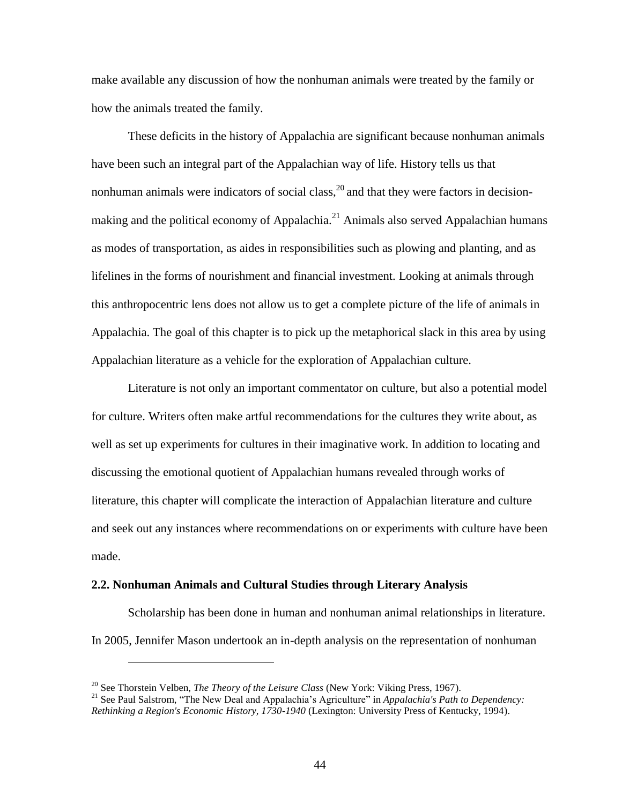make available any discussion of how the nonhuman animals were treated by the family or how the animals treated the family.

These deficits in the history of Appalachia are significant because nonhuman animals have been such an integral part of the Appalachian way of life. History tells us that nonhuman animals were indicators of social class,  $^{20}$  and that they were factors in decisionmaking and the political economy of Appalachia.<sup>21</sup> Animals also served Appalachian humans as modes of transportation, as aides in responsibilities such as plowing and planting, and as lifelines in the forms of nourishment and financial investment. Looking at animals through this anthropocentric lens does not allow us to get a complete picture of the life of animals in Appalachia. The goal of this chapter is to pick up the metaphorical slack in this area by using Appalachian literature as a vehicle for the exploration of Appalachian culture.

Literature is not only an important commentator on culture, but also a potential model for culture. Writers often make artful recommendations for the cultures they write about, as well as set up experiments for cultures in their imaginative work. In addition to locating and discussing the emotional quotient of Appalachian humans revealed through works of literature, this chapter will complicate the interaction of Appalachian literature and culture and seek out any instances where recommendations on or experiments with culture have been made.

#### **2.2. Nonhuman Animals and Cultural Studies through Literary Analysis**

Scholarship has been done in human and nonhuman animal relationships in literature. In 2005, Jennifer Mason undertook an in-depth analysis on the representation of nonhuman

<sup>20</sup> See Thorstein Velben, *The Theory of the Leisure Class* (New York: Viking Press, 1967).

<sup>&</sup>lt;sup>21</sup> See Paul Salstrom, "The New Deal and Appalachia's Agriculture" in *Appalachia's Path to Dependency*: *Rethinking a Region's Economic History, 1730-1940* (Lexington: University Press of Kentucky, 1994).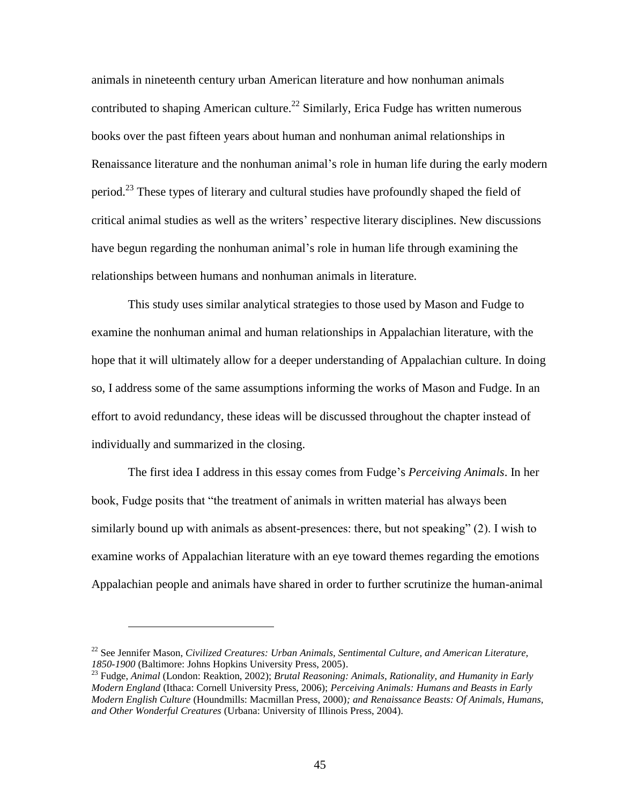animals in nineteenth century urban American literature and how nonhuman animals contributed to shaping American culture.<sup>22</sup> Similarly, Erica Fudge has written numerous books over the past fifteen years about human and nonhuman animal relationships in Renaissance literature and the nonhuman animal's role in human life during the early modern period.<sup>23</sup> These types of literary and cultural studies have profoundly shaped the field of critical animal studies as well as the writers' respective literary disciplines. New discussions have begun regarding the nonhuman animal's role in human life through examining the relationships between humans and nonhuman animals in literature.

This study uses similar analytical strategies to those used by Mason and Fudge to examine the nonhuman animal and human relationships in Appalachian literature, with the hope that it will ultimately allow for a deeper understanding of Appalachian culture. In doing so, I address some of the same assumptions informing the works of Mason and Fudge. In an effort to avoid redundancy, these ideas will be discussed throughout the chapter instead of individually and summarized in the closing.

The first idea I address in this essay comes from Fudge's *Perceiving Animals*. In her book, Fudge posits that "the treatment of animals in written material has always been similarly bound up with animals as absent-presences: there, but not speaking" (2). I wish to examine works of Appalachian literature with an eye toward themes regarding the emotions Appalachian people and animals have shared in order to further scrutinize the human-animal

<sup>22</sup> See Jennifer Mason, *Civilized Creatures: Urban Animals, Sentimental Culture, and American Literature, 1850-1900* (Baltimore: Johns Hopkins University Press, 2005).

<sup>23</sup> Fudge, *Animal* (London: Reaktion, 2002); *Brutal Reasoning: Animals, Rationality, and Humanity in Early Modern England* (Ithaca: Cornell University Press, 2006); *Perceiving Animals: Humans and Beasts in Early Modern English Culture* (Houndmills: Macmillan Press, 2000)*; and Renaissance Beasts: Of Animals, Humans, and Other Wonderful Creatures* (Urbana: University of Illinois Press, 2004).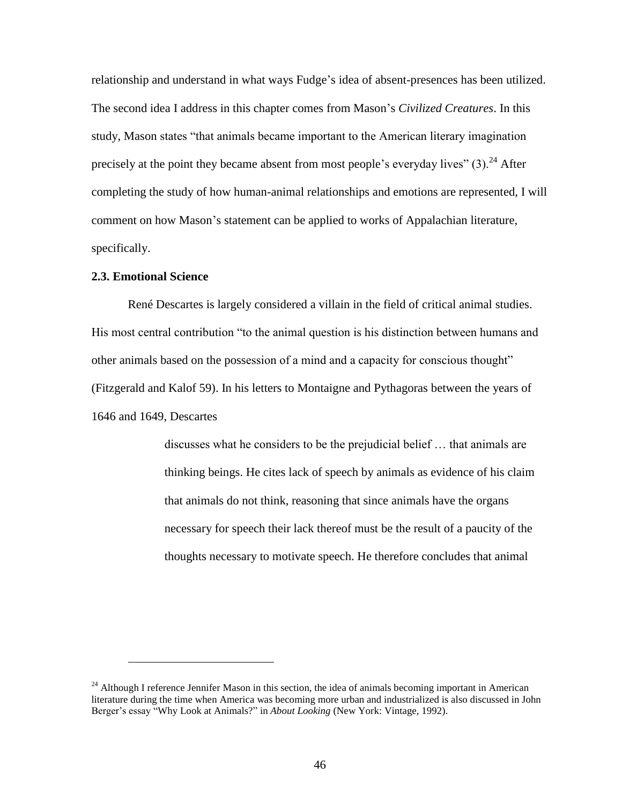relationship and understand in what ways Fudge's idea of absent-presences has been utilized. The second idea I address in this chapter comes from Mason's *Civilized Creatures*. In this study, Mason states "that animals became important to the American literary imagination precisely at the point they became absent from most people's everyday lives"  $(3)$ .<sup>24</sup> After completing the study of how human-animal relationships and emotions are represented, I will comment on how Mason's statement can be applied to works of Appalachian literature, specifically.

## **2.3. Emotional Science**

 $\overline{a}$ 

René Descartes is largely considered a villain in the field of critical animal studies. His most central contribution "to the animal question is his distinction between humans and other animals based on the possession of a mind and a capacity for conscious thought" (Fitzgerald and Kalof 59). In his letters to Montaigne and Pythagoras between the years of 1646 and 1649, Descartes

> discusses what he considers to be the prejudicial belief … that animals are thinking beings. He cites lack of speech by animals as evidence of his claim that animals do not think, reasoning that since animals have the organs necessary for speech their lack thereof must be the result of a paucity of the thoughts necessary to motivate speech. He therefore concludes that animal

 $^{24}$  Although I reference Jennifer Mason in this section, the idea of animals becoming important in American literature during the time when America was becoming more urban and industrialized is also discussed in John Berger's essay "Why Look at Animals?" in *About Looking* (New York: Vintage, 1992).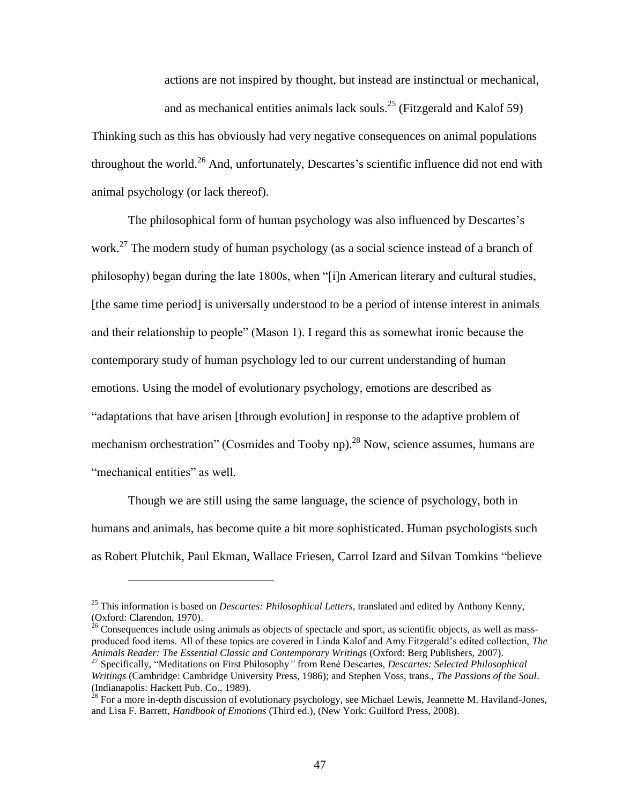actions are not inspired by thought, but instead are instinctual or mechanical,

and as mechanical entities animals lack souls.<sup>25</sup> (Fitzgerald and Kalof 59)

Thinking such as this has obviously had very negative consequences on animal populations throughout the world.<sup>26</sup> And, unfortunately, Descartes's scientific influence did not end with animal psychology (or lack thereof).

The philosophical form of human psychology was also influenced by Descartes's work.<sup>27</sup> The modern study of human psychology (as a social science instead of a branch of philosophy) began during the late 1800s, when "[i]n American literary and cultural studies, [the same time period] is universally understood to be a period of intense interest in animals and their relationship to people" (Mason 1). I regard this as somewhat ironic because the contemporary study of human psychology led to our current understanding of human emotions. Using the model of evolutionary psychology, emotions are described as "adaptations that have arisen [through evolution] in response to the adaptive problem of mechanism orchestration" (Cosmides and Tooby np).<sup>28</sup> Now, science assumes, humans are "mechanical entities" as well.

Though we are still using the same language, the science of psychology, both in humans and animals, has become quite a bit more sophisticated. Human psychologists such as Robert Plutchik, Paul Ekman, Wallace Friesen, Carrol Izard and Silvan Tomkins "believe

<sup>25</sup> This information is based on *Descartes: Philosophical Letters*, translated and edited by Anthony Kenny, (Oxford: Clarendon, 1970).

 $^{26}$  Consequences include using animals as objects of spectacle and sport, as scientific objects, as well as massproduced food items. All of these topics are covered in Linda Kalof and Amy Fitzgerald's edited collection, *The Animals Reader: The Essential Classic and Contemporary Writings* (Oxford: Berg Publishers, 2007).

<sup>&</sup>lt;sup>27</sup> Specifically, "Meditations on First Philosophy" from René Descartes, *Descartes: Selected Philosophical Writings* (Cambridge: Cambridge University Press, 1986); and Stephen Voss, trans., *The Passions of the Soul*. (Indianapolis: Hackett Pub. Co., 1989).

 $^{28}$  For a more in-depth discussion of evolutionary psychology, see Michael Lewis, Jeannette M. Haviland-Jones, and Lisa F. Barrett, *Handbook of Emotions* (Third ed.), (New York: Guilford Press, 2008).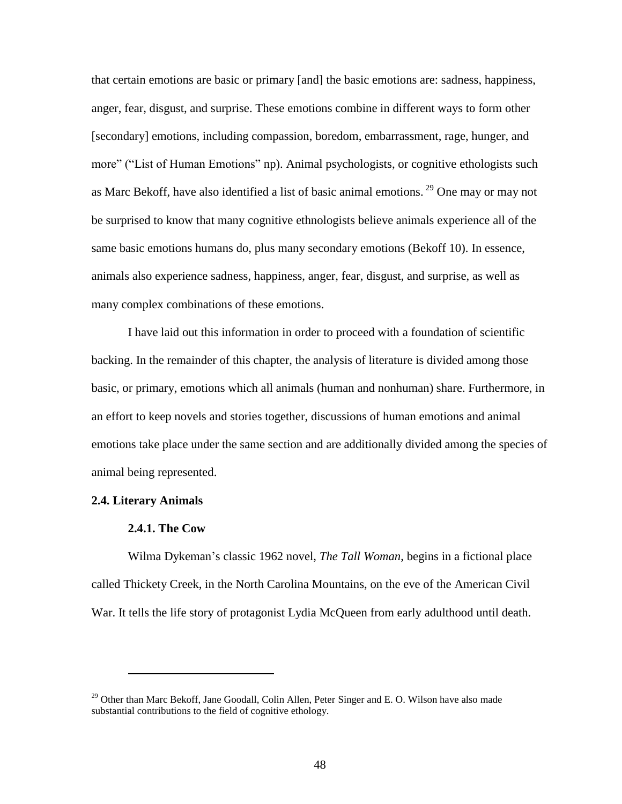that certain emotions are basic or primary [and] the basic emotions are: sadness, happiness, anger, fear, disgust, and surprise. These emotions combine in different ways to form other [secondary] emotions, including compassion, boredom, embarrassment, rage, hunger, and more" ("List of Human Emotions" np). Animal psychologists, or cognitive ethologists such as Marc Bekoff, have also identified a list of basic animal emotions. <sup>29</sup> One may or may not be surprised to know that many cognitive ethnologists believe animals experience all of the same basic emotions humans do, plus many secondary emotions (Bekoff 10). In essence, animals also experience sadness, happiness, anger, fear, disgust, and surprise, as well as many complex combinations of these emotions.

I have laid out this information in order to proceed with a foundation of scientific backing. In the remainder of this chapter, the analysis of literature is divided among those basic, or primary, emotions which all animals (human and nonhuman) share. Furthermore, in an effort to keep novels and stories together, discussions of human emotions and animal emotions take place under the same section and are additionally divided among the species of animal being represented.

#### **2.4. Literary Animals**

 $\overline{a}$ 

### **2.4.1. The Cow**

Wilma Dykeman's classic 1962 novel, *The Tall Woman*, begins in a fictional place called Thickety Creek, in the North Carolina Mountains, on the eve of the American Civil War. It tells the life story of protagonist Lydia McQueen from early adulthood until death.

<sup>&</sup>lt;sup>29</sup> Other than Marc Bekoff, Jane Goodall, Colin Allen, Peter Singer and E. O. Wilson have also made substantial contributions to the field of cognitive ethology.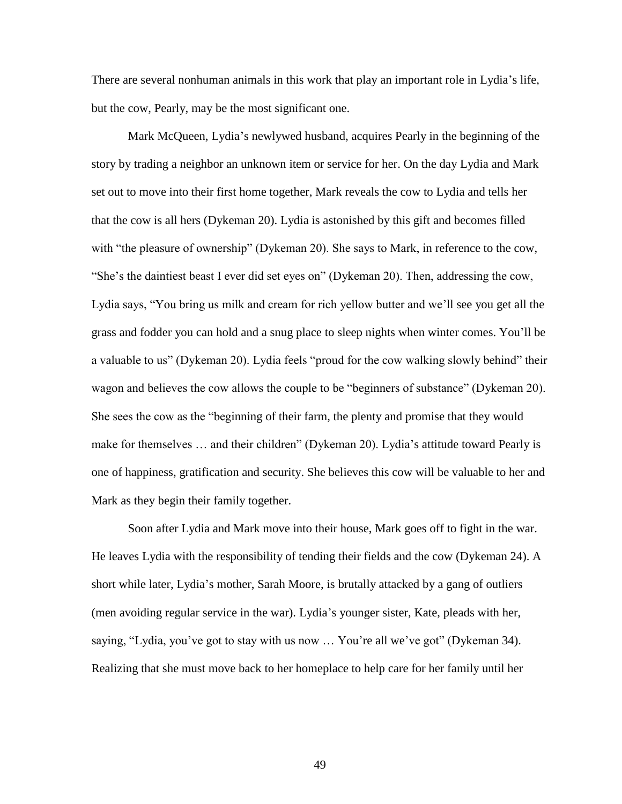There are several nonhuman animals in this work that play an important role in Lydia's life, but the cow, Pearly, may be the most significant one.

Mark McQueen, Lydia's newlywed husband, acquires Pearly in the beginning of the story by trading a neighbor an unknown item or service for her. On the day Lydia and Mark set out to move into their first home together, Mark reveals the cow to Lydia and tells her that the cow is all hers (Dykeman 20). Lydia is astonished by this gift and becomes filled with "the pleasure of ownership" (Dykeman 20). She says to Mark, in reference to the cow, "She's the daintiest beast I ever did set eyes on" (Dykeman 20). Then, addressing the cow, Lydia says, "You bring us milk and cream for rich yellow butter and we'll see you get all the grass and fodder you can hold and a snug place to sleep nights when winter comes. You'll be a valuable to us" (Dykeman 20). Lydia feels "proud for the cow walking slowly behind" their wagon and believes the cow allows the couple to be "beginners of substance" (Dykeman 20). She sees the cow as the "beginning of their farm, the plenty and promise that they would make for themselves … and their children" (Dykeman 20). Lydia's attitude toward Pearly is one of happiness, gratification and security. She believes this cow will be valuable to her and Mark as they begin their family together.

Soon after Lydia and Mark move into their house, Mark goes off to fight in the war. He leaves Lydia with the responsibility of tending their fields and the cow (Dykeman 24). A short while later, Lydia's mother, Sarah Moore, is brutally attacked by a gang of outliers (men avoiding regular service in the war). Lydia's younger sister, Kate, pleads with her, saying, "Lydia, you've got to stay with us now … You're all we've got" (Dykeman 34). Realizing that she must move back to her homeplace to help care for her family until her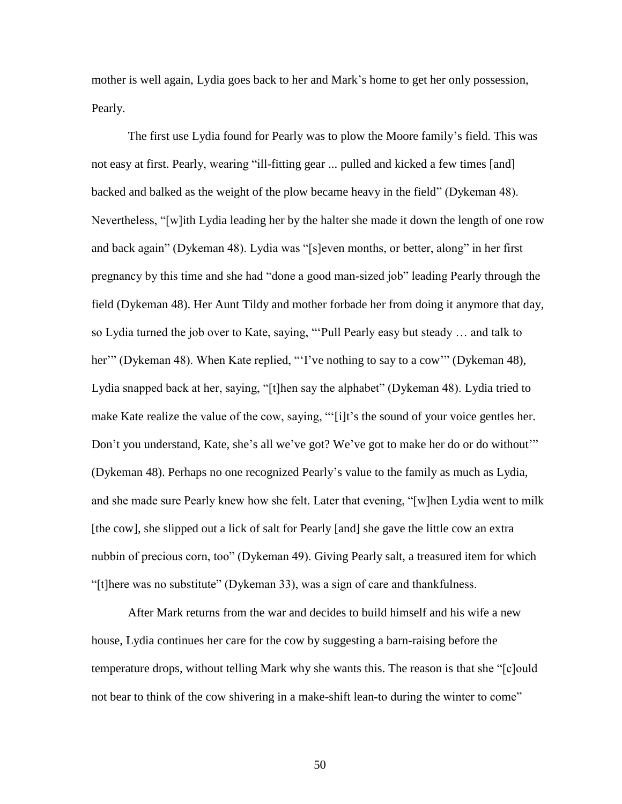mother is well again, Lydia goes back to her and Mark's home to get her only possession, Pearly.

The first use Lydia found for Pearly was to plow the Moore family's field. This was not easy at first. Pearly, wearing "ill-fitting gear ... pulled and kicked a few times [and] backed and balked as the weight of the plow became heavy in the field" (Dykeman 48). Nevertheless, "[w]ith Lydia leading her by the halter she made it down the length of one row and back again" (Dykeman 48). Lydia was "[s]even months, or better, along" in her first pregnancy by this time and she had "done a good man-sized job" leading Pearly through the field (Dykeman 48). Her Aunt Tildy and mother forbade her from doing it anymore that day, so Lydia turned the job over to Kate, saying, "'Pull Pearly easy but steady … and talk to her'" (Dykeman 48). When Kate replied, "'I've nothing to say to a cow'" (Dykeman 48), Lydia snapped back at her, saying, "[t]hen say the alphabet" (Dykeman 48). Lydia tried to make Kate realize the value of the cow, saying, "'[i]t's the sound of your voice gentles her. Don't you understand, Kate, she's all we've got? We've got to make her do or do without'" (Dykeman 48). Perhaps no one recognized Pearly's value to the family as much as Lydia, and she made sure Pearly knew how she felt. Later that evening, "[w]hen Lydia went to milk [the cow], she slipped out a lick of salt for Pearly [and] she gave the little cow an extra nubbin of precious corn, too" (Dykeman 49). Giving Pearly salt, a treasured item for which "[t]here was no substitute" (Dykeman 33), was a sign of care and thankfulness.

After Mark returns from the war and decides to build himself and his wife a new house, Lydia continues her care for the cow by suggesting a barn-raising before the temperature drops, without telling Mark why she wants this. The reason is that she "[c]ould not bear to think of the cow shivering in a make-shift lean-to during the winter to come"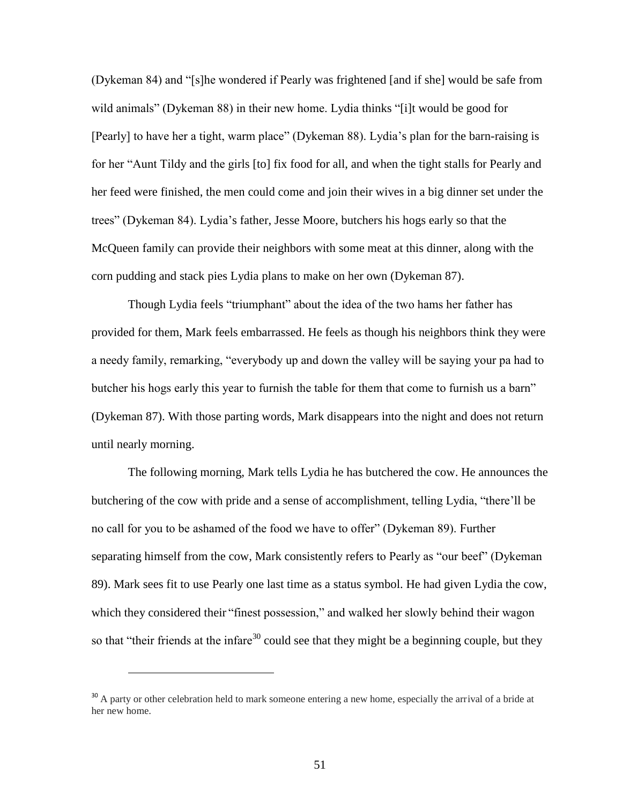(Dykeman 84) and "[s]he wondered if Pearly was frightened [and if she] would be safe from wild animals" (Dykeman 88) in their new home. Lydia thinks "[i]t would be good for [Pearly] to have her a tight, warm place" (Dykeman 88). Lydia's plan for the barn-raising is for her "Aunt Tildy and the girls [to] fix food for all, and when the tight stalls for Pearly and her feed were finished, the men could come and join their wives in a big dinner set under the trees" (Dykeman 84). Lydia's father, Jesse Moore, butchers his hogs early so that the McQueen family can provide their neighbors with some meat at this dinner, along with the corn pudding and stack pies Lydia plans to make on her own (Dykeman 87).

Though Lydia feels "triumphant" about the idea of the two hams her father has provided for them, Mark feels embarrassed. He feels as though his neighbors think they were a needy family, remarking, "everybody up and down the valley will be saying your pa had to butcher his hogs early this year to furnish the table for them that come to furnish us a barn" (Dykeman 87). With those parting words, Mark disappears into the night and does not return until nearly morning.

The following morning, Mark tells Lydia he has butchered the cow. He announces the butchering of the cow with pride and a sense of accomplishment, telling Lydia, "there'll be no call for you to be ashamed of the food we have to offer" (Dykeman 89). Further separating himself from the cow, Mark consistently refers to Pearly as "our beef" (Dykeman 89). Mark sees fit to use Pearly one last time as a status symbol. He had given Lydia the cow, which they considered their "finest possession," and walked her slowly behind their wagon so that "their friends at the infare<sup>30</sup> could see that they might be a beginning couple, but they

<sup>&</sup>lt;sup>30</sup> A party or other celebration held to mark someone entering a new home, especially the arrival of a bride at her new home.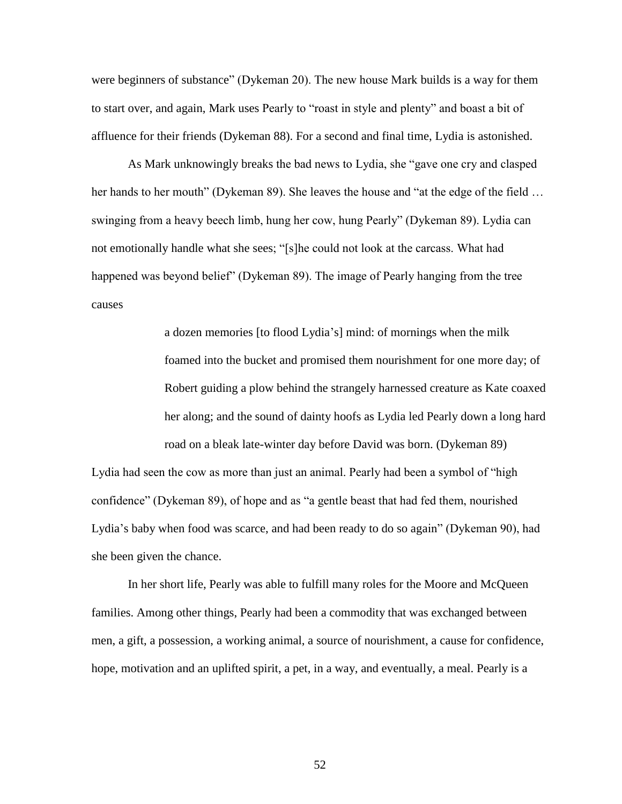were beginners of substance" (Dykeman 20). The new house Mark builds is a way for them to start over, and again, Mark uses Pearly to "roast in style and plenty" and boast a bit of affluence for their friends (Dykeman 88). For a second and final time, Lydia is astonished.

As Mark unknowingly breaks the bad news to Lydia, she "gave one cry and clasped her hands to her mouth" (Dykeman 89). She leaves the house and "at the edge of the field ... swinging from a heavy beech limb, hung her cow, hung Pearly" (Dykeman 89). Lydia can not emotionally handle what she sees; "[s]he could not look at the carcass. What had happened was beyond belief" (Dykeman 89). The image of Pearly hanging from the tree causes

> a dozen memories [to flood Lydia's] mind: of mornings when the milk foamed into the bucket and promised them nourishment for one more day; of Robert guiding a plow behind the strangely harnessed creature as Kate coaxed her along; and the sound of dainty hoofs as Lydia led Pearly down a long hard road on a bleak late-winter day before David was born. (Dykeman 89)

Lydia had seen the cow as more than just an animal. Pearly had been a symbol of "high confidence" (Dykeman 89), of hope and as "a gentle beast that had fed them, nourished Lydia's baby when food was scarce, and had been ready to do so again" (Dykeman 90), had she been given the chance.

In her short life, Pearly was able to fulfill many roles for the Moore and McQueen families. Among other things, Pearly had been a commodity that was exchanged between men, a gift, a possession, a working animal, a source of nourishment, a cause for confidence, hope, motivation and an uplifted spirit, a pet, in a way, and eventually, a meal. Pearly is a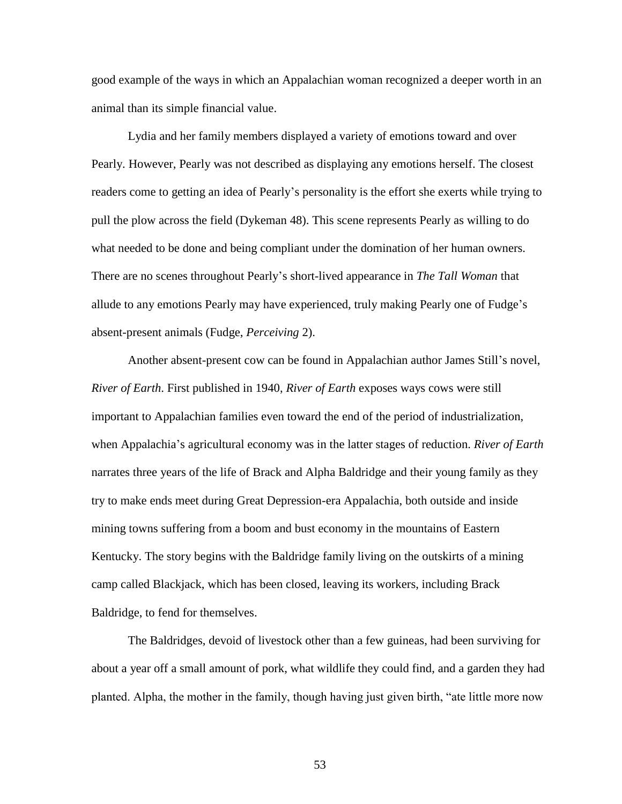good example of the ways in which an Appalachian woman recognized a deeper worth in an animal than its simple financial value.

Lydia and her family members displayed a variety of emotions toward and over Pearly. However, Pearly was not described as displaying any emotions herself. The closest readers come to getting an idea of Pearly's personality is the effort she exerts while trying to pull the plow across the field (Dykeman 48). This scene represents Pearly as willing to do what needed to be done and being compliant under the domination of her human owners. There are no scenes throughout Pearly's short-lived appearance in *The Tall Woman* that allude to any emotions Pearly may have experienced, truly making Pearly one of Fudge's absent-present animals (Fudge, *Perceiving* 2).

Another absent-present cow can be found in Appalachian author James Still's novel, *River of Earth*. First published in 1940, *River of Earth* exposes ways cows were still important to Appalachian families even toward the end of the period of industrialization, when Appalachia's agricultural economy was in the latter stages of reduction. *River of Earth* narrates three years of the life of Brack and Alpha Baldridge and their young family as they try to make ends meet during Great Depression-era Appalachia, both outside and inside mining towns suffering from a boom and bust economy in the mountains of Eastern Kentucky. The story begins with the Baldridge family living on the outskirts of a mining camp called Blackjack, which has been closed, leaving its workers, including Brack Baldridge, to fend for themselves.

The Baldridges, devoid of livestock other than a few guineas, had been surviving for about a year off a small amount of pork, what wildlife they could find, and a garden they had planted. Alpha, the mother in the family, though having just given birth, "ate little more now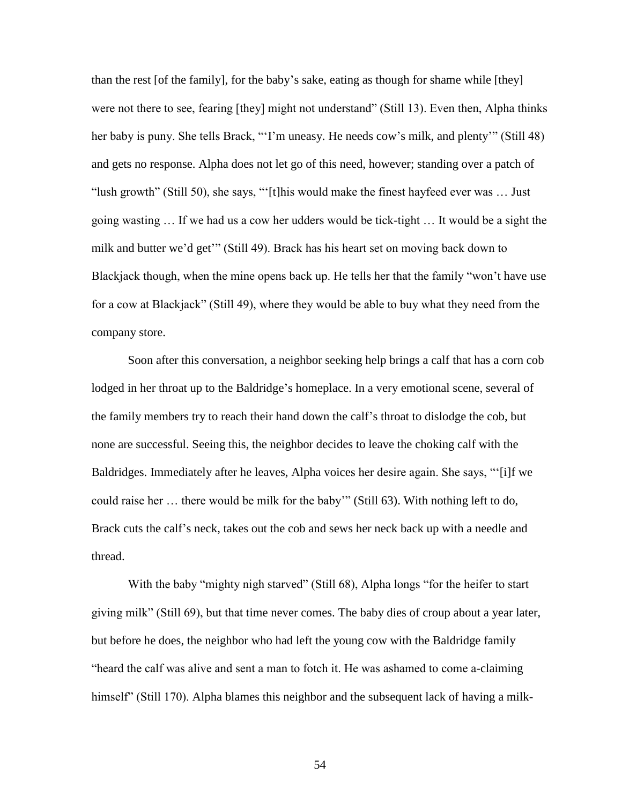than the rest [of the family], for the baby's sake, eating as though for shame while [they] were not there to see, fearing [they] might not understand" (Still 13). Even then, Alpha thinks her baby is puny. She tells Brack, "T'm uneasy. He needs cow's milk, and plenty" (Still 48) and gets no response. Alpha does not let go of this need, however; standing over a patch of "lush growth" (Still 50), she says, "'[t]his would make the finest hayfeed ever was … Just going wasting … If we had us a cow her udders would be tick-tight … It would be a sight the milk and butter we'd get'" (Still 49). Brack has his heart set on moving back down to Blackjack though, when the mine opens back up. He tells her that the family "won't have use for a cow at Blackjack" (Still 49), where they would be able to buy what they need from the company store.

Soon after this conversation, a neighbor seeking help brings a calf that has a corn cob lodged in her throat up to the Baldridge's homeplace. In a very emotional scene, several of the family members try to reach their hand down the calf's throat to dislodge the cob, but none are successful. Seeing this, the neighbor decides to leave the choking calf with the Baldridges. Immediately after he leaves, Alpha voices her desire again. She says, "'[i]f we could raise her … there would be milk for the baby'" (Still 63). With nothing left to do, Brack cuts the calf's neck, takes out the cob and sews her neck back up with a needle and thread.

With the baby "mighty nigh starved" (Still 68), Alpha longs "for the heifer to start giving milk" (Still 69), but that time never comes. The baby dies of croup about a year later, but before he does, the neighbor who had left the young cow with the Baldridge family "heard the calf was alive and sent a man to fotch it. He was ashamed to come a-claiming himself" (Still 170). Alpha blames this neighbor and the subsequent lack of having a milk-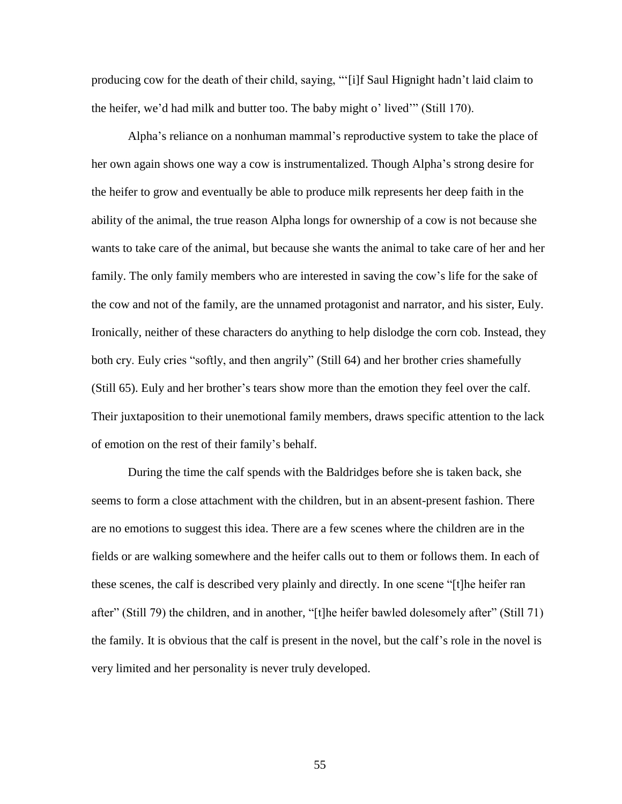producing cow for the death of their child, saying, "'[i]f Saul Hignight hadn't laid claim to the heifer, we'd had milk and butter too. The baby might o' lived'" (Still 170).

Alpha's reliance on a nonhuman mammal's reproductive system to take the place of her own again shows one way a cow is instrumentalized. Though Alpha's strong desire for the heifer to grow and eventually be able to produce milk represents her deep faith in the ability of the animal, the true reason Alpha longs for ownership of a cow is not because she wants to take care of the animal, but because she wants the animal to take care of her and her family. The only family members who are interested in saving the cow's life for the sake of the cow and not of the family, are the unnamed protagonist and narrator, and his sister, Euly. Ironically, neither of these characters do anything to help dislodge the corn cob. Instead, they both cry. Euly cries "softly, and then angrily" (Still 64) and her brother cries shamefully (Still 65). Euly and her brother's tears show more than the emotion they feel over the calf. Their juxtaposition to their unemotional family members, draws specific attention to the lack of emotion on the rest of their family's behalf.

During the time the calf spends with the Baldridges before she is taken back, she seems to form a close attachment with the children, but in an absent-present fashion. There are no emotions to suggest this idea. There are a few scenes where the children are in the fields or are walking somewhere and the heifer calls out to them or follows them. In each of these scenes, the calf is described very plainly and directly. In one scene "[t]he heifer ran after" (Still 79) the children, and in another, "[t]he heifer bawled dolesomely after" (Still 71) the family. It is obvious that the calf is present in the novel, but the calf's role in the novel is very limited and her personality is never truly developed.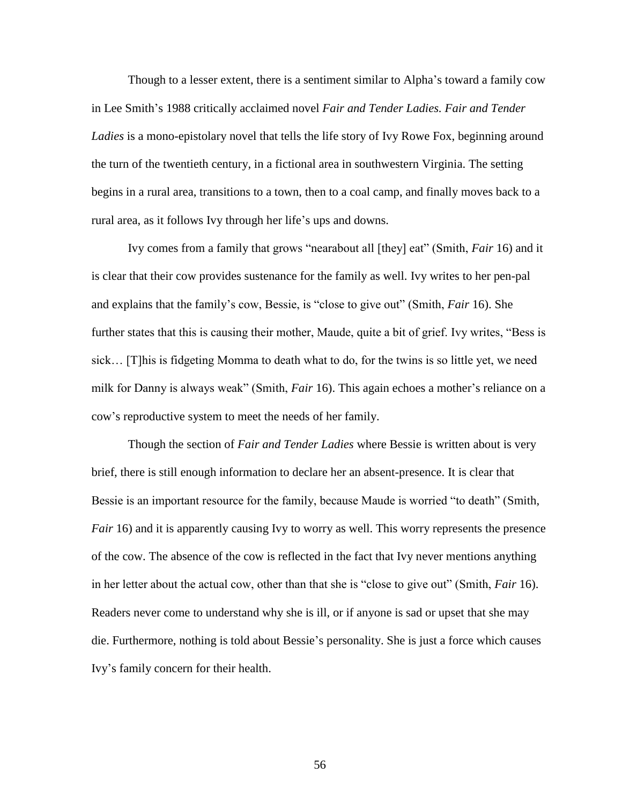Though to a lesser extent, there is a sentiment similar to Alpha's toward a family cow in Lee Smith's 1988 critically acclaimed novel *Fair and Tender Ladies. Fair and Tender*  Ladies is a mono-epistolary novel that tells the life story of Ivy Rowe Fox, beginning around the turn of the twentieth century, in a fictional area in southwestern Virginia. The setting begins in a rural area, transitions to a town, then to a coal camp, and finally moves back to a rural area, as it follows Ivy through her life's ups and downs.

Ivy comes from a family that grows "nearabout all [they] eat" (Smith, *Fair* 16) and it is clear that their cow provides sustenance for the family as well. Ivy writes to her pen-pal and explains that the family's cow, Bessie, is "close to give out" (Smith, *Fair* 16). She further states that this is causing their mother, Maude, quite a bit of grief. Ivy writes, "Bess is sick… [T]his is fidgeting Momma to death what to do, for the twins is so little yet, we need milk for Danny is always weak" (Smith, *Fair* 16). This again echoes a mother's reliance on a cow's reproductive system to meet the needs of her family.

Though the section of *Fair and Tender Ladies* where Bessie is written about is very brief, there is still enough information to declare her an absent-presence. It is clear that Bessie is an important resource for the family, because Maude is worried "to death" (Smith, *Fair* 16) and it is apparently causing Ivy to worry as well. This worry represents the presence of the cow. The absence of the cow is reflected in the fact that Ivy never mentions anything in her letter about the actual cow, other than that she is "close to give out" (Smith, *Fair* 16). Readers never come to understand why she is ill, or if anyone is sad or upset that she may die. Furthermore, nothing is told about Bessie's personality. She is just a force which causes Ivy's family concern for their health.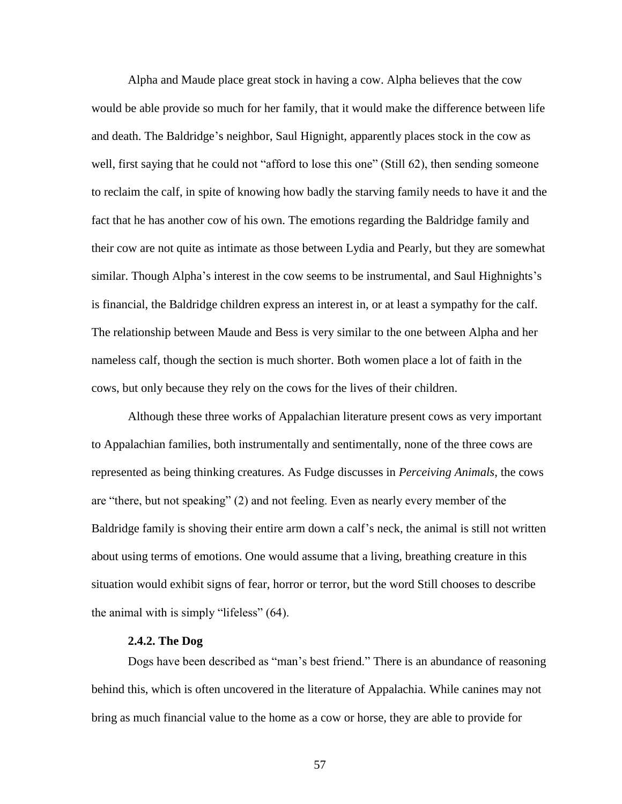Alpha and Maude place great stock in having a cow. Alpha believes that the cow would be able provide so much for her family, that it would make the difference between life and death. The Baldridge's neighbor, Saul Hignight, apparently places stock in the cow as well, first saying that he could not "afford to lose this one" (Still 62), then sending someone to reclaim the calf, in spite of knowing how badly the starving family needs to have it and the fact that he has another cow of his own. The emotions regarding the Baldridge family and their cow are not quite as intimate as those between Lydia and Pearly, but they are somewhat similar. Though Alpha's interest in the cow seems to be instrumental, and Saul Highnights's is financial, the Baldridge children express an interest in, or at least a sympathy for the calf. The relationship between Maude and Bess is very similar to the one between Alpha and her nameless calf, though the section is much shorter. Both women place a lot of faith in the cows, but only because they rely on the cows for the lives of their children.

Although these three works of Appalachian literature present cows as very important to Appalachian families, both instrumentally and sentimentally, none of the three cows are represented as being thinking creatures. As Fudge discusses in *Perceiving Animals*, the cows are "there, but not speaking" (2) and not feeling. Even as nearly every member of the Baldridge family is shoving their entire arm down a calf's neck, the animal is still not written about using terms of emotions. One would assume that a living, breathing creature in this situation would exhibit signs of fear, horror or terror, but the word Still chooses to describe the animal with is simply "lifeless" (64).

# **2.4.2. The Dog**

Dogs have been described as "man's best friend." There is an abundance of reasoning behind this, which is often uncovered in the literature of Appalachia. While canines may not bring as much financial value to the home as a cow or horse, they are able to provide for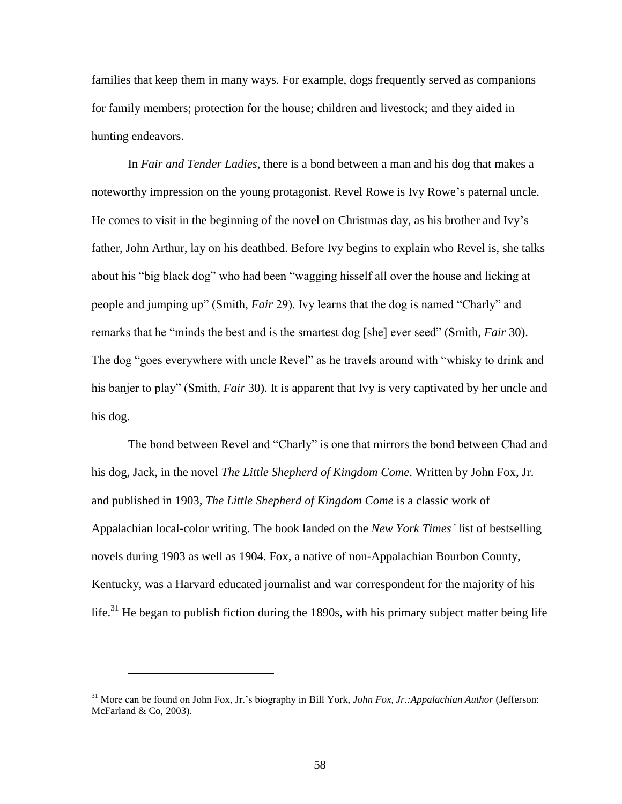families that keep them in many ways. For example, dogs frequently served as companions for family members; protection for the house; children and livestock; and they aided in hunting endeavors.

In *Fair and Tender Ladies*, there is a bond between a man and his dog that makes a noteworthy impression on the young protagonist. Revel Rowe is Ivy Rowe's paternal uncle. He comes to visit in the beginning of the novel on Christmas day, as his brother and Ivy's father, John Arthur, lay on his deathbed. Before Ivy begins to explain who Revel is, she talks about his "big black dog" who had been "wagging hisself all over the house and licking at people and jumping up" (Smith, *Fair* 29). Ivy learns that the dog is named "Charly" and remarks that he "minds the best and is the smartest dog [she] ever seed" (Smith, *Fair* 30). The dog "goes everywhere with uncle Revel" as he travels around with "whisky to drink and his banjer to play" (Smith, *Fair* 30). It is apparent that Ivy is very captivated by her uncle and his dog.

The bond between Revel and "Charly" is one that mirrors the bond between Chad and his dog, Jack, in the novel *The Little Shepherd of Kingdom Come*. Written by John Fox, Jr. and published in 1903, *The Little Shepherd of Kingdom Come* is a classic work of Appalachian local-color writing. The book landed on the *New York Times'* list of bestselling novels during 1903 as well as 1904. Fox, a native of non-Appalachian Bourbon County, Kentucky, was a Harvard educated journalist and war correspondent for the majority of his life.<sup>31</sup> He began to publish fiction during the 1890s, with his primary subject matter being life

<sup>31</sup> More can be found on John Fox, Jr.'s biography in Bill York, *John Fox, Jr.:Appalachian Author* (Jefferson: McFarland & Co, 2003).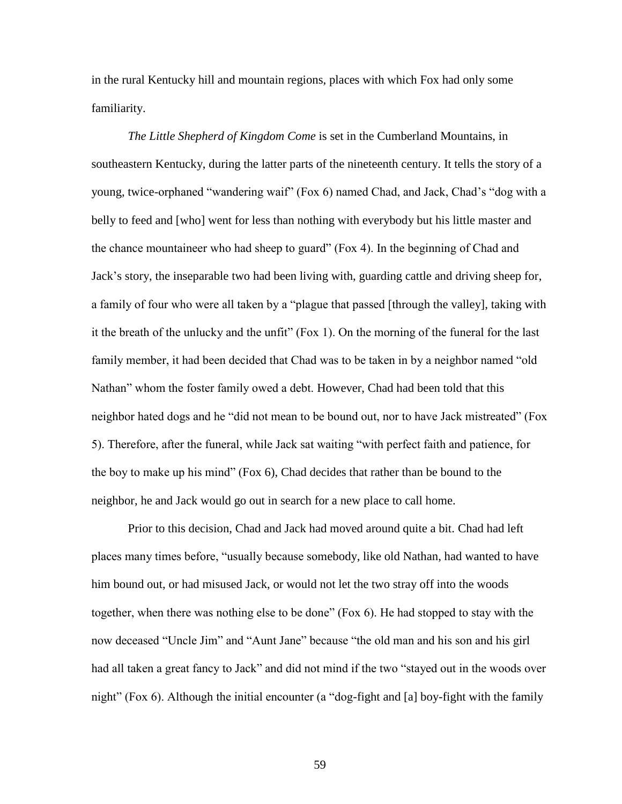in the rural Kentucky hill and mountain regions, places with which Fox had only some familiarity.

*The Little Shepherd of Kingdom Come* is set in the Cumberland Mountains, in southeastern Kentucky, during the latter parts of the nineteenth century. It tells the story of a young, twice-orphaned "wandering waif" (Fox 6) named Chad, and Jack, Chad's "dog with a belly to feed and [who] went for less than nothing with everybody but his little master and the chance mountaineer who had sheep to guard" (Fox 4). In the beginning of Chad and Jack's story, the inseparable two had been living with, guarding cattle and driving sheep for, a family of four who were all taken by a "plague that passed [through the valley], taking with it the breath of the unlucky and the unfit" (Fox 1). On the morning of the funeral for the last family member, it had been decided that Chad was to be taken in by a neighbor named "old Nathan" whom the foster family owed a debt. However, Chad had been told that this neighbor hated dogs and he "did not mean to be bound out, nor to have Jack mistreated" (Fox 5). Therefore, after the funeral, while Jack sat waiting "with perfect faith and patience, for the boy to make up his mind" (Fox 6), Chad decides that rather than be bound to the neighbor, he and Jack would go out in search for a new place to call home.

Prior to this decision, Chad and Jack had moved around quite a bit. Chad had left places many times before, "usually because somebody, like old Nathan, had wanted to have him bound out, or had misused Jack, or would not let the two stray off into the woods together, when there was nothing else to be done" (Fox 6). He had stopped to stay with the now deceased "Uncle Jim" and "Aunt Jane" because "the old man and his son and his girl had all taken a great fancy to Jack" and did not mind if the two "stayed out in the woods over night" (Fox 6). Although the initial encounter (a "dog-fight and [a] boy-fight with the family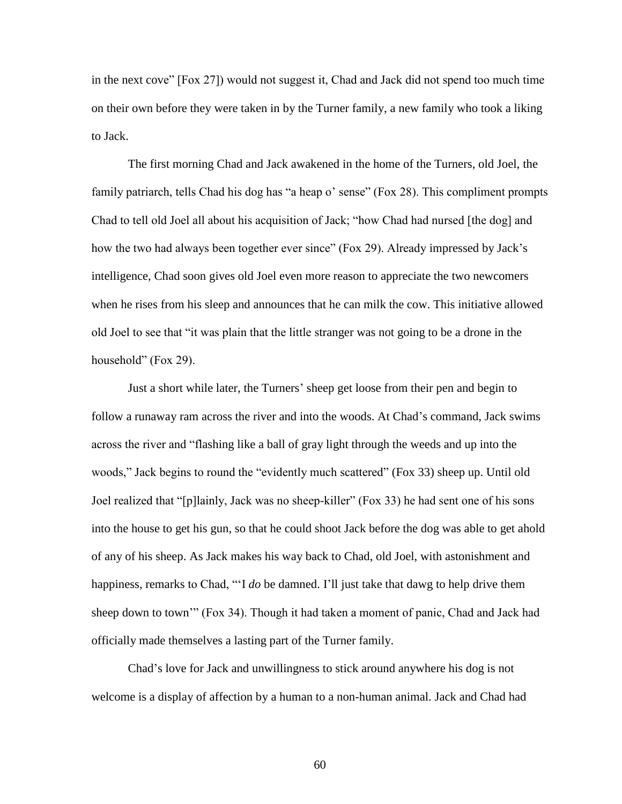in the next cove" [Fox 27]) would not suggest it, Chad and Jack did not spend too much time on their own before they were taken in by the Turner family, a new family who took a liking to Jack.

The first morning Chad and Jack awakened in the home of the Turners, old Joel, the family patriarch, tells Chad his dog has "a heap o' sense" (Fox 28). This compliment prompts Chad to tell old Joel all about his acquisition of Jack; "how Chad had nursed [the dog] and how the two had always been together ever since" (Fox 29). Already impressed by Jack's intelligence, Chad soon gives old Joel even more reason to appreciate the two newcomers when he rises from his sleep and announces that he can milk the cow. This initiative allowed old Joel to see that "it was plain that the little stranger was not going to be a drone in the household" (Fox 29).

Just a short while later, the Turners' sheep get loose from their pen and begin to follow a runaway ram across the river and into the woods. At Chad's command, Jack swims across the river and "flashing like a ball of gray light through the weeds and up into the woods," Jack begins to round the "evidently much scattered" (Fox 33) sheep up. Until old Joel realized that "[p]lainly, Jack was no sheep-killer" (Fox 33) he had sent one of his sons into the house to get his gun, so that he could shoot Jack before the dog was able to get ahold of any of his sheep. As Jack makes his way back to Chad, old Joel, with astonishment and happiness, remarks to Chad, "'I *do* be damned. I'll just take that dawg to help drive them sheep down to town'" (Fox 34). Though it had taken a moment of panic, Chad and Jack had officially made themselves a lasting part of the Turner family.

Chad's love for Jack and unwillingness to stick around anywhere his dog is not welcome is a display of affection by a human to a non-human animal. Jack and Chad had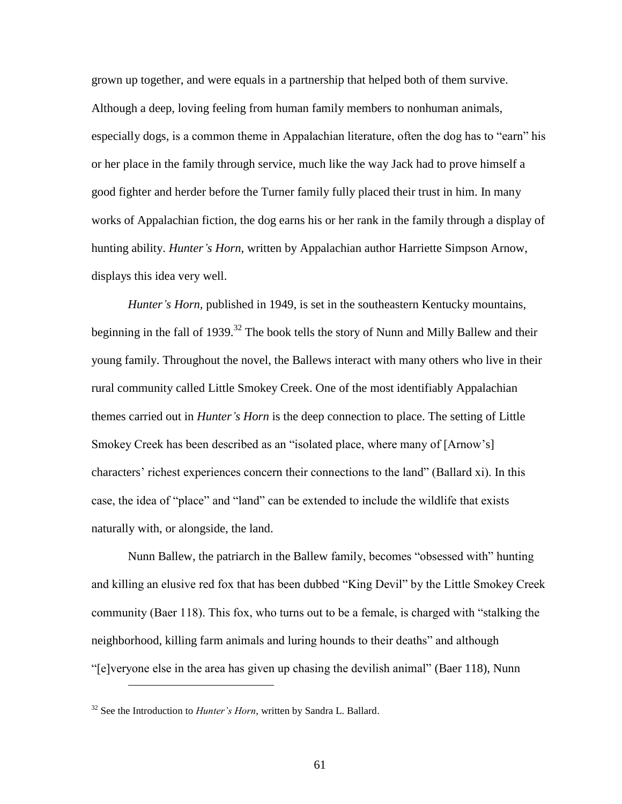grown up together, and were equals in a partnership that helped both of them survive. Although a deep, loving feeling from human family members to nonhuman animals, especially dogs, is a common theme in Appalachian literature, often the dog has to "earn" his or her place in the family through service, much like the way Jack had to prove himself a good fighter and herder before the Turner family fully placed their trust in him. In many works of Appalachian fiction, the dog earns his or her rank in the family through a display of hunting ability. *Hunter's Horn*, written by Appalachian author Harriette Simpson Arnow, displays this idea very well.

*Hunter's Horn,* published in 1949, is set in the southeastern Kentucky mountains, beginning in the fall of 1939.<sup>32</sup> The book tells the story of Nunn and Milly Ballew and their young family. Throughout the novel, the Ballews interact with many others who live in their rural community called Little Smokey Creek. One of the most identifiably Appalachian themes carried out in *Hunter's Horn* is the deep connection to place. The setting of Little Smokey Creek has been described as an "isolated place, where many of [Arnow's] characters' richest experiences concern their connections to the land" (Ballard xi). In this case, the idea of "place" and "land" can be extended to include the wildlife that exists naturally with, or alongside, the land.

Nunn Ballew, the patriarch in the Ballew family, becomes "obsessed with" hunting and killing an elusive red fox that has been dubbed "King Devil" by the Little Smokey Creek community (Baer 118). This fox, who turns out to be a female, is charged with "stalking the neighborhood, killing farm animals and luring hounds to their deaths" and although "[e]veryone else in the area has given up chasing the devilish animal" (Baer 118), Nunn

<sup>&</sup>lt;sup>32</sup> See the Introduction to *Hunter's Horn*, written by Sandra L. Ballard.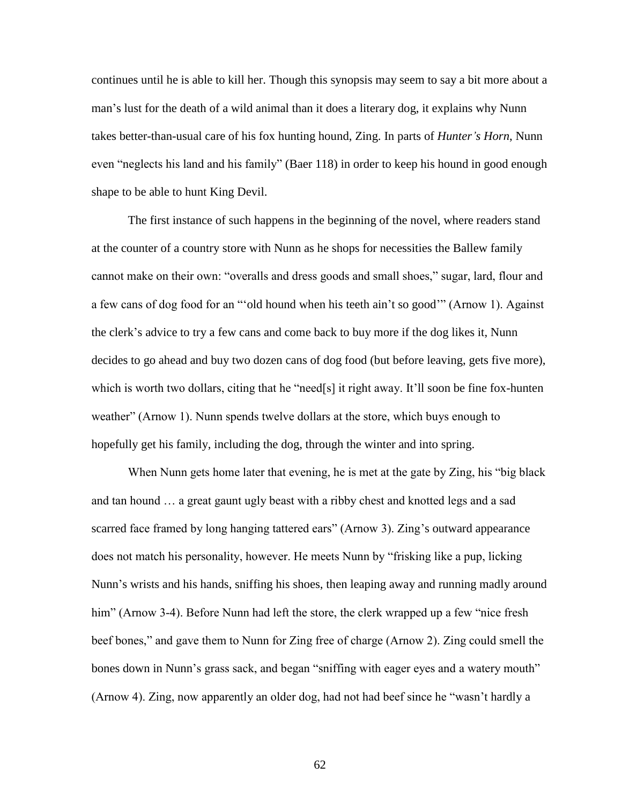continues until he is able to kill her. Though this synopsis may seem to say a bit more about a man's lust for the death of a wild animal than it does a literary dog, it explains why Nunn takes better-than-usual care of his fox hunting hound, Zing. In parts of *Hunter's Horn*, Nunn even "neglects his land and his family" (Baer 118) in order to keep his hound in good enough shape to be able to hunt King Devil.

The first instance of such happens in the beginning of the novel, where readers stand at the counter of a country store with Nunn as he shops for necessities the Ballew family cannot make on their own: "overalls and dress goods and small shoes," sugar, lard, flour and a few cans of dog food for an "'old hound when his teeth ain't so good'" (Arnow 1). Against the clerk's advice to try a few cans and come back to buy more if the dog likes it, Nunn decides to go ahead and buy two dozen cans of dog food (but before leaving, gets five more), which is worth two dollars, citing that he "need[s] it right away. It'll soon be fine fox-hunten weather" (Arnow 1). Nunn spends twelve dollars at the store, which buys enough to hopefully get his family, including the dog, through the winter and into spring.

When Nunn gets home later that evening, he is met at the gate by Zing, his "big black and tan hound … a great gaunt ugly beast with a ribby chest and knotted legs and a sad scarred face framed by long hanging tattered ears" (Arnow 3). Zing's outward appearance does not match his personality, however. He meets Nunn by "frisking like a pup, licking Nunn's wrists and his hands, sniffing his shoes, then leaping away and running madly around him" (Arnow 3-4). Before Nunn had left the store, the clerk wrapped up a few "nice fresh" beef bones," and gave them to Nunn for Zing free of charge (Arnow 2). Zing could smell the bones down in Nunn's grass sack, and began "sniffing with eager eyes and a watery mouth" (Arnow 4). Zing, now apparently an older dog, had not had beef since he "wasn't hardly a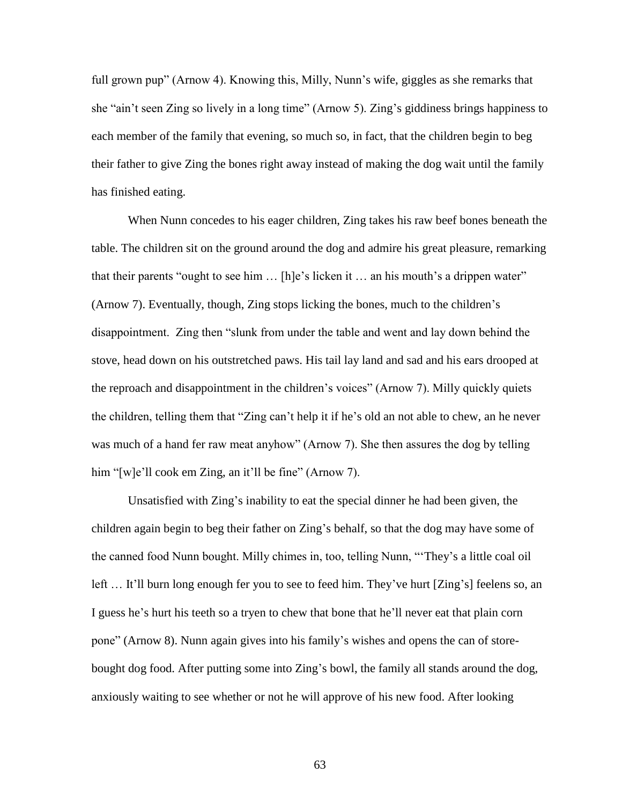full grown pup" (Arnow 4). Knowing this, Milly, Nunn's wife, giggles as she remarks that she "ain't seen Zing so lively in a long time" (Arnow 5). Zing's giddiness brings happiness to each member of the family that evening, so much so, in fact, that the children begin to beg their father to give Zing the bones right away instead of making the dog wait until the family has finished eating.

When Nunn concedes to his eager children, Zing takes his raw beef bones beneath the table. The children sit on the ground around the dog and admire his great pleasure, remarking that their parents "ought to see him … [h]e's licken it … an his mouth's a drippen water" (Arnow 7). Eventually, though, Zing stops licking the bones, much to the children's disappointment. Zing then "slunk from under the table and went and lay down behind the stove, head down on his outstretched paws. His tail lay land and sad and his ears drooped at the reproach and disappointment in the children's voices" (Arnow 7). Milly quickly quiets the children, telling them that "Zing can't help it if he's old an not able to chew, an he never was much of a hand fer raw meat anyhow" (Arnow 7). She then assures the dog by telling him "[w]e'll cook em Zing, an it'll be fine" (Arnow 7).

Unsatisfied with Zing's inability to eat the special dinner he had been given, the children again begin to beg their father on Zing's behalf, so that the dog may have some of the canned food Nunn bought. Milly chimes in, too, telling Nunn, "'They's a little coal oil left … It'll burn long enough fer you to see to feed him. They've hurt [Zing's] feelens so, an I guess he's hurt his teeth so a tryen to chew that bone that he'll never eat that plain corn pone" (Arnow 8). Nunn again gives into his family's wishes and opens the can of storebought dog food. After putting some into Zing's bowl, the family all stands around the dog, anxiously waiting to see whether or not he will approve of his new food. After looking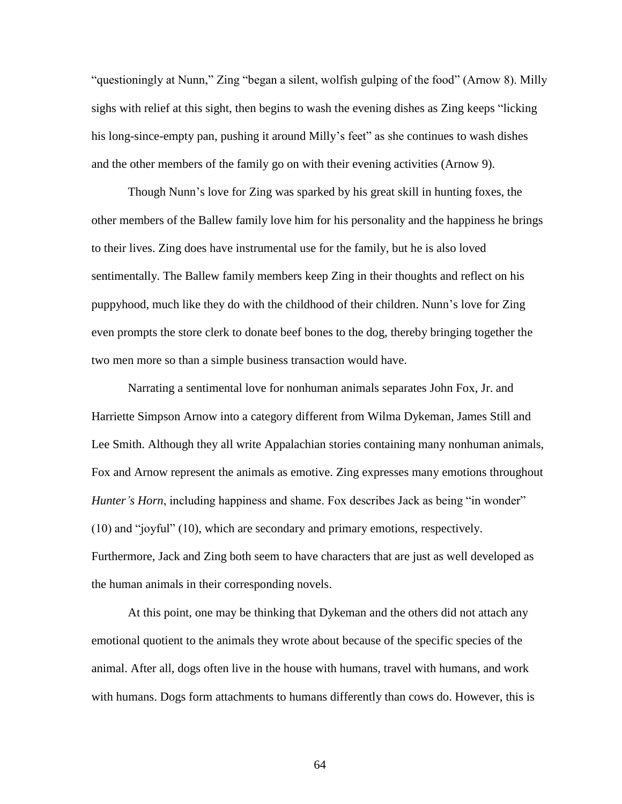"questioningly at Nunn," Zing "began a silent, wolfish gulping of the food" (Arnow 8). Milly sighs with relief at this sight, then begins to wash the evening dishes as Zing keeps "licking his long-since-empty pan, pushing it around Milly's feet" as she continues to wash dishes and the other members of the family go on with their evening activities (Arnow 9).

Though Nunn's love for Zing was sparked by his great skill in hunting foxes, the other members of the Ballew family love him for his personality and the happiness he brings to their lives. Zing does have instrumental use for the family, but he is also loved sentimentally. The Ballew family members keep Zing in their thoughts and reflect on his puppyhood, much like they do with the childhood of their children. Nunn's love for Zing even prompts the store clerk to donate beef bones to the dog, thereby bringing together the two men more so than a simple business transaction would have.

Narrating a sentimental love for nonhuman animals separates John Fox, Jr. and Harriette Simpson Arnow into a category different from Wilma Dykeman, James Still and Lee Smith. Although they all write Appalachian stories containing many nonhuman animals, Fox and Arnow represent the animals as emotive. Zing expresses many emotions throughout *Hunter's Horn*, including happiness and shame. Fox describes Jack as being "in wonder" (10) and "joyful" (10), which are secondary and primary emotions, respectively. Furthermore, Jack and Zing both seem to have characters that are just as well developed as the human animals in their corresponding novels.

At this point, one may be thinking that Dykeman and the others did not attach any emotional quotient to the animals they wrote about because of the specific species of the animal. After all, dogs often live in the house with humans, travel with humans, and work with humans. Dogs form attachments to humans differently than cows do. However, this is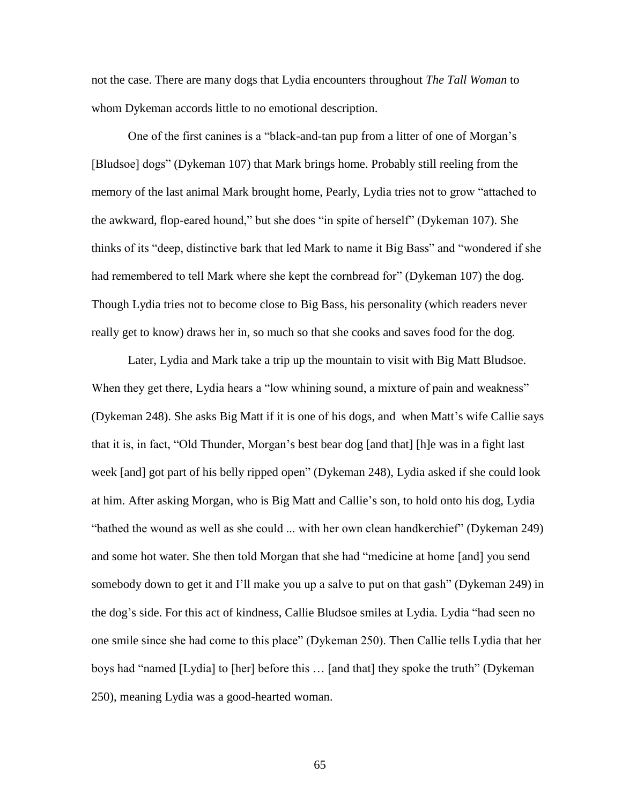not the case. There are many dogs that Lydia encounters throughout *The Tall Woman* to whom Dykeman accords little to no emotional description.

One of the first canines is a "black-and-tan pup from a litter of one of Morgan's [Bludsoe] dogs" (Dykeman 107) that Mark brings home. Probably still reeling from the memory of the last animal Mark brought home, Pearly, Lydia tries not to grow "attached to the awkward, flop-eared hound," but she does "in spite of herself" (Dykeman 107). She thinks of its "deep, distinctive bark that led Mark to name it Big Bass" and "wondered if she had remembered to tell Mark where she kept the cornbread for" (Dykeman 107) the dog. Though Lydia tries not to become close to Big Bass, his personality (which readers never really get to know) draws her in, so much so that she cooks and saves food for the dog.

Later, Lydia and Mark take a trip up the mountain to visit with Big Matt Bludsoe. When they get there, Lydia hears a "low whining sound, a mixture of pain and weakness" (Dykeman 248). She asks Big Matt if it is one of his dogs, and when Matt's wife Callie says that it is, in fact, "Old Thunder, Morgan's best bear dog [and that] [h]e was in a fight last week [and] got part of his belly ripped open" (Dykeman 248), Lydia asked if she could look at him. After asking Morgan, who is Big Matt and Callie's son, to hold onto his dog, Lydia "bathed the wound as well as she could ... with her own clean handkerchief" (Dykeman 249) and some hot water. She then told Morgan that she had "medicine at home [and] you send somebody down to get it and I'll make you up a salve to put on that gash" (Dykeman 249) in the dog's side. For this act of kindness, Callie Bludsoe smiles at Lydia. Lydia "had seen no one smile since she had come to this place" (Dykeman 250). Then Callie tells Lydia that her boys had "named [Lydia] to [her] before this … [and that] they spoke the truth" (Dykeman 250), meaning Lydia was a good-hearted woman.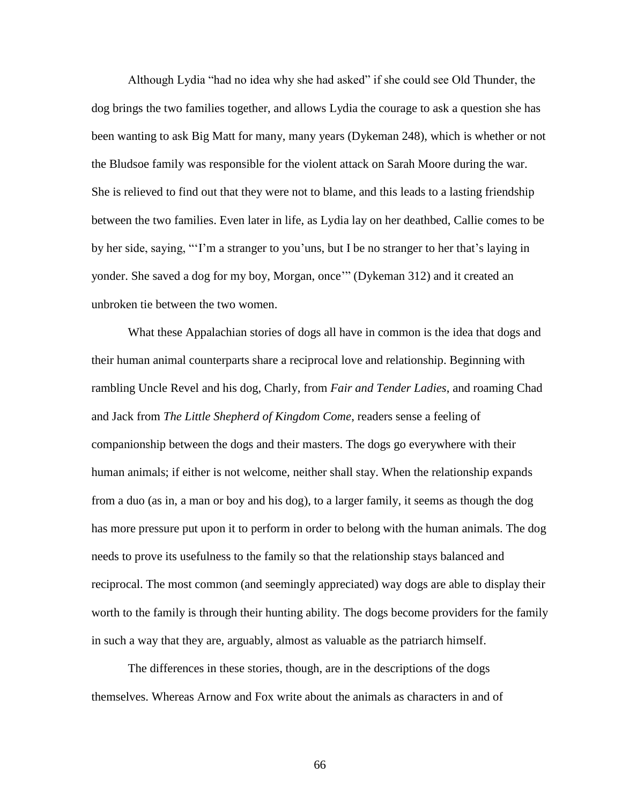Although Lydia "had no idea why she had asked" if she could see Old Thunder, the dog brings the two families together, and allows Lydia the courage to ask a question she has been wanting to ask Big Matt for many, many years (Dykeman 248), which is whether or not the Bludsoe family was responsible for the violent attack on Sarah Moore during the war. She is relieved to find out that they were not to blame, and this leads to a lasting friendship between the two families. Even later in life, as Lydia lay on her deathbed, Callie comes to be by her side, saying, "'I'm a stranger to you'uns, but I be no stranger to her that's laying in yonder. She saved a dog for my boy, Morgan, once'" (Dykeman 312) and it created an unbroken tie between the two women.

What these Appalachian stories of dogs all have in common is the idea that dogs and their human animal counterparts share a reciprocal love and relationship. Beginning with rambling Uncle Revel and his dog, Charly, from *Fair and Tender Ladies*, and roaming Chad and Jack from *The Little Shepherd of Kingdom Come*, readers sense a feeling of companionship between the dogs and their masters. The dogs go everywhere with their human animals; if either is not welcome, neither shall stay. When the relationship expands from a duo (as in, a man or boy and his dog), to a larger family, it seems as though the dog has more pressure put upon it to perform in order to belong with the human animals. The dog needs to prove its usefulness to the family so that the relationship stays balanced and reciprocal. The most common (and seemingly appreciated) way dogs are able to display their worth to the family is through their hunting ability. The dogs become providers for the family in such a way that they are, arguably, almost as valuable as the patriarch himself.

The differences in these stories, though, are in the descriptions of the dogs themselves. Whereas Arnow and Fox write about the animals as characters in and of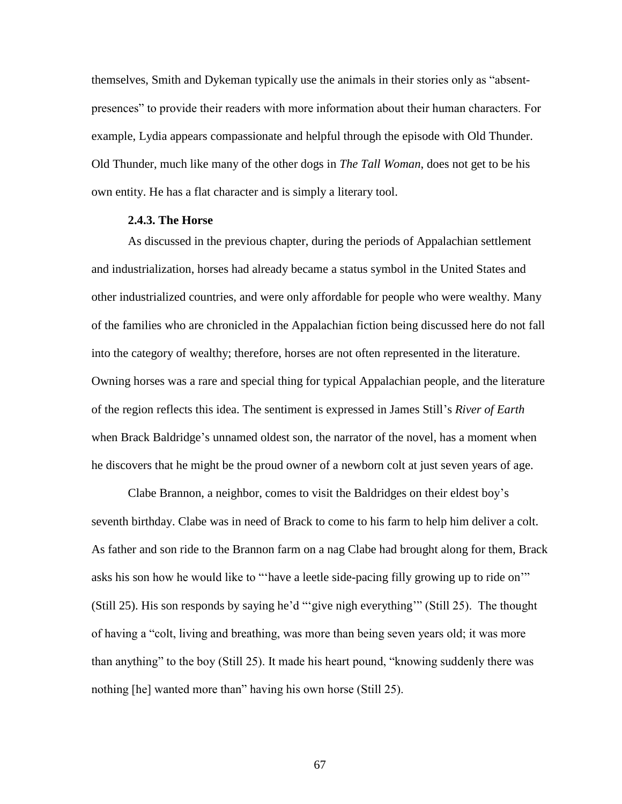themselves, Smith and Dykeman typically use the animals in their stories only as "absentpresences" to provide their readers with more information about their human characters. For example, Lydia appears compassionate and helpful through the episode with Old Thunder. Old Thunder, much like many of the other dogs in *The Tall Woman*, does not get to be his own entity. He has a flat character and is simply a literary tool.

### **2.4.3. The Horse**

As discussed in the previous chapter, during the periods of Appalachian settlement and industrialization, horses had already became a status symbol in the United States and other industrialized countries, and were only affordable for people who were wealthy. Many of the families who are chronicled in the Appalachian fiction being discussed here do not fall into the category of wealthy; therefore, horses are not often represented in the literature. Owning horses was a rare and special thing for typical Appalachian people, and the literature of the region reflects this idea. The sentiment is expressed in James Still's *River of Earth*  when Brack Baldridge's unnamed oldest son, the narrator of the novel, has a moment when he discovers that he might be the proud owner of a newborn colt at just seven years of age.

Clabe Brannon, a neighbor, comes to visit the Baldridges on their eldest boy's seventh birthday. Clabe was in need of Brack to come to his farm to help him deliver a colt. As father and son ride to the Brannon farm on a nag Clabe had brought along for them, Brack asks his son how he would like to "'have a leetle side-pacing filly growing up to ride on'" (Still 25). His son responds by saying he'd "'give nigh everything'" (Still 25). The thought of having a "colt, living and breathing, was more than being seven years old; it was more than anything" to the boy (Still 25). It made his heart pound, "knowing suddenly there was nothing [he] wanted more than" having his own horse (Still 25).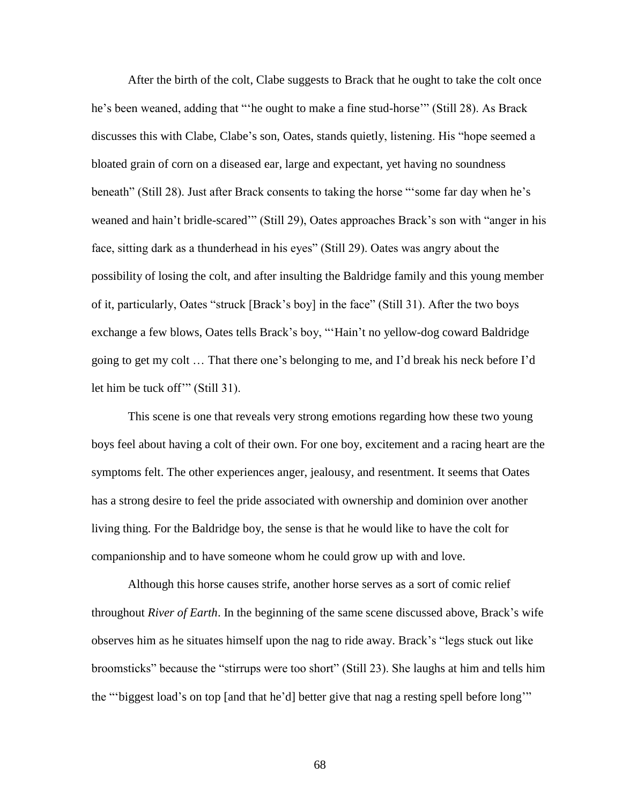After the birth of the colt, Clabe suggests to Brack that he ought to take the colt once he's been weaned, adding that "'he ought to make a fine stud-horse'" (Still 28). As Brack discusses this with Clabe, Clabe's son, Oates, stands quietly, listening. His "hope seemed a bloated grain of corn on a diseased ear, large and expectant, yet having no soundness beneath" (Still 28). Just after Brack consents to taking the horse "'some far day when he's weaned and hain't bridle-scared'" (Still 29), Oates approaches Brack's son with "anger in his face, sitting dark as a thunderhead in his eyes" (Still 29). Oates was angry about the possibility of losing the colt, and after insulting the Baldridge family and this young member of it, particularly, Oates "struck [Brack's boy] in the face" (Still 31). After the two boys exchange a few blows, Oates tells Brack's boy, "'Hain't no yellow-dog coward Baldridge going to get my colt … That there one's belonging to me, and I'd break his neck before I'd let him be tuck off'" (Still 31).

This scene is one that reveals very strong emotions regarding how these two young boys feel about having a colt of their own. For one boy, excitement and a racing heart are the symptoms felt. The other experiences anger, jealousy, and resentment. It seems that Oates has a strong desire to feel the pride associated with ownership and dominion over another living thing. For the Baldridge boy, the sense is that he would like to have the colt for companionship and to have someone whom he could grow up with and love.

Although this horse causes strife, another horse serves as a sort of comic relief throughout *River of Earth*. In the beginning of the same scene discussed above, Brack's wife observes him as he situates himself upon the nag to ride away. Brack's "legs stuck out like broomsticks" because the "stirrups were too short" (Still 23). She laughs at him and tells him the "'biggest load's on top [and that he'd] better give that nag a resting spell before long'"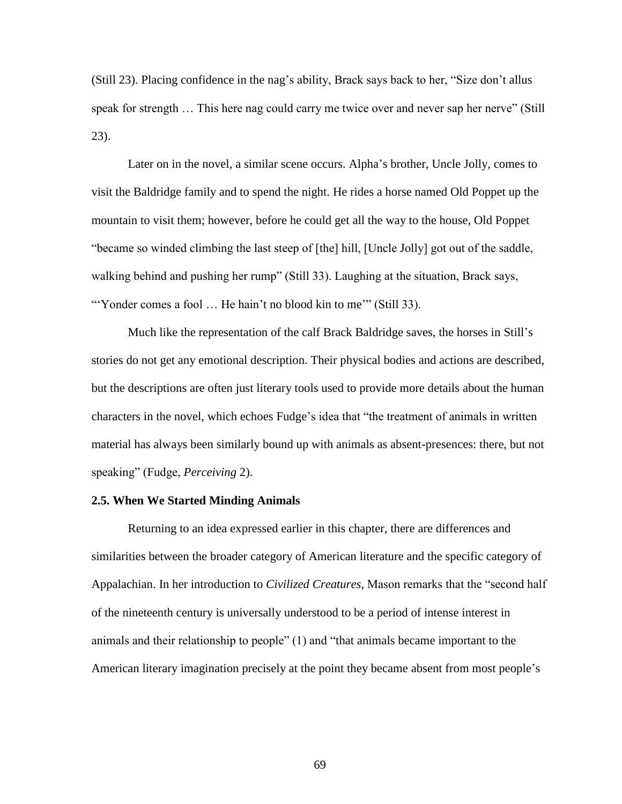(Still 23). Placing confidence in the nag's ability, Brack says back to her, "Size don't allus speak for strength … This here nag could carry me twice over and never sap her nerve" (Still 23).

Later on in the novel, a similar scene occurs. Alpha's brother, Uncle Jolly, comes to visit the Baldridge family and to spend the night. He rides a horse named Old Poppet up the mountain to visit them; however, before he could get all the way to the house, Old Poppet "became so winded climbing the last steep of [the] hill, [Uncle Jolly] got out of the saddle, walking behind and pushing her rump" (Still 33). Laughing at the situation, Brack says, "Yonder comes a fool ... He hain't no blood kin to me" (Still 33).

Much like the representation of the calf Brack Baldridge saves, the horses in Still's stories do not get any emotional description. Their physical bodies and actions are described, but the descriptions are often just literary tools used to provide more details about the human characters in the novel, which echoes Fudge's idea that "the treatment of animals in written material has always been similarly bound up with animals as absent-presences: there, but not speaking" (Fudge, *Perceiving* 2).

## **2.5. When We Started Minding Animals**

Returning to an idea expressed earlier in this chapter, there are differences and similarities between the broader category of American literature and the specific category of Appalachian. In her introduction to *Civilized Creatures*, Mason remarks that the "second half of the nineteenth century is universally understood to be a period of intense interest in animals and their relationship to people" (1) and "that animals became important to the American literary imagination precisely at the point they became absent from most people's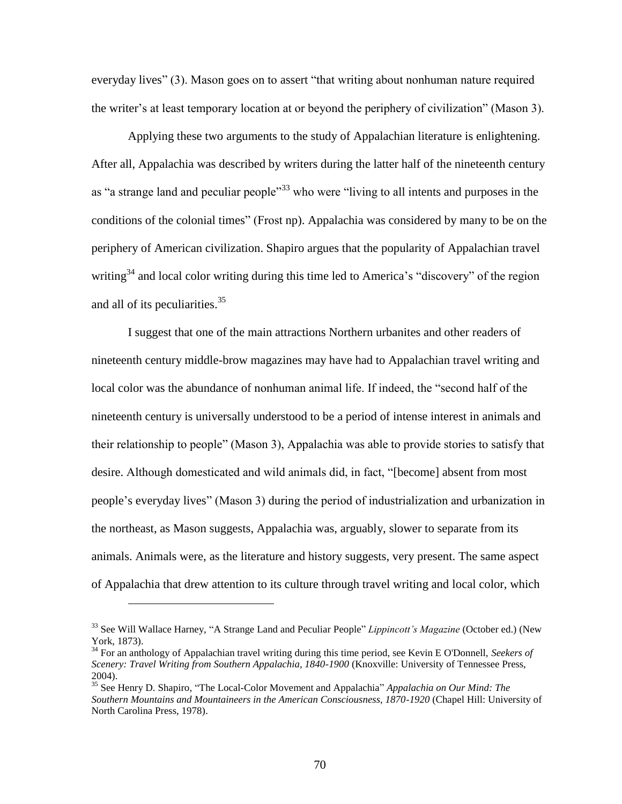everyday lives" (3). Mason goes on to assert "that writing about nonhuman nature required the writer's at least temporary location at or beyond the periphery of civilization" (Mason 3).

Applying these two arguments to the study of Appalachian literature is enlightening. After all, Appalachia was described by writers during the latter half of the nineteenth century as "a strange land and peculiar people"<sup>33</sup> who were "living to all intents and purposes in the conditions of the colonial times" (Frost np). Appalachia was considered by many to be on the periphery of American civilization. Shapiro argues that the popularity of Appalachian travel writing<sup>34</sup> and local color writing during this time led to America's "discovery" of the region and all of its peculiarities.<sup>35</sup>

I suggest that one of the main attractions Northern urbanites and other readers of nineteenth century middle-brow magazines may have had to Appalachian travel writing and local color was the abundance of nonhuman animal life. If indeed, the "second half of the nineteenth century is universally understood to be a period of intense interest in animals and their relationship to people" (Mason 3), Appalachia was able to provide stories to satisfy that desire. Although domesticated and wild animals did, in fact, "[become] absent from most people's everyday lives" (Mason 3) during the period of industrialization and urbanization in the northeast, as Mason suggests, Appalachia was, arguably, slower to separate from its animals. Animals were, as the literature and history suggests, very present. The same aspect of Appalachia that drew attention to its culture through travel writing and local color, which

<sup>33</sup> See Will Wallace Harney, "A Strange Land and Peculiar People" *Lippincott's Magazine* (October ed.) (New York, 1873).

<sup>34</sup> For an anthology of Appalachian travel writing during this time period, see Kevin E O'Donnell, *Seekers of Scenery: Travel Writing from Southern Appalachia, 1840-1900* (Knoxville: University of Tennessee Press, 2004).

<sup>35</sup> See Henry D. Shapiro, "The Local-Color Movement and Appalachia" *Appalachia on Our Mind: The Southern Mountains and Mountaineers in the American Consciousness, 1870-1920* (Chapel Hill: University of North Carolina Press, 1978).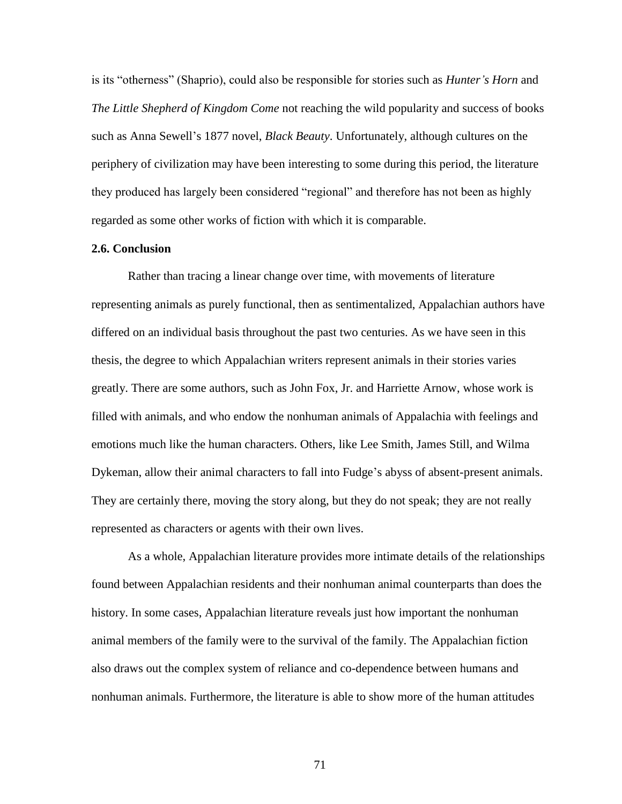is its "otherness" (Shaprio), could also be responsible for stories such as *Hunter's Horn* and *The Little Shepherd of Kingdom Come* not reaching the wild popularity and success of books such as Anna Sewell's 1877 novel, *Black Beauty*. Unfortunately, although cultures on the periphery of civilization may have been interesting to some during this period, the literature they produced has largely been considered "regional" and therefore has not been as highly regarded as some other works of fiction with which it is comparable.

# **2.6. Conclusion**

Rather than tracing a linear change over time, with movements of literature representing animals as purely functional, then as sentimentalized, Appalachian authors have differed on an individual basis throughout the past two centuries. As we have seen in this thesis, the degree to which Appalachian writers represent animals in their stories varies greatly. There are some authors, such as John Fox, Jr. and Harriette Arnow, whose work is filled with animals, and who endow the nonhuman animals of Appalachia with feelings and emotions much like the human characters. Others, like Lee Smith, James Still, and Wilma Dykeman, allow their animal characters to fall into Fudge's abyss of absent-present animals. They are certainly there, moving the story along, but they do not speak; they are not really represented as characters or agents with their own lives.

As a whole, Appalachian literature provides more intimate details of the relationships found between Appalachian residents and their nonhuman animal counterparts than does the history. In some cases, Appalachian literature reveals just how important the nonhuman animal members of the family were to the survival of the family. The Appalachian fiction also draws out the complex system of reliance and co-dependence between humans and nonhuman animals. Furthermore, the literature is able to show more of the human attitudes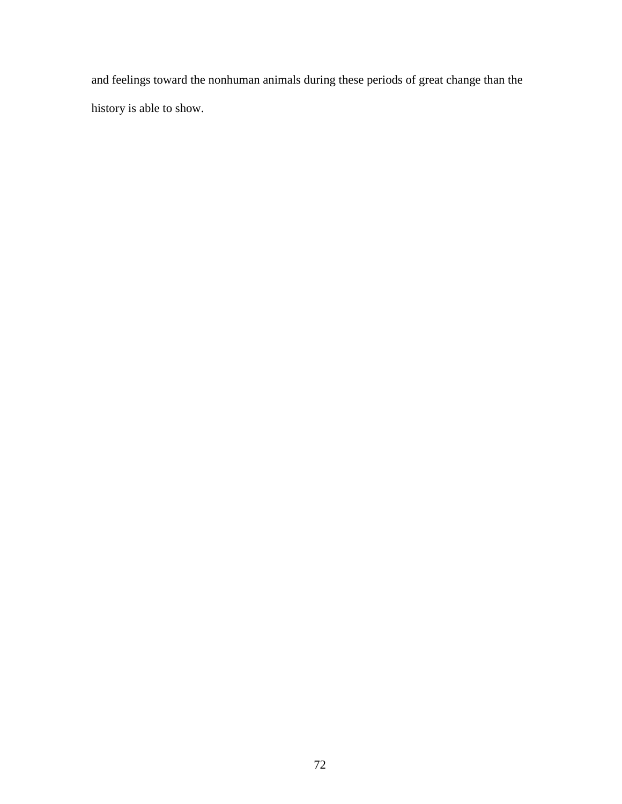and feelings toward the nonhuman animals during these periods of great change than the history is able to show.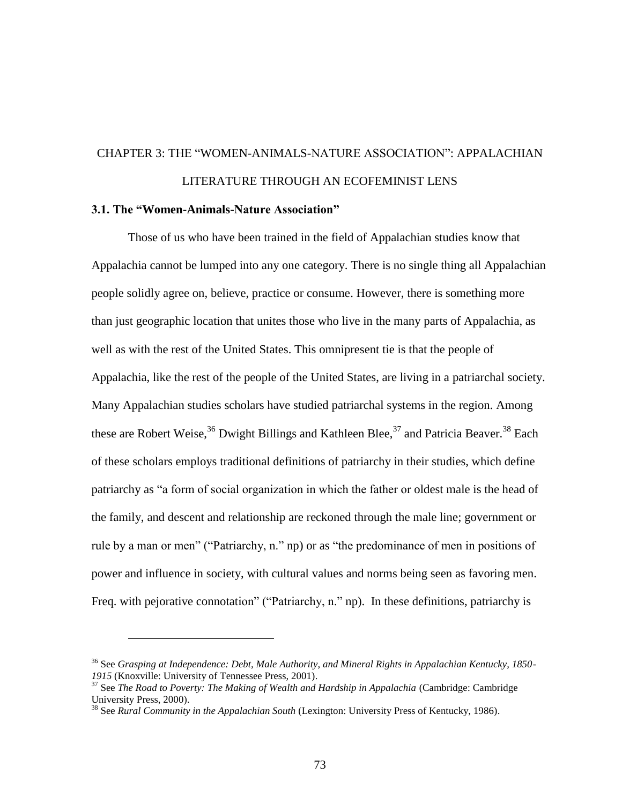# CHAPTER 3: THE "WOMEN-ANIMALS-NATURE ASSOCIATION": APPALACHIAN LITERATURE THROUGH AN ECOFEMINIST LENS

## **3.1. The "Women-Animals-Nature Association"**

 $\overline{a}$ 

Those of us who have been trained in the field of Appalachian studies know that Appalachia cannot be lumped into any one category. There is no single thing all Appalachian people solidly agree on, believe, practice or consume. However, there is something more than just geographic location that unites those who live in the many parts of Appalachia, as well as with the rest of the United States. This omnipresent tie is that the people of Appalachia, like the rest of the people of the United States, are living in a patriarchal society. Many Appalachian studies scholars have studied patriarchal systems in the region. Among these are Robert Weise,  $36$  Dwight Billings and Kathleen Blee,  $37$  and Patricia Beaver.  $38$  Each of these scholars employs traditional definitions of patriarchy in their studies, which define patriarchy as "a form of social organization in which the father or oldest male is the head of the family, and descent and relationship are reckoned through the male line; government or rule by a man or men" ("Patriarchy, n." np) or as "the predominance of men in positions of power and influence in society, with cultural values and norms being seen as favoring men. Freq. with pejorative connotation" ("Patriarchy, n." np). In these definitions, patriarchy is

<sup>36</sup> See *Grasping at Independence: Debt, Male Authority, and Mineral Rights in Appalachian Kentucky, 1850- 1915* (Knoxville: University of Tennessee Press, 2001).

<sup>&</sup>lt;sup>37</sup> See *The Road to Poverty: The Making of Wealth and Hardship in Appalachia (Cambridge: Cambridge*) University Press, 2000).

<sup>38</sup> See *Rural Community in the Appalachian South* (Lexington: University Press of Kentucky, 1986).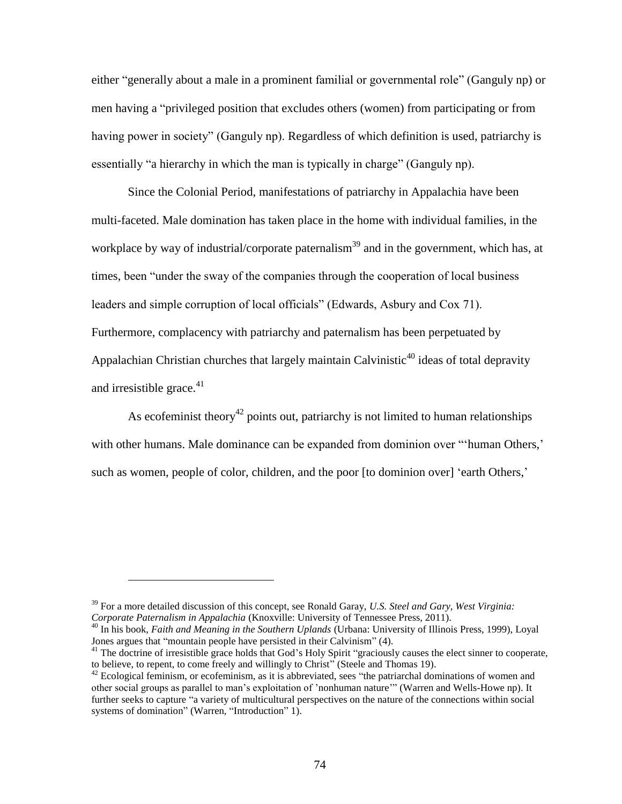either "generally about a male in a prominent familial or governmental role" (Ganguly np) or men having a "privileged position that excludes others (women) from participating or from having power in society" (Ganguly np). Regardless of which definition is used, patriarchy is essentially "a hierarchy in which the man is typically in charge" (Ganguly np).

Since the Colonial Period, manifestations of patriarchy in Appalachia have been multi-faceted. Male domination has taken place in the home with individual families, in the workplace by way of industrial/corporate paternalism<sup>39</sup> and in the government, which has, at times, been "under the sway of the companies through the cooperation of local business leaders and simple corruption of local officials" (Edwards, Asbury and Cox 71). Furthermore, complacency with patriarchy and paternalism has been perpetuated by Appalachian Christian churches that largely maintain Calvinistic<sup>40</sup> ideas of total depravity and irresistible grace. $41$ 

As ecofeminist theory<sup>42</sup> points out, patriarchy is not limited to human relationships with other humans. Male dominance can be expanded from dominion over "'human Others,' such as women, people of color, children, and the poor [to dominion over] 'earth Others,'

<sup>39</sup> For a more detailed discussion of this concept, see Ronald Garay, *U.S. Steel and Gary, West Virginia: Corporate Paternalism in Appalachia* (Knoxville: University of Tennessee Press, 2011).

<sup>40</sup> In his book, *Faith and Meaning in the Southern Uplands* (Urbana: University of Illinois Press, 1999), Loyal Jones argues that "mountain people have persisted in their Calvinism" (4).

<sup>&</sup>lt;sup>41</sup> The doctrine of irresistible grace holds that God's Holy Spirit "graciously causes the elect sinner to cooperate, to believe, to repent, to come freely and willingly to Christ" (Steele and Thomas 19).

 $42$  Ecological feminism, or ecofeminism, as it is abbreviated, sees "the patriarchal dominations of women and other social groups as parallel to man's exploitation of 'nonhuman nature'" (Warren and Wells-Howe np). It further seeks to capture "a variety of multicultural perspectives on the nature of the connections within social systems of domination" (Warren, "Introduction" 1).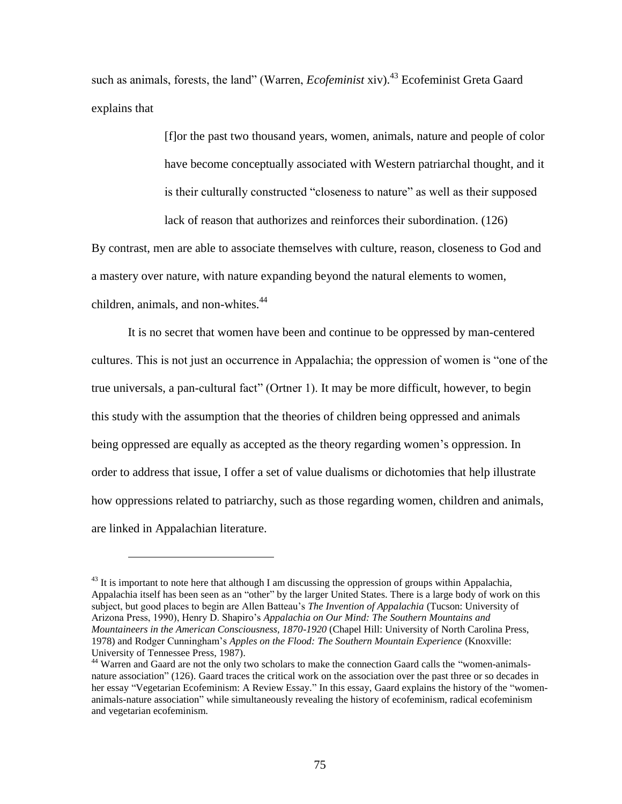such as animals, forests, the land" (Warren, *Ecofeminist* xiv).<sup>43</sup> Ecofeminist Greta Gaard explains that

> [f]or the past two thousand years, women, animals, nature and people of color have become conceptually associated with Western patriarchal thought, and it is their culturally constructed "closeness to nature" as well as their supposed lack of reason that authorizes and reinforces their subordination. (126)

By contrast, men are able to associate themselves with culture, reason, closeness to God and a mastery over nature, with nature expanding beyond the natural elements to women, children, animals, and non-whites. $44$ 

It is no secret that women have been and continue to be oppressed by man-centered cultures. This is not just an occurrence in Appalachia; the oppression of women is "one of the true universals, a pan-cultural fact" (Ortner 1). It may be more difficult, however, to begin this study with the assumption that the theories of children being oppressed and animals being oppressed are equally as accepted as the theory regarding women's oppression. In order to address that issue, I offer a set of value dualisms or dichotomies that help illustrate how oppressions related to patriarchy, such as those regarding women, children and animals, are linked in Appalachian literature.

 $^{43}$  It is important to note here that although I am discussing the oppression of groups within Appalachia, Appalachia itself has been seen as an "other" by the larger United States. There is a large body of work on this subject, but good places to begin are Allen Batteau's *The Invention of Appalachia* (Tucson: University of Arizona Press, 1990), Henry D. Shapiro's *Appalachia on Our Mind: The Southern Mountains and Mountaineers in the American Consciousness, 1870-1920* (Chapel Hill: University of North Carolina Press, 1978) and Rodger Cunningham's *Apples on the Flood: The Southern Mountain Experience* (Knoxville: University of Tennessee Press, 1987).

<sup>&</sup>lt;sup>44</sup> Warren and Gaard are not the only two scholars to make the connection Gaard calls the "women-animalsnature association" (126). Gaard traces the critical work on the association over the past three or so decades in her essay "Vegetarian Ecofeminism: A Review Essay." In this essay, Gaard explains the history of the "womenanimals-nature association" while simultaneously revealing the history of ecofeminism, radical ecofeminism and vegetarian ecofeminism.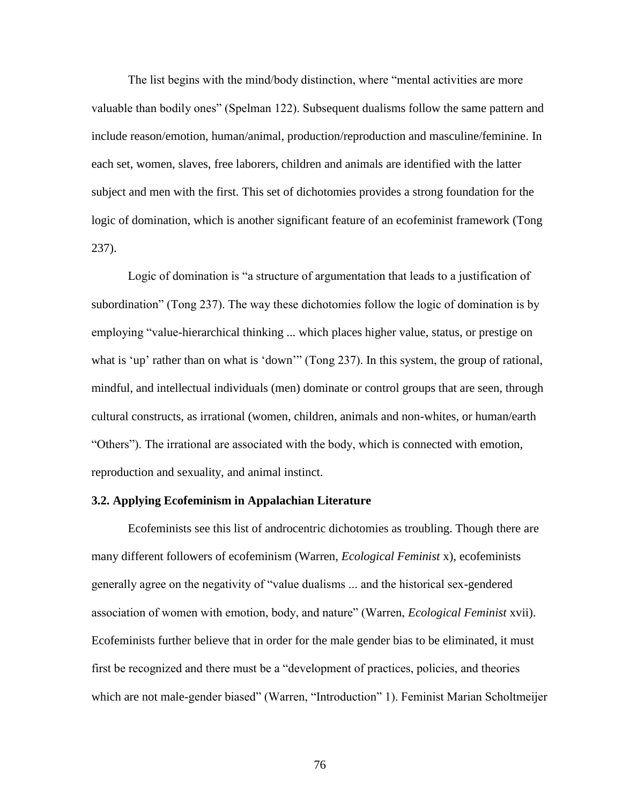The list begins with the mind/body distinction, where "mental activities are more valuable than bodily ones" (Spelman 122). Subsequent dualisms follow the same pattern and include reason/emotion, human/animal, production/reproduction and masculine/feminine. In each set, women, slaves, free laborers, children and animals are identified with the latter subject and men with the first. This set of dichotomies provides a strong foundation for the logic of domination, which is another significant feature of an ecofeminist framework (Tong 237).

Logic of domination is "a structure of argumentation that leads to a justification of subordination" (Tong 237). The way these dichotomies follow the logic of domination is by employing "value-hierarchical thinking ... which places higher value, status, or prestige on what is 'up' rather than on what is 'down'" (Tong 237). In this system, the group of rational, mindful, and intellectual individuals (men) dominate or control groups that are seen, through cultural constructs, as irrational (women, children, animals and non-whites, or human/earth "Others"). The irrational are associated with the body, which is connected with emotion, reproduction and sexuality, and animal instinct.

# **3.2. Applying Ecofeminism in Appalachian Literature**

Ecofeminists see this list of androcentric dichotomies as troubling. Though there are many different followers of ecofeminism (Warren, *Ecological Feminist* x), ecofeminists generally agree on the negativity of "value dualisms ... and the historical sex-gendered association of women with emotion, body, and nature" (Warren, *Ecological Feminist* xvii). Ecofeminists further believe that in order for the male gender bias to be eliminated, it must first be recognized and there must be a "development of practices, policies, and theories which are not male-gender biased" (Warren, "Introduction" 1). Feminist Marian Scholtmeijer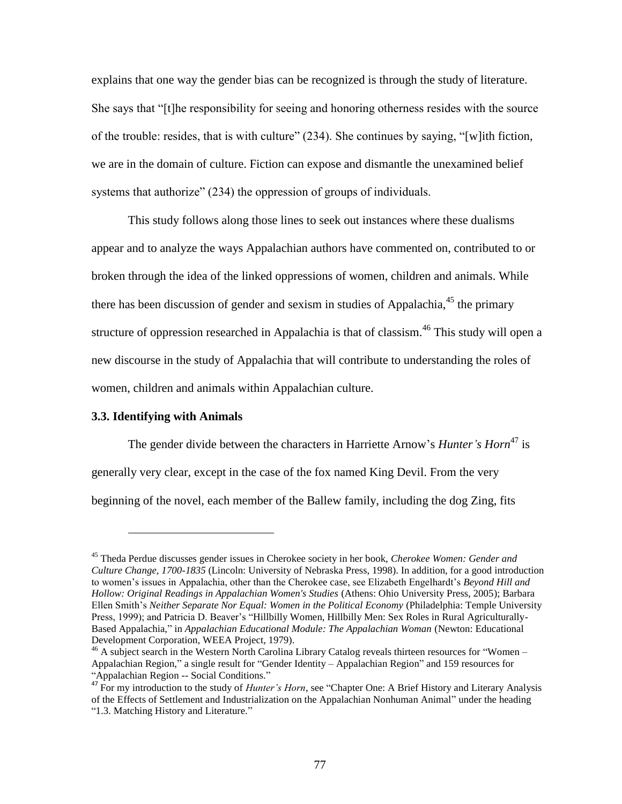explains that one way the gender bias can be recognized is through the study of literature. She says that "[t]he responsibility for seeing and honoring otherness resides with the source of the trouble: resides, that is with culture" (234). She continues by saying, "[w]ith fiction, we are in the domain of culture. Fiction can expose and dismantle the unexamined belief systems that authorize" (234) the oppression of groups of individuals.

This study follows along those lines to seek out instances where these dualisms appear and to analyze the ways Appalachian authors have commented on, contributed to or broken through the idea of the linked oppressions of women, children and animals. While there has been discussion of gender and sexism in studies of Appalachia, $45$  the primary structure of oppression researched in Appalachia is that of classism.<sup>46</sup> This study will open a new discourse in the study of Appalachia that will contribute to understanding the roles of women, children and animals within Appalachian culture.

### **3.3. Identifying with Animals**

 $\overline{a}$ 

The gender divide between the characters in Harriette Arnow's *Hunter's Horn*<sup>47</sup> is generally very clear, except in the case of the fox named King Devil. From the very beginning of the novel, each member of the Ballew family, including the dog Zing, fits

<sup>45</sup> Theda Perdue discusses gender issues in Cherokee society in her book, *Cherokee Women: Gender and Culture Change, 1700-1835* (Lincoln: University of Nebraska Press, 1998). In addition, for a good introduction to women's issues in Appalachia, other than the Cherokee case, see Elizabeth Engelhardt's *Beyond Hill and Hollow: Original Readings in Appalachian Women's Studies* (Athens: Ohio University Press, 2005); Barbara Ellen Smith's *Neither Separate Nor Equal: Women in the Political Economy* (Philadelphia: Temple University Press, 1999); and Patricia D. Beaver's "Hillbilly Women, Hillbilly Men: Sex Roles in Rural Agriculturally-Based Appalachia," in *Appalachian Educational Module: The Appalachian Woman* (Newton: Educational Development Corporation, WEEA Project, 1979).

 $46$  A subject search in the Western North Carolina Library Catalog reveals thirteen resources for "Women – Appalachian Region," a single result for "Gender Identity – Appalachian Region" and 159 resources for "Appalachian Region -- Social Conditions."

<sup>47</sup> For my introduction to the study of *Hunter's Horn*, see "Chapter One: A Brief History and Literary Analysis of the Effects of Settlement and Industrialization on the Appalachian Nonhuman Animal" under the heading "1.3. Matching History and Literature."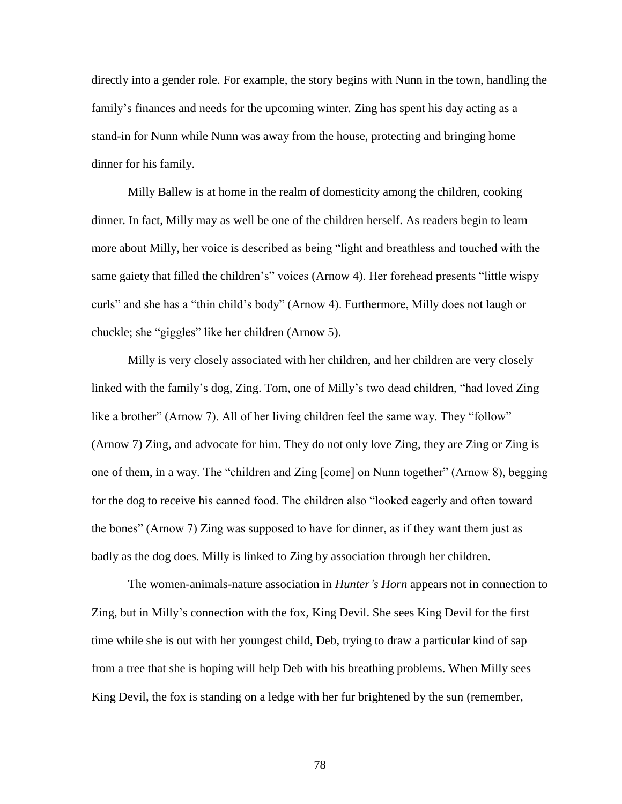directly into a gender role. For example, the story begins with Nunn in the town, handling the family's finances and needs for the upcoming winter. Zing has spent his day acting as a stand-in for Nunn while Nunn was away from the house, protecting and bringing home dinner for his family.

Milly Ballew is at home in the realm of domesticity among the children, cooking dinner. In fact, Milly may as well be one of the children herself. As readers begin to learn more about Milly, her voice is described as being "light and breathless and touched with the same gaiety that filled the children's" voices (Arnow 4). Her forehead presents "little wispy curls" and she has a "thin child's body" (Arnow 4). Furthermore, Milly does not laugh or chuckle; she "giggles" like her children (Arnow 5).

Milly is very closely associated with her children, and her children are very closely linked with the family's dog, Zing. Tom, one of Milly's two dead children, "had loved Zing like a brother" (Arnow 7). All of her living children feel the same way. They "follow" (Arnow 7) Zing, and advocate for him. They do not only love Zing, they are Zing or Zing is one of them, in a way. The "children and Zing [come] on Nunn together" (Arnow 8), begging for the dog to receive his canned food. The children also "looked eagerly and often toward the bones" (Arnow 7) Zing was supposed to have for dinner, as if they want them just as badly as the dog does. Milly is linked to Zing by association through her children.

The women-animals-nature association in *Hunter's Horn* appears not in connection to Zing, but in Milly's connection with the fox, King Devil. She sees King Devil for the first time while she is out with her youngest child, Deb, trying to draw a particular kind of sap from a tree that she is hoping will help Deb with his breathing problems. When Milly sees King Devil, the fox is standing on a ledge with her fur brightened by the sun (remember,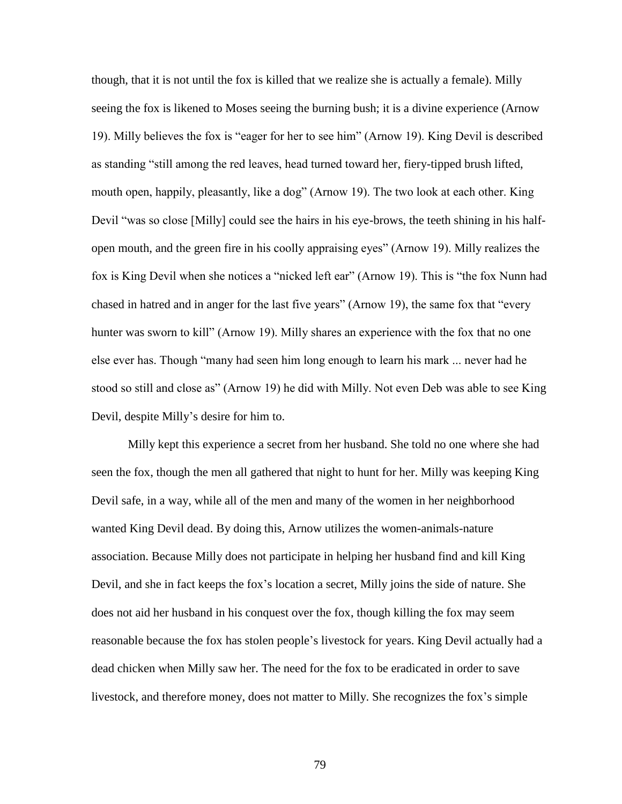though, that it is not until the fox is killed that we realize she is actually a female). Milly seeing the fox is likened to Moses seeing the burning bush; it is a divine experience (Arnow 19). Milly believes the fox is "eager for her to see him" (Arnow 19). King Devil is described as standing "still among the red leaves, head turned toward her, fiery-tipped brush lifted, mouth open, happily, pleasantly, like a dog" (Arnow 19). The two look at each other. King Devil "was so close [Milly] could see the hairs in his eye-brows, the teeth shining in his halfopen mouth, and the green fire in his coolly appraising eyes" (Arnow 19). Milly realizes the fox is King Devil when she notices a "nicked left ear" (Arnow 19). This is "the fox Nunn had chased in hatred and in anger for the last five years" (Arnow 19), the same fox that "every hunter was sworn to kill" (Arnow 19). Milly shares an experience with the fox that no one else ever has. Though "many had seen him long enough to learn his mark ... never had he stood so still and close as" (Arnow 19) he did with Milly. Not even Deb was able to see King Devil, despite Milly's desire for him to.

Milly kept this experience a secret from her husband. She told no one where she had seen the fox, though the men all gathered that night to hunt for her. Milly was keeping King Devil safe, in a way, while all of the men and many of the women in her neighborhood wanted King Devil dead. By doing this, Arnow utilizes the women-animals-nature association. Because Milly does not participate in helping her husband find and kill King Devil, and she in fact keeps the fox's location a secret, Milly joins the side of nature. She does not aid her husband in his conquest over the fox, though killing the fox may seem reasonable because the fox has stolen people's livestock for years. King Devil actually had a dead chicken when Milly saw her. The need for the fox to be eradicated in order to save livestock, and therefore money, does not matter to Milly. She recognizes the fox's simple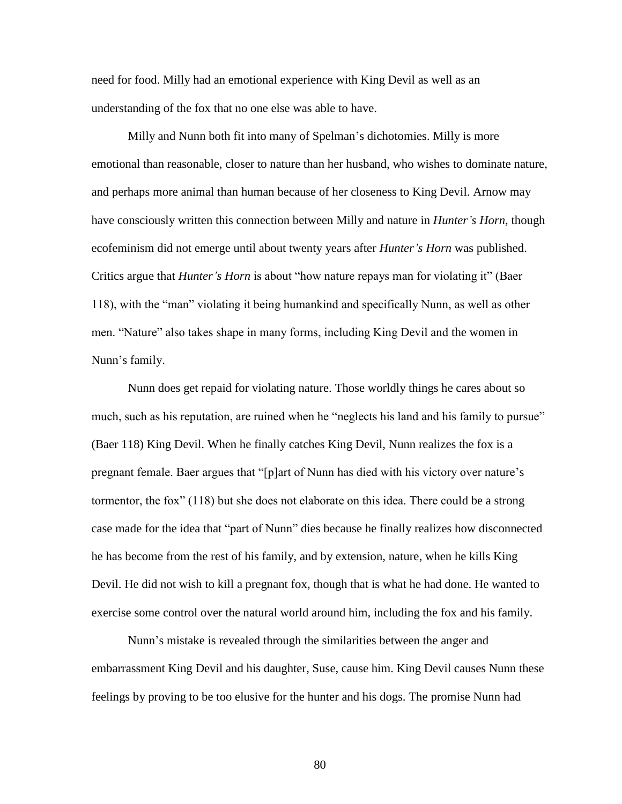need for food. Milly had an emotional experience with King Devil as well as an understanding of the fox that no one else was able to have.

Milly and Nunn both fit into many of Spelman's dichotomies. Milly is more emotional than reasonable, closer to nature than her husband, who wishes to dominate nature, and perhaps more animal than human because of her closeness to King Devil. Arnow may have consciously written this connection between Milly and nature in *Hunter's Horn*, though ecofeminism did not emerge until about twenty years after *Hunter's Horn* was published. Critics argue that *Hunter's Horn* is about "how nature repays man for violating it" (Baer 118), with the "man" violating it being humankind and specifically Nunn, as well as other men. "Nature" also takes shape in many forms, including King Devil and the women in Nunn's family.

Nunn does get repaid for violating nature. Those worldly things he cares about so much, such as his reputation, are ruined when he "neglects his land and his family to pursue" (Baer 118) King Devil. When he finally catches King Devil, Nunn realizes the fox is a pregnant female. Baer argues that "[p]art of Nunn has died with his victory over nature's tormentor, the fox" (118) but she does not elaborate on this idea. There could be a strong case made for the idea that "part of Nunn" dies because he finally realizes how disconnected he has become from the rest of his family, and by extension, nature, when he kills King Devil. He did not wish to kill a pregnant fox, though that is what he had done. He wanted to exercise some control over the natural world around him, including the fox and his family.

Nunn's mistake is revealed through the similarities between the anger and embarrassment King Devil and his daughter, Suse, cause him. King Devil causes Nunn these feelings by proving to be too elusive for the hunter and his dogs. The promise Nunn had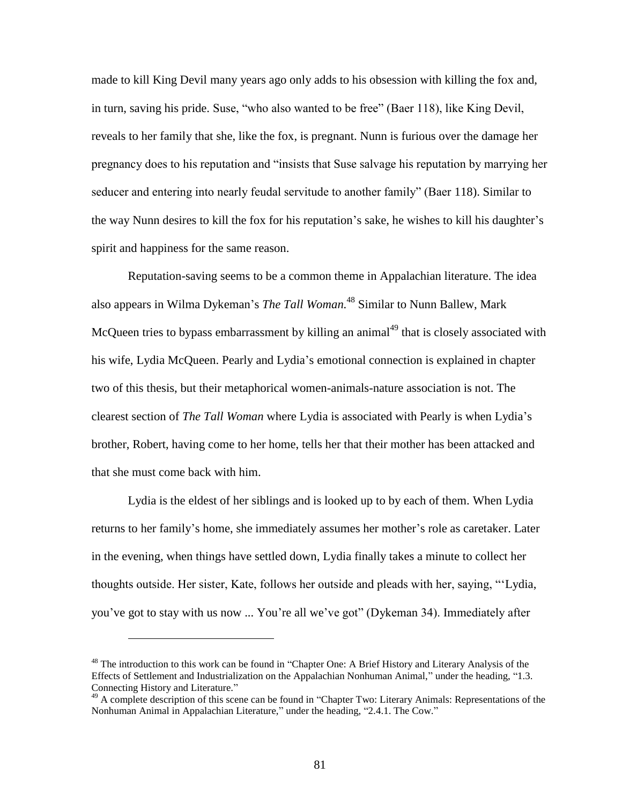made to kill King Devil many years ago only adds to his obsession with killing the fox and, in turn, saving his pride. Suse, "who also wanted to be free" (Baer 118), like King Devil, reveals to her family that she, like the fox, is pregnant. Nunn is furious over the damage her pregnancy does to his reputation and "insists that Suse salvage his reputation by marrying her seducer and entering into nearly feudal servitude to another family" (Baer 118). Similar to the way Nunn desires to kill the fox for his reputation's sake, he wishes to kill his daughter's spirit and happiness for the same reason.

Reputation-saving seems to be a common theme in Appalachian literature. The idea also appears in Wilma Dykeman's *The Tall Woman.* <sup>48</sup> Similar to Nunn Ballew, Mark McQueen tries to bypass embarrassment by killing an animal<sup>49</sup> that is closely associated with his wife, Lydia McQueen. Pearly and Lydia's emotional connection is explained in chapter two of this thesis, but their metaphorical women-animals-nature association is not. The clearest section of *The Tall Woman* where Lydia is associated with Pearly is when Lydia's brother, Robert, having come to her home, tells her that their mother has been attacked and that she must come back with him.

Lydia is the eldest of her siblings and is looked up to by each of them. When Lydia returns to her family's home, she immediately assumes her mother's role as caretaker. Later in the evening, when things have settled down, Lydia finally takes a minute to collect her thoughts outside. Her sister, Kate, follows her outside and pleads with her, saying, "'Lydia, you've got to stay with us now ... You're all we've got" (Dykeman 34). Immediately after

<sup>&</sup>lt;sup>48</sup> The introduction to this work can be found in "Chapter One: A Brief History and Literary Analysis of the Effects of Settlement and Industrialization on the Appalachian Nonhuman Animal," under the heading, "1.3. Connecting History and Literature."

<sup>&</sup>lt;sup>49</sup> A complete description of this scene can be found in "Chapter Two: Literary Animals: Representations of the Nonhuman Animal in Appalachian Literature," under the heading, "2.4.1. The Cow."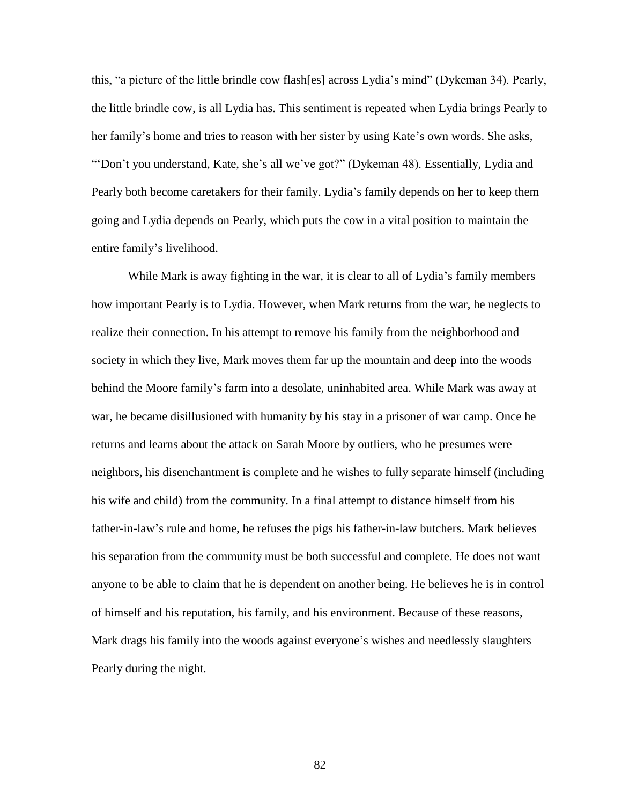this, "a picture of the little brindle cow flash[es] across Lydia's mind" (Dykeman 34). Pearly, the little brindle cow, is all Lydia has. This sentiment is repeated when Lydia brings Pearly to her family's home and tries to reason with her sister by using Kate's own words. She asks, "'Don't you understand, Kate, she's all we've got?" (Dykeman 48). Essentially, Lydia and Pearly both become caretakers for their family. Lydia's family depends on her to keep them going and Lydia depends on Pearly, which puts the cow in a vital position to maintain the entire family's livelihood.

While Mark is away fighting in the war, it is clear to all of Lydia's family members how important Pearly is to Lydia. However, when Mark returns from the war, he neglects to realize their connection. In his attempt to remove his family from the neighborhood and society in which they live, Mark moves them far up the mountain and deep into the woods behind the Moore family's farm into a desolate, uninhabited area. While Mark was away at war, he became disillusioned with humanity by his stay in a prisoner of war camp. Once he returns and learns about the attack on Sarah Moore by outliers, who he presumes were neighbors, his disenchantment is complete and he wishes to fully separate himself (including his wife and child) from the community. In a final attempt to distance himself from his father-in-law's rule and home, he refuses the pigs his father-in-law butchers. Mark believes his separation from the community must be both successful and complete. He does not want anyone to be able to claim that he is dependent on another being. He believes he is in control of himself and his reputation, his family, and his environment. Because of these reasons, Mark drags his family into the woods against everyone's wishes and needlessly slaughters Pearly during the night.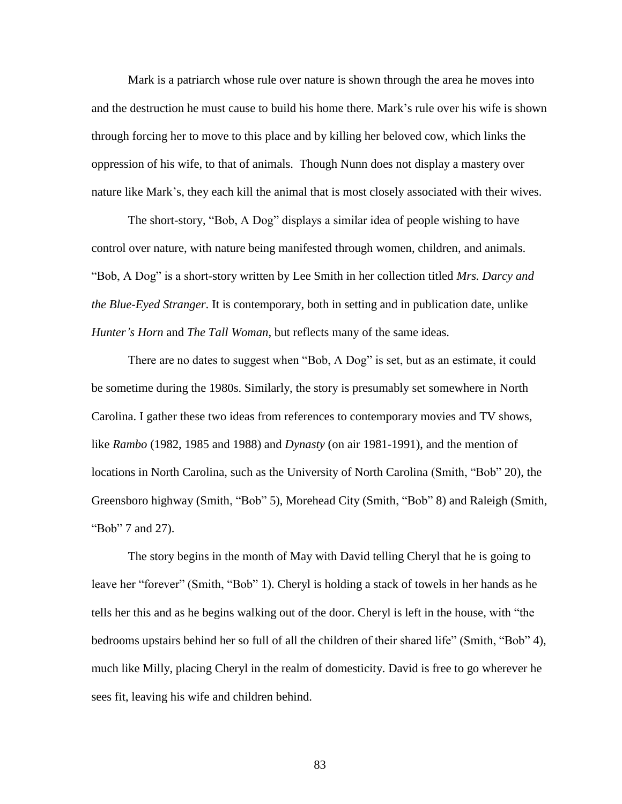Mark is a patriarch whose rule over nature is shown through the area he moves into and the destruction he must cause to build his home there. Mark's rule over his wife is shown through forcing her to move to this place and by killing her beloved cow, which links the oppression of his wife, to that of animals. Though Nunn does not display a mastery over nature like Mark's, they each kill the animal that is most closely associated with their wives.

The short-story, "Bob, A Dog" displays a similar idea of people wishing to have control over nature, with nature being manifested through women, children, and animals. "Bob, A Dog" is a short-story written by Lee Smith in her collection titled *Mrs. Darcy and the Blue-Eyed Stranger*. It is contemporary, both in setting and in publication date, unlike *Hunter's Horn* and *The Tall Woman*, but reflects many of the same ideas.

There are no dates to suggest when "Bob, A Dog" is set, but as an estimate, it could be sometime during the 1980s. Similarly, the story is presumably set somewhere in North Carolina. I gather these two ideas from references to contemporary movies and TV shows, like *Rambo* (1982, 1985 and 1988) and *Dynasty* (on air 1981-1991), and the mention of locations in North Carolina, such as the University of North Carolina (Smith, "Bob" 20), the Greensboro highway (Smith, "Bob" 5), Morehead City (Smith, "Bob" 8) and Raleigh (Smith, "Bob" 7 and 27).

The story begins in the month of May with David telling Cheryl that he is going to leave her "forever" (Smith, "Bob" 1). Cheryl is holding a stack of towels in her hands as he tells her this and as he begins walking out of the door. Cheryl is left in the house, with "the bedrooms upstairs behind her so full of all the children of their shared life" (Smith, "Bob" 4), much like Milly, placing Cheryl in the realm of domesticity. David is free to go wherever he sees fit, leaving his wife and children behind.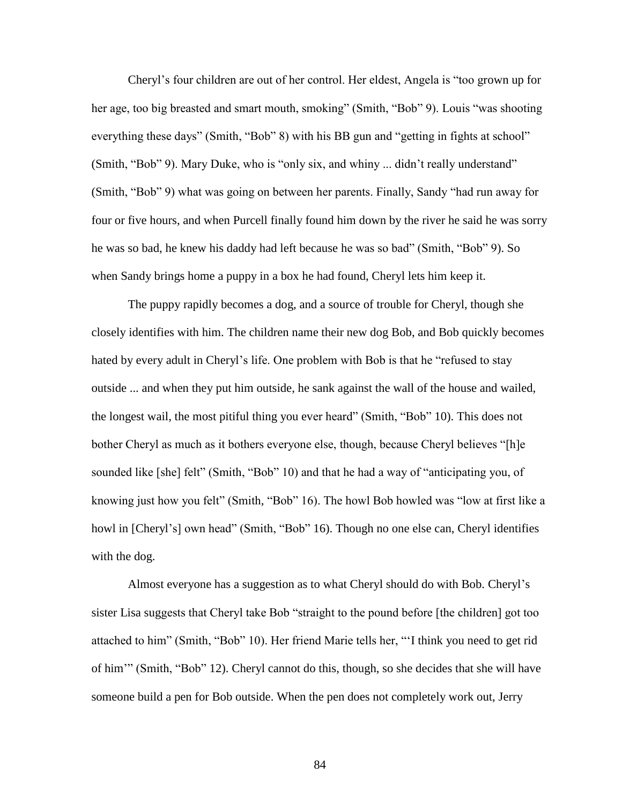Cheryl's four children are out of her control. Her eldest, Angela is "too grown up for her age, too big breasted and smart mouth, smoking" (Smith, "Bob" 9). Louis "was shooting everything these days" (Smith, "Bob" 8) with his BB gun and "getting in fights at school" (Smith, "Bob" 9). Mary Duke, who is "only six, and whiny ... didn't really understand" (Smith, "Bob" 9) what was going on between her parents. Finally, Sandy "had run away for four or five hours, and when Purcell finally found him down by the river he said he was sorry he was so bad, he knew his daddy had left because he was so bad" (Smith, "Bob" 9). So when Sandy brings home a puppy in a box he had found, Cheryl lets him keep it.

The puppy rapidly becomes a dog, and a source of trouble for Cheryl, though she closely identifies with him. The children name their new dog Bob, and Bob quickly becomes hated by every adult in Cheryl's life. One problem with Bob is that he "refused to stay outside ... and when they put him outside, he sank against the wall of the house and wailed, the longest wail, the most pitiful thing you ever heard" (Smith, "Bob" 10). This does not bother Cheryl as much as it bothers everyone else, though, because Cheryl believes "[h]e sounded like [she] felt" (Smith, "Bob" 10) and that he had a way of "anticipating you, of knowing just how you felt" (Smith, "Bob" 16). The howl Bob howled was "low at first like a howl in [Cheryl's] own head" (Smith, "Bob" 16). Though no one else can, Cheryl identifies with the dog.

Almost everyone has a suggestion as to what Cheryl should do with Bob. Cheryl's sister Lisa suggests that Cheryl take Bob "straight to the pound before [the children] got too attached to him" (Smith, "Bob" 10). Her friend Marie tells her, "'I think you need to get rid of him'" (Smith, "Bob" 12). Cheryl cannot do this, though, so she decides that she will have someone build a pen for Bob outside. When the pen does not completely work out, Jerry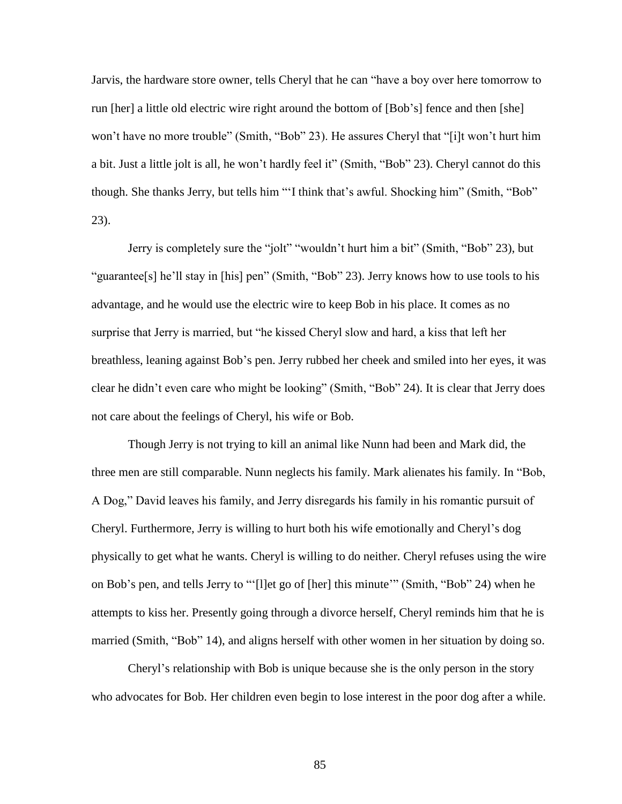Jarvis, the hardware store owner, tells Cheryl that he can "have a boy over here tomorrow to run [her] a little old electric wire right around the bottom of [Bob's] fence and then [she] won't have no more trouble" (Smith, "Bob" 23). He assures Cheryl that "[i]t won't hurt him a bit. Just a little jolt is all, he won't hardly feel it" (Smith, "Bob" 23). Cheryl cannot do this though. She thanks Jerry, but tells him "'I think that's awful. Shocking him" (Smith, "Bob" 23).

Jerry is completely sure the "jolt" "wouldn't hurt him a bit" (Smith, "Bob" 23), but "guarantee[s] he'll stay in [his] pen" (Smith, "Bob" 23). Jerry knows how to use tools to his advantage, and he would use the electric wire to keep Bob in his place. It comes as no surprise that Jerry is married, but "he kissed Cheryl slow and hard, a kiss that left her breathless, leaning against Bob's pen. Jerry rubbed her cheek and smiled into her eyes, it was clear he didn't even care who might be looking" (Smith, "Bob" 24). It is clear that Jerry does not care about the feelings of Cheryl, his wife or Bob.

Though Jerry is not trying to kill an animal like Nunn had been and Mark did, the three men are still comparable. Nunn neglects his family. Mark alienates his family. In "Bob, A Dog," David leaves his family, and Jerry disregards his family in his romantic pursuit of Cheryl. Furthermore, Jerry is willing to hurt both his wife emotionally and Cheryl's dog physically to get what he wants. Cheryl is willing to do neither. Cheryl refuses using the wire on Bob's pen, and tells Jerry to "'[l]et go of [her] this minute'" (Smith, "Bob" 24) when he attempts to kiss her. Presently going through a divorce herself, Cheryl reminds him that he is married (Smith, "Bob" 14), and aligns herself with other women in her situation by doing so.

Cheryl's relationship with Bob is unique because she is the only person in the story who advocates for Bob. Her children even begin to lose interest in the poor dog after a while.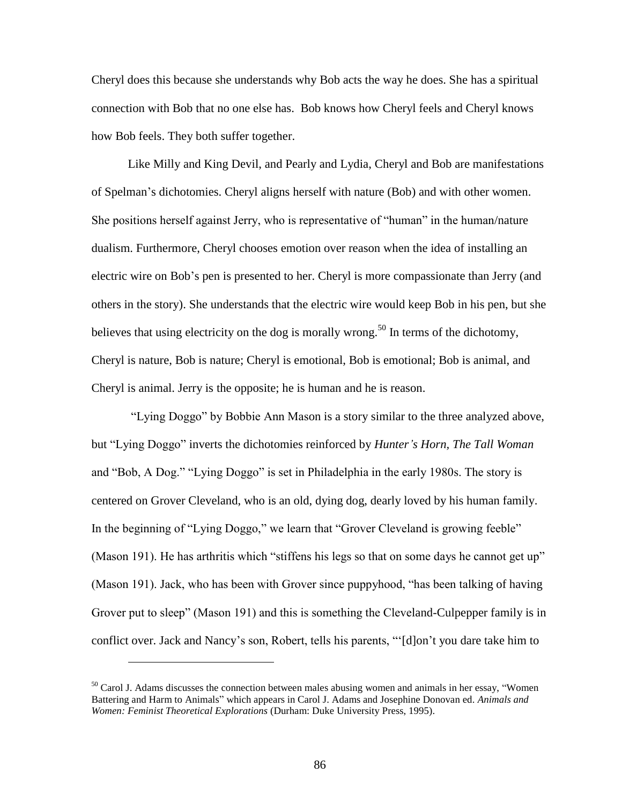Cheryl does this because she understands why Bob acts the way he does. She has a spiritual connection with Bob that no one else has. Bob knows how Cheryl feels and Cheryl knows how Bob feels. They both suffer together.

Like Milly and King Devil, and Pearly and Lydia, Cheryl and Bob are manifestations of Spelman's dichotomies. Cheryl aligns herself with nature (Bob) and with other women. She positions herself against Jerry, who is representative of "human" in the human/nature dualism. Furthermore, Cheryl chooses emotion over reason when the idea of installing an electric wire on Bob's pen is presented to her. Cheryl is more compassionate than Jerry (and others in the story). She understands that the electric wire would keep Bob in his pen, but she believes that using electricity on the dog is morally wrong.<sup>50</sup> In terms of the dichotomy, Cheryl is nature, Bob is nature; Cheryl is emotional, Bob is emotional; Bob is animal, and Cheryl is animal. Jerry is the opposite; he is human and he is reason.

"Lying Doggo" by Bobbie Ann Mason is a story similar to the three analyzed above, but "Lying Doggo" inverts the dichotomies reinforced by *Hunter's Horn, The Tall Woman* and "Bob, A Dog." "Lying Doggo" is set in Philadelphia in the early 1980s. The story is centered on Grover Cleveland, who is an old, dying dog, dearly loved by his human family. In the beginning of "Lying Doggo," we learn that "Grover Cleveland is growing feeble" (Mason 191). He has arthritis which "stiffens his legs so that on some days he cannot get up" (Mason 191). Jack, who has been with Grover since puppyhood, "has been talking of having Grover put to sleep" (Mason 191) and this is something the Cleveland-Culpepper family is in conflict over. Jack and Nancy's son, Robert, tells his parents, "'[d]on't you dare take him to

 $50$  Carol J. Adams discusses the connection between males abusing women and animals in her essay, "Women" Battering and Harm to Animals" which appears in Carol J. Adams and Josephine Donovan ed. *Animals and Women: Feminist Theoretical Explorations* (Durham: Duke University Press, 1995).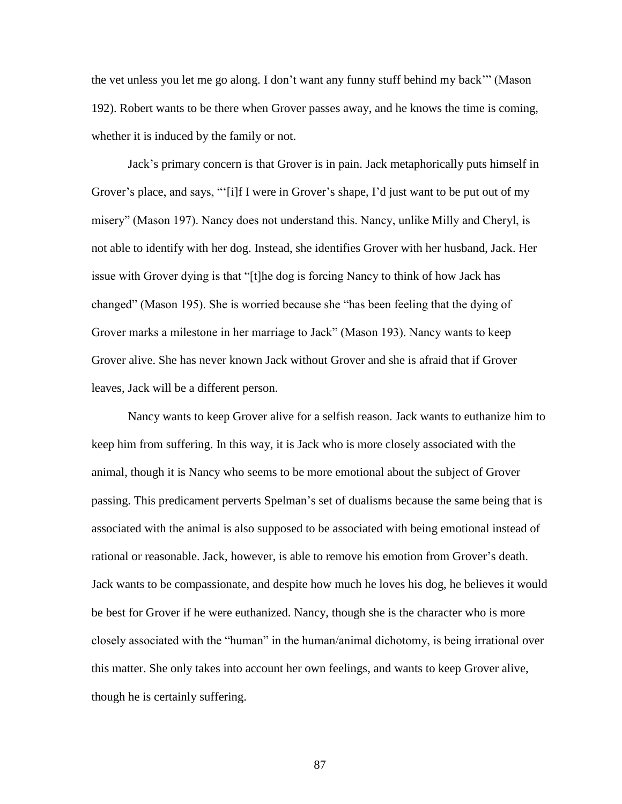the vet unless you let me go along. I don't want any funny stuff behind my back'" (Mason 192). Robert wants to be there when Grover passes away, and he knows the time is coming, whether it is induced by the family or not.

Jack's primary concern is that Grover is in pain. Jack metaphorically puts himself in Grover's place, and says, "'[i]f I were in Grover's shape, I'd just want to be put out of my misery" (Mason 197). Nancy does not understand this. Nancy, unlike Milly and Cheryl, is not able to identify with her dog. Instead, she identifies Grover with her husband, Jack. Her issue with Grover dying is that "[t]he dog is forcing Nancy to think of how Jack has changed" (Mason 195). She is worried because she "has been feeling that the dying of Grover marks a milestone in her marriage to Jack" (Mason 193). Nancy wants to keep Grover alive. She has never known Jack without Grover and she is afraid that if Grover leaves, Jack will be a different person.

Nancy wants to keep Grover alive for a selfish reason. Jack wants to euthanize him to keep him from suffering. In this way, it is Jack who is more closely associated with the animal, though it is Nancy who seems to be more emotional about the subject of Grover passing. This predicament perverts Spelman's set of dualisms because the same being that is associated with the animal is also supposed to be associated with being emotional instead of rational or reasonable. Jack, however, is able to remove his emotion from Grover's death. Jack wants to be compassionate, and despite how much he loves his dog, he believes it would be best for Grover if he were euthanized. Nancy, though she is the character who is more closely associated with the "human" in the human/animal dichotomy, is being irrational over this matter. She only takes into account her own feelings, and wants to keep Grover alive, though he is certainly suffering.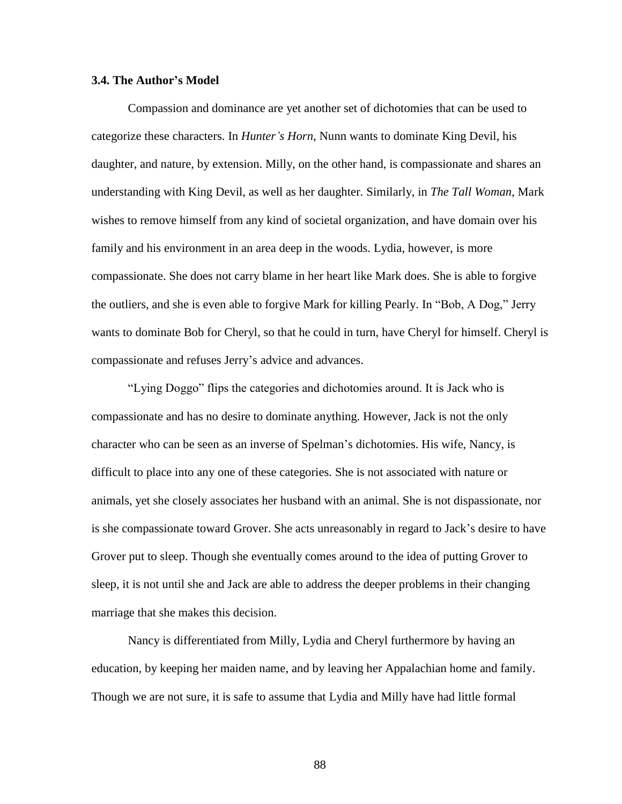### **3.4. The Author's Model**

Compassion and dominance are yet another set of dichotomies that can be used to categorize these characters. In *Hunter's Horn*, Nunn wants to dominate King Devil, his daughter, and nature, by extension. Milly, on the other hand, is compassionate and shares an understanding with King Devil, as well as her daughter. Similarly, in *The Tall Woman*, Mark wishes to remove himself from any kind of societal organization, and have domain over his family and his environment in an area deep in the woods. Lydia, however, is more compassionate. She does not carry blame in her heart like Mark does. She is able to forgive the outliers, and she is even able to forgive Mark for killing Pearly. In "Bob, A Dog," Jerry wants to dominate Bob for Cheryl, so that he could in turn, have Cheryl for himself. Cheryl is compassionate and refuses Jerry's advice and advances.

"Lying Doggo" flips the categories and dichotomies around. It is Jack who is compassionate and has no desire to dominate anything. However, Jack is not the only character who can be seen as an inverse of Spelman's dichotomies. His wife, Nancy, is difficult to place into any one of these categories. She is not associated with nature or animals, yet she closely associates her husband with an animal. She is not dispassionate, nor is she compassionate toward Grover. She acts unreasonably in regard to Jack's desire to have Grover put to sleep. Though she eventually comes around to the idea of putting Grover to sleep, it is not until she and Jack are able to address the deeper problems in their changing marriage that she makes this decision.

Nancy is differentiated from Milly, Lydia and Cheryl furthermore by having an education, by keeping her maiden name, and by leaving her Appalachian home and family. Though we are not sure, it is safe to assume that Lydia and Milly have had little formal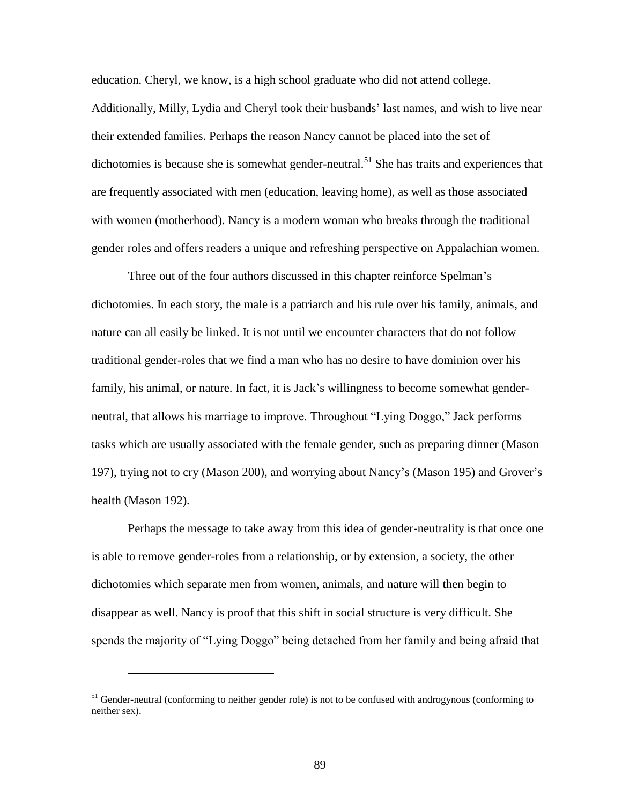education. Cheryl, we know, is a high school graduate who did not attend college. Additionally, Milly, Lydia and Cheryl took their husbands' last names, and wish to live near their extended families. Perhaps the reason Nancy cannot be placed into the set of dichotomies is because she is somewhat gender-neutral.<sup>51</sup> She has traits and experiences that are frequently associated with men (education, leaving home), as well as those associated with women (motherhood). Nancy is a modern woman who breaks through the traditional gender roles and offers readers a unique and refreshing perspective on Appalachian women.

Three out of the four authors discussed in this chapter reinforce Spelman's dichotomies. In each story, the male is a patriarch and his rule over his family, animals, and nature can all easily be linked. It is not until we encounter characters that do not follow traditional gender-roles that we find a man who has no desire to have dominion over his family, his animal, or nature. In fact, it is Jack's willingness to become somewhat genderneutral, that allows his marriage to improve. Throughout "Lying Doggo," Jack performs tasks which are usually associated with the female gender, such as preparing dinner (Mason 197), trying not to cry (Mason 200), and worrying about Nancy's (Mason 195) and Grover's health (Mason 192).

Perhaps the message to take away from this idea of gender-neutrality is that once one is able to remove gender-roles from a relationship, or by extension, a society, the other dichotomies which separate men from women, animals, and nature will then begin to disappear as well. Nancy is proof that this shift in social structure is very difficult. She spends the majority of "Lying Doggo" being detached from her family and being afraid that

 $51$  Gender-neutral (conforming to neither gender role) is not to be confused with androgynous (conforming to neither sex).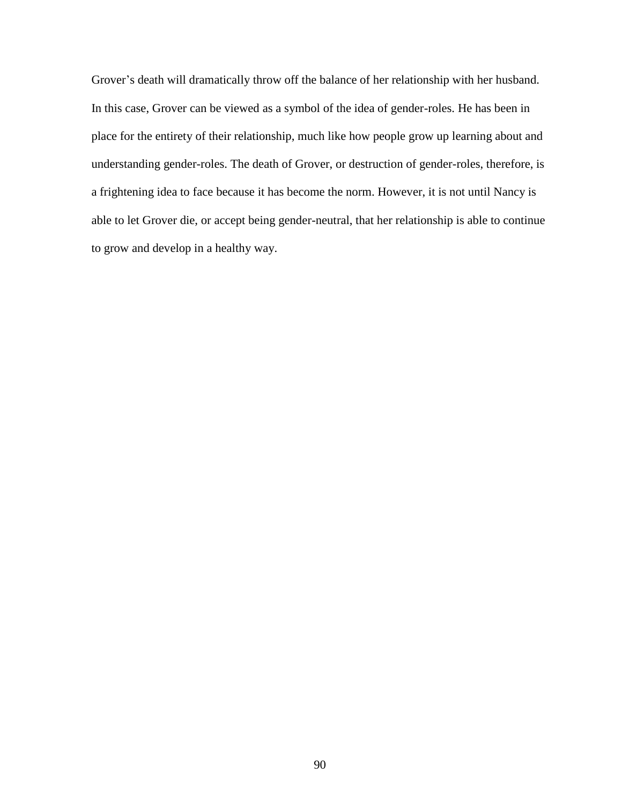Grover's death will dramatically throw off the balance of her relationship with her husband. In this case, Grover can be viewed as a symbol of the idea of gender-roles. He has been in place for the entirety of their relationship, much like how people grow up learning about and understanding gender-roles. The death of Grover, or destruction of gender-roles, therefore, is a frightening idea to face because it has become the norm. However, it is not until Nancy is able to let Grover die, or accept being gender-neutral, that her relationship is able to continue to grow and develop in a healthy way.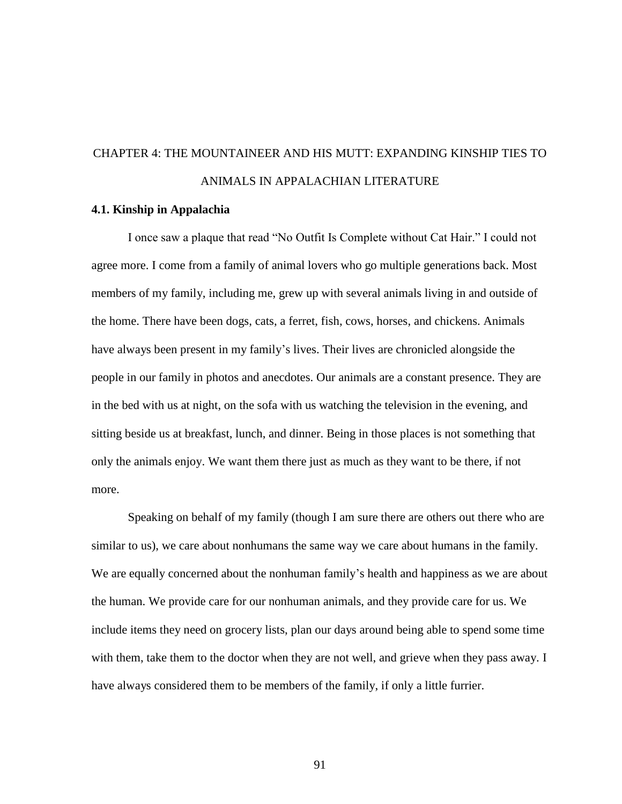# CHAPTER 4: THE MOUNTAINEER AND HIS MUTT: EXPANDING KINSHIP TIES TO ANIMALS IN APPALACHIAN LITERATURE

#### **4.1. Kinship in Appalachia**

I once saw a plaque that read "No Outfit Is Complete without Cat Hair." I could not agree more. I come from a family of animal lovers who go multiple generations back. Most members of my family, including me, grew up with several animals living in and outside of the home. There have been dogs, cats, a ferret, fish, cows, horses, and chickens. Animals have always been present in my family's lives. Their lives are chronicled alongside the people in our family in photos and anecdotes. Our animals are a constant presence. They are in the bed with us at night, on the sofa with us watching the television in the evening, and sitting beside us at breakfast, lunch, and dinner. Being in those places is not something that only the animals enjoy. We want them there just as much as they want to be there, if not more.

Speaking on behalf of my family (though I am sure there are others out there who are similar to us), we care about nonhumans the same way we care about humans in the family. We are equally concerned about the nonhuman family's health and happiness as we are about the human. We provide care for our nonhuman animals, and they provide care for us. We include items they need on grocery lists, plan our days around being able to spend some time with them, take them to the doctor when they are not well, and grieve when they pass away. I have always considered them to be members of the family, if only a little furrier.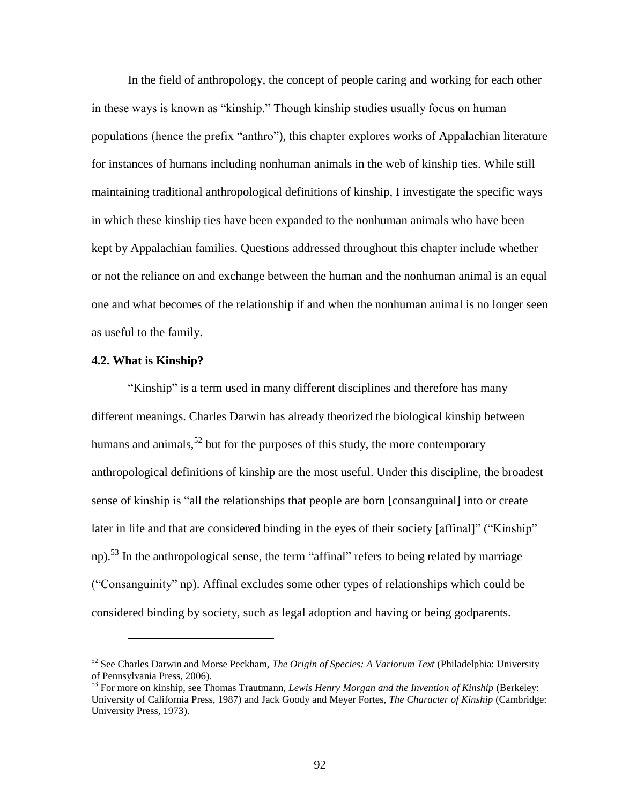In the field of anthropology, the concept of people caring and working for each other in these ways is known as "kinship." Though kinship studies usually focus on human populations (hence the prefix "anthro"), this chapter explores works of Appalachian literature for instances of humans including nonhuman animals in the web of kinship ties. While still maintaining traditional anthropological definitions of kinship, I investigate the specific ways in which these kinship ties have been expanded to the nonhuman animals who have been kept by Appalachian families. Questions addressed throughout this chapter include whether or not the reliance on and exchange between the human and the nonhuman animal is an equal one and what becomes of the relationship if and when the nonhuman animal is no longer seen as useful to the family.

### **4.2. What is Kinship?**

 $\overline{a}$ 

"Kinship" is a term used in many different disciplines and therefore has many different meanings. Charles Darwin has already theorized the biological kinship between humans and animals,  $52$  but for the purposes of this study, the more contemporary anthropological definitions of kinship are the most useful. Under this discipline, the broadest sense of kinship is "all the relationships that people are born [consanguinal] into or create later in life and that are considered binding in the eyes of their society [affinal]" ("Kinship" np).<sup>53</sup> In the anthropological sense, the term "affinal" refers to being related by marriage ("Consanguinity" np). Affinal excludes some other types of relationships which could be considered binding by society, such as legal adoption and having or being godparents.

<sup>52</sup> See Charles Darwin and Morse Peckham, *The Origin of Species: A Variorum Text* (Philadelphia: University of Pennsylvania Press, 2006).

<sup>53</sup> For more on kinship, see Thomas Trautmann, *Lewis Henry Morgan and the Invention of Kinship* (Berkeley: University of California Press, 1987) and Jack Goody and Meyer Fortes, *The Character of Kinship* (Cambridge: University Press, 1973).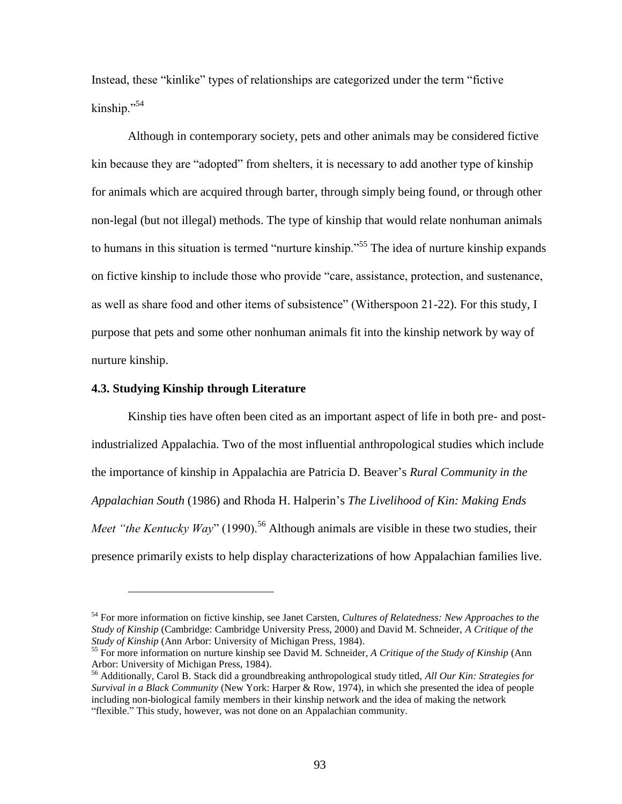Instead, these "kinlike" types of relationships are categorized under the term "fictive kinship."<sup>54</sup>

Although in contemporary society, pets and other animals may be considered fictive kin because they are "adopted" from shelters, it is necessary to add another type of kinship for animals which are acquired through barter, through simply being found, or through other non-legal (but not illegal) methods. The type of kinship that would relate nonhuman animals to humans in this situation is termed "nurture kinship."<sup>55</sup> The idea of nurture kinship expands on fictive kinship to include those who provide "care, assistance, protection, and sustenance, as well as share food and other items of subsistence" (Witherspoon 21-22). For this study, I purpose that pets and some other nonhuman animals fit into the kinship network by way of nurture kinship.

### **4.3. Studying Kinship through Literature**

 $\overline{a}$ 

Kinship ties have often been cited as an important aspect of life in both pre- and postindustrialized Appalachia. Two of the most influential anthropological studies which include the importance of kinship in Appalachia are Patricia D. Beaver's *Rural Community in the Appalachian South* (1986) and Rhoda H. Halperin's *The Livelihood of Kin: Making Ends Meet "the Kentucky Way"* (1990).<sup>56</sup> Although animals are visible in these two studies, their presence primarily exists to help display characterizations of how Appalachian families live.

<sup>54</sup> For more information on fictive kinship, see Janet Carsten, *Cultures of Relatedness: New Approaches to the Study of Kinship* (Cambridge: Cambridge University Press, 2000) and David M. Schneider, *A Critique of the Study of Kinship* (Ann Arbor: University of Michigan Press, 1984).

<sup>55</sup> For more information on nurture kinship see David M. Schneider, *A Critique of the Study of Kinship* (Ann Arbor: University of Michigan Press, 1984).

<sup>56</sup> Additionally, Carol B. Stack did a groundbreaking anthropological study titled, *All Our Kin: Strategies for Survival in a Black Community* (New York: Harper & Row, 1974), in which she presented the idea of people including non-biological family members in their kinship network and the idea of making the network "flexible." This study, however, was not done on an Appalachian community.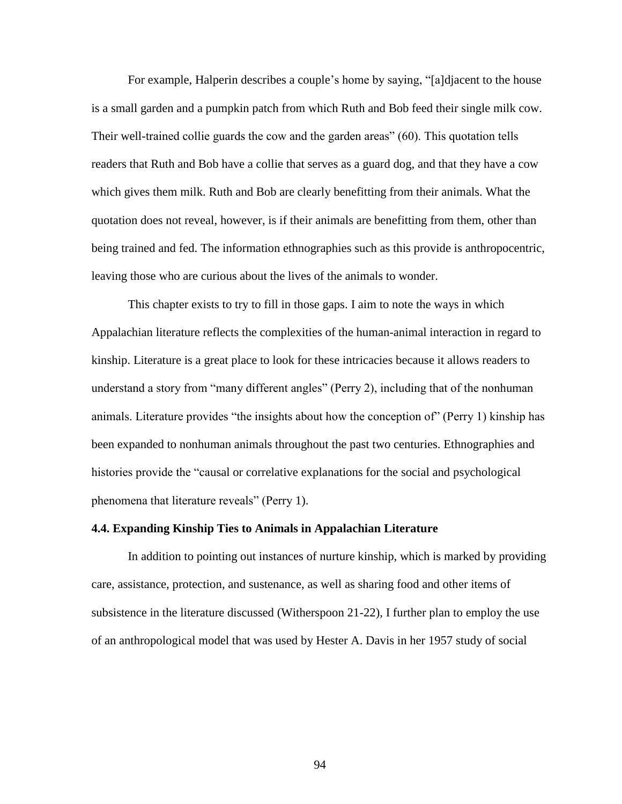For example, Halperin describes a couple's home by saying, "[a]djacent to the house is a small garden and a pumpkin patch from which Ruth and Bob feed their single milk cow. Their well-trained collie guards the cow and the garden areas" (60). This quotation tells readers that Ruth and Bob have a collie that serves as a guard dog, and that they have a cow which gives them milk. Ruth and Bob are clearly benefitting from their animals. What the quotation does not reveal, however, is if their animals are benefitting from them, other than being trained and fed. The information ethnographies such as this provide is anthropocentric, leaving those who are curious about the lives of the animals to wonder.

This chapter exists to try to fill in those gaps. I aim to note the ways in which Appalachian literature reflects the complexities of the human-animal interaction in regard to kinship. Literature is a great place to look for these intricacies because it allows readers to understand a story from "many different angles" (Perry 2), including that of the nonhuman animals. Literature provides "the insights about how the conception of" (Perry 1) kinship has been expanded to nonhuman animals throughout the past two centuries. Ethnographies and histories provide the "causal or correlative explanations for the social and psychological phenomena that literature reveals" (Perry 1).

## **4.4. Expanding Kinship Ties to Animals in Appalachian Literature**

In addition to pointing out instances of nurture kinship, which is marked by providing care, assistance, protection, and sustenance, as well as sharing food and other items of subsistence in the literature discussed (Witherspoon 21-22), I further plan to employ the use of an anthropological model that was used by Hester A. Davis in her 1957 study of social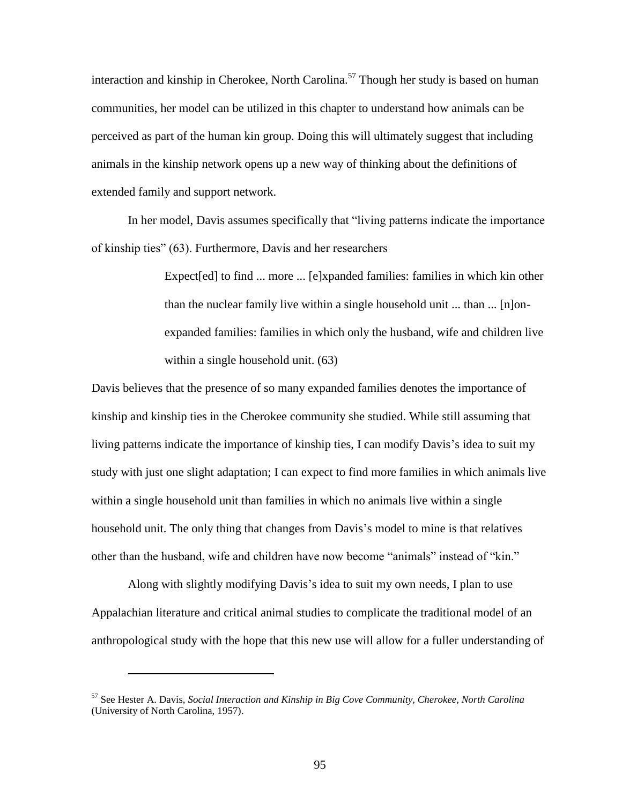interaction and kinship in Cherokee, North Carolina. <sup>57</sup> Though her study is based on human communities, her model can be utilized in this chapter to understand how animals can be perceived as part of the human kin group. Doing this will ultimately suggest that including animals in the kinship network opens up a new way of thinking about the definitions of extended family and support network.

In her model, Davis assumes specifically that "living patterns indicate the importance of kinship ties" (63). Furthermore, Davis and her researchers

> Expect[ed] to find ... more ... [e]xpanded families: families in which kin other than the nuclear family live within a single household unit ... than ... [n]onexpanded families: families in which only the husband, wife and children live within a single household unit.  $(63)$

Davis believes that the presence of so many expanded families denotes the importance of kinship and kinship ties in the Cherokee community she studied. While still assuming that living patterns indicate the importance of kinship ties, I can modify Davis's idea to suit my study with just one slight adaptation; I can expect to find more families in which animals live within a single household unit than families in which no animals live within a single household unit. The only thing that changes from Davis's model to mine is that relatives other than the husband, wife and children have now become "animals" instead of "kin."

Along with slightly modifying Davis's idea to suit my own needs, I plan to use Appalachian literature and critical animal studies to complicate the traditional model of an anthropological study with the hope that this new use will allow for a fuller understanding of

<sup>57</sup> See Hester A. Davis, *Social Interaction and Kinship in Big Cove Community, Cherokee, North Carolina* (University of North Carolina, 1957).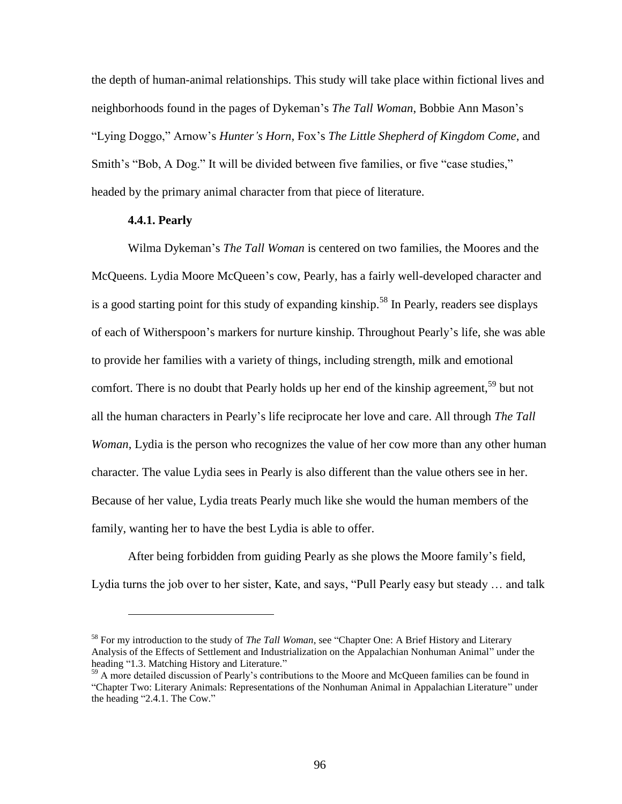the depth of human-animal relationships. This study will take place within fictional lives and neighborhoods found in the pages of Dykeman's *The Tall Woman*, Bobbie Ann Mason's "Lying Doggo," Arnow's *Hunter's Horn*, Fox's *The Little Shepherd of Kingdom Come*, and Smith's "Bob, A Dog." It will be divided between five families, or five "case studies," headed by the primary animal character from that piece of literature.

# **4.4.1. Pearly**

 $\overline{a}$ 

Wilma Dykeman's *The Tall Woman* is centered on two families, the Moores and the McQueens. Lydia Moore McQueen's cow, Pearly, has a fairly well-developed character and is a good starting point for this study of expanding kinship.<sup>58</sup> In Pearly, readers see displays of each of Witherspoon's markers for nurture kinship. Throughout Pearly's life, she was able to provide her families with a variety of things, including strength, milk and emotional comfort. There is no doubt that Pearly holds up her end of the kinship agreement,<sup>59</sup> but not all the human characters in Pearly's life reciprocate her love and care. All through *The Tall Woman*, Lydia is the person who recognizes the value of her cow more than any other human character. The value Lydia sees in Pearly is also different than the value others see in her. Because of her value, Lydia treats Pearly much like she would the human members of the family, wanting her to have the best Lydia is able to offer.

After being forbidden from guiding Pearly as she plows the Moore family's field, Lydia turns the job over to her sister, Kate, and says, "Pull Pearly easy but steady … and talk

<sup>58</sup> For my introduction to the study of *The Tall Woman*, see "Chapter One: A Brief History and Literary Analysis of the Effects of Settlement and Industrialization on the Appalachian Nonhuman Animal" under the heading "1.3. Matching History and Literature."

<sup>&</sup>lt;sup>59</sup> A more detailed discussion of Pearly's contributions to the Moore and McQueen families can be found in "Chapter Two: Literary Animals: Representations of the Nonhuman Animal in Appalachian Literature" under the heading "2.4.1. The Cow."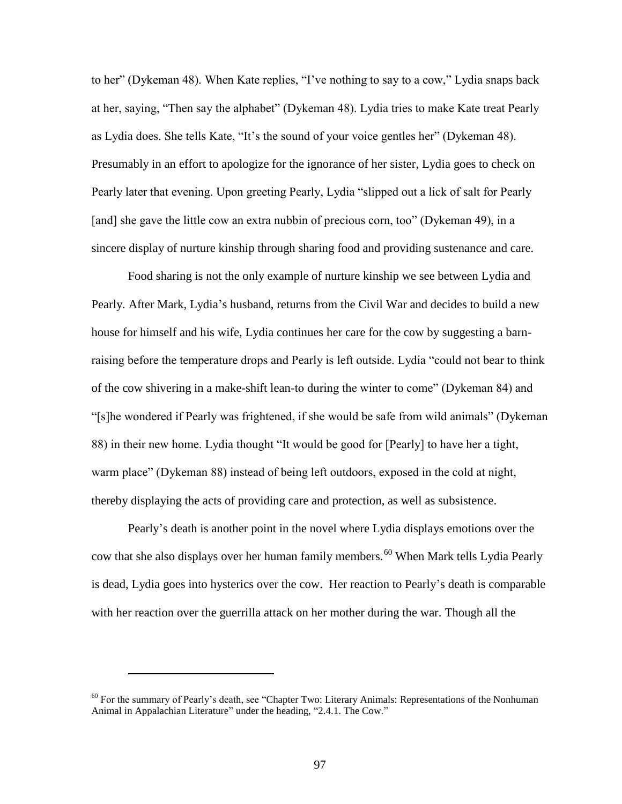to her" (Dykeman 48). When Kate replies, "I've nothing to say to a cow," Lydia snaps back at her, saying, "Then say the alphabet" (Dykeman 48). Lydia tries to make Kate treat Pearly as Lydia does. She tells Kate, "It's the sound of your voice gentles her" (Dykeman 48). Presumably in an effort to apologize for the ignorance of her sister, Lydia goes to check on Pearly later that evening. Upon greeting Pearly, Lydia "slipped out a lick of salt for Pearly [and] she gave the little cow an extra nubbin of precious corn, too" (Dykeman 49), in a sincere display of nurture kinship through sharing food and providing sustenance and care.

Food sharing is not the only example of nurture kinship we see between Lydia and Pearly. After Mark, Lydia's husband, returns from the Civil War and decides to build a new house for himself and his wife, Lydia continues her care for the cow by suggesting a barnraising before the temperature drops and Pearly is left outside. Lydia "could not bear to think of the cow shivering in a make-shift lean-to during the winter to come" (Dykeman 84) and "[s]he wondered if Pearly was frightened, if she would be safe from wild animals" (Dykeman 88) in their new home. Lydia thought "It would be good for [Pearly] to have her a tight, warm place" (Dykeman 88) instead of being left outdoors, exposed in the cold at night, thereby displaying the acts of providing care and protection, as well as subsistence.

Pearly's death is another point in the novel where Lydia displays emotions over the cow that she also displays over her human family members.<sup>60</sup> When Mark tells Lydia Pearly is dead, Lydia goes into hysterics over the cow. Her reaction to Pearly's death is comparable with her reaction over the guerrilla attack on her mother during the war. Though all the

<sup>&</sup>lt;sup>60</sup> For the summary of Pearly's death, see "Chapter Two: Literary Animals: Representations of the Nonhuman Animal in Appalachian Literature" under the heading, "2.4.1. The Cow."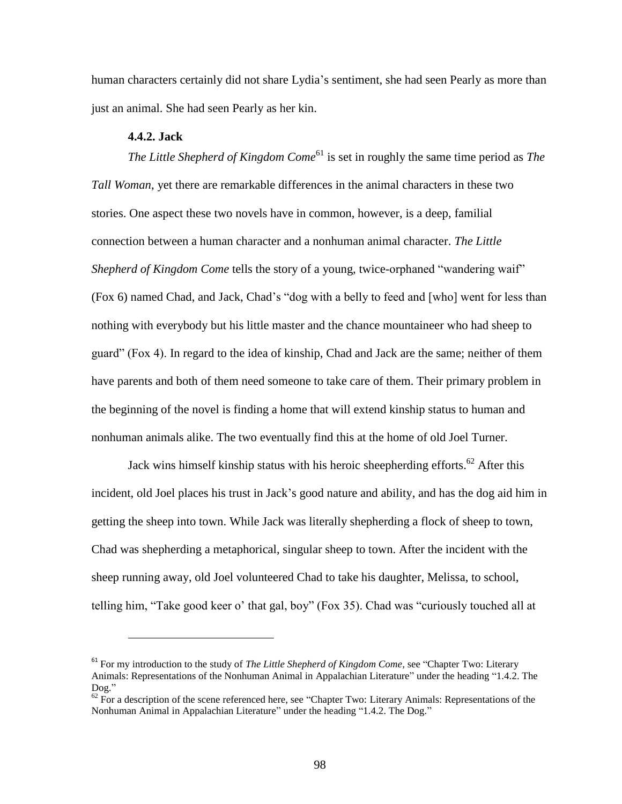human characters certainly did not share Lydia's sentiment, she had seen Pearly as more than just an animal. She had seen Pearly as her kin.

### **4.4.2. Jack**

 $\overline{a}$ 

*The Little Shepherd of Kingdom Come*<sup>61</sup> is set in roughly the same time period as *The Tall Woman*, yet there are remarkable differences in the animal characters in these two stories. One aspect these two novels have in common, however, is a deep, familial connection between a human character and a nonhuman animal character. *The Little Shepherd of Kingdom Come* tells the story of a young, twice-orphaned "wandering waif" (Fox 6) named Chad, and Jack, Chad's "dog with a belly to feed and [who] went for less than nothing with everybody but his little master and the chance mountaineer who had sheep to guard" (Fox 4). In regard to the idea of kinship, Chad and Jack are the same; neither of them have parents and both of them need someone to take care of them. Their primary problem in the beginning of the novel is finding a home that will extend kinship status to human and nonhuman animals alike. The two eventually find this at the home of old Joel Turner.

Jack wins himself kinship status with his heroic sheepherding efforts.<sup>62</sup> After this incident, old Joel places his trust in Jack's good nature and ability, and has the dog aid him in getting the sheep into town. While Jack was literally shepherding a flock of sheep to town, Chad was shepherding a metaphorical, singular sheep to town. After the incident with the sheep running away, old Joel volunteered Chad to take his daughter, Melissa, to school, telling him, "Take good keer o' that gal, boy" (Fox 35). Chad was "curiously touched all at

<sup>61</sup> For my introduction to the study of *The Little Shepherd of Kingdom Come*, see "Chapter Two: Literary Animals: Representations of the Nonhuman Animal in Appalachian Literature" under the heading "1.4.2. The Dog."

 $^{62}$  For a description of the scene referenced here, see "Chapter Two: Literary Animals: Representations of the Nonhuman Animal in Appalachian Literature" under the heading "1.4.2. The Dog."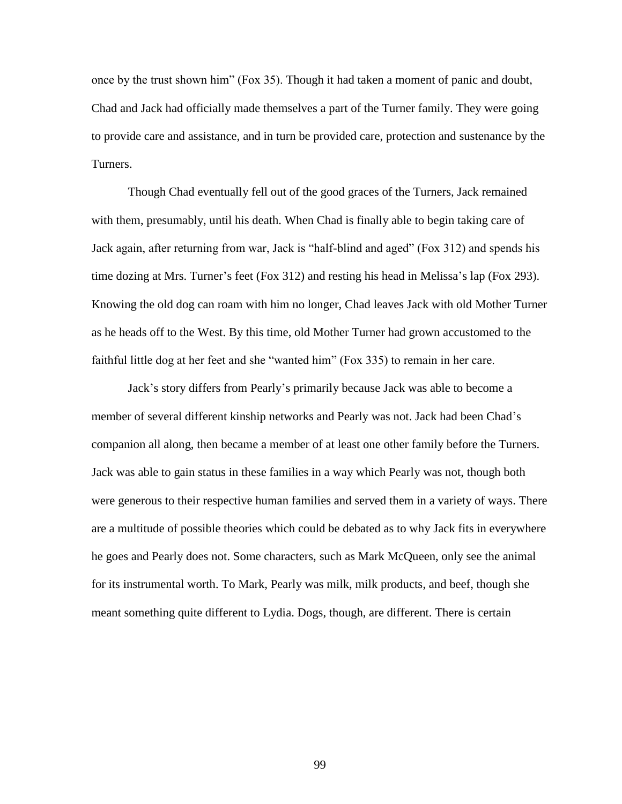once by the trust shown him" (Fox 35). Though it had taken a moment of panic and doubt, Chad and Jack had officially made themselves a part of the Turner family. They were going to provide care and assistance, and in turn be provided care, protection and sustenance by the Turners.

Though Chad eventually fell out of the good graces of the Turners, Jack remained with them, presumably, until his death. When Chad is finally able to begin taking care of Jack again, after returning from war, Jack is "half-blind and aged" (Fox 312) and spends his time dozing at Mrs. Turner's feet (Fox 312) and resting his head in Melissa's lap (Fox 293). Knowing the old dog can roam with him no longer, Chad leaves Jack with old Mother Turner as he heads off to the West. By this time, old Mother Turner had grown accustomed to the faithful little dog at her feet and she "wanted him" (Fox 335) to remain in her care.

Jack's story differs from Pearly's primarily because Jack was able to become a member of several different kinship networks and Pearly was not. Jack had been Chad's companion all along, then became a member of at least one other family before the Turners. Jack was able to gain status in these families in a way which Pearly was not, though both were generous to their respective human families and served them in a variety of ways. There are a multitude of possible theories which could be debated as to why Jack fits in everywhere he goes and Pearly does not. Some characters, such as Mark McQueen, only see the animal for its instrumental worth. To Mark, Pearly was milk, milk products, and beef, though she meant something quite different to Lydia. Dogs, though, are different. There is certain

99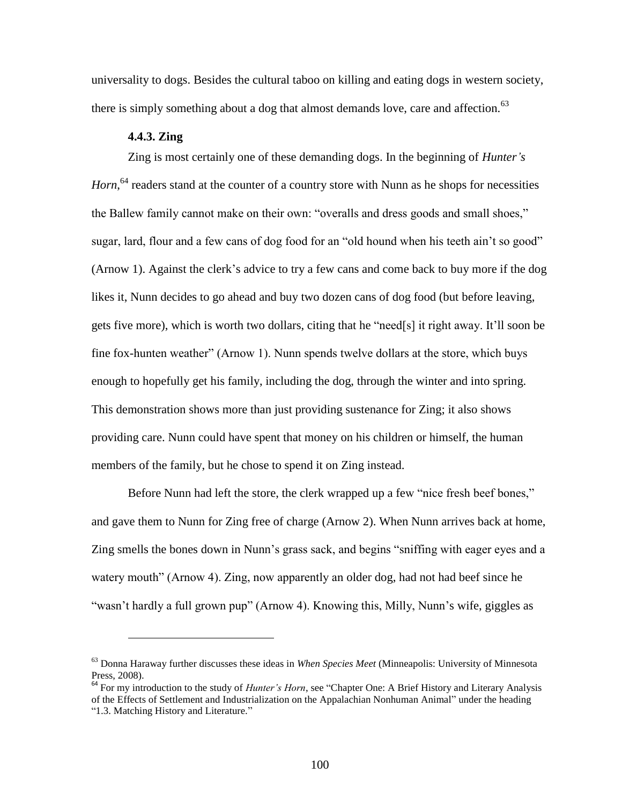universality to dogs. Besides the cultural taboo on killing and eating dogs in western society, there is simply something about a dog that almost demands love, care and affection.<sup>63</sup>

# **4.4.3. Zing**

 $\overline{a}$ 

Zing is most certainly one of these demanding dogs. In the beginning of *Hunter's*  Horn,<sup>64</sup> readers stand at the counter of a country store with Nunn as he shops for necessities the Ballew family cannot make on their own: "overalls and dress goods and small shoes," sugar, lard, flour and a few cans of dog food for an "old hound when his teeth ain't so good" (Arnow 1). Against the clerk's advice to try a few cans and come back to buy more if the dog likes it, Nunn decides to go ahead and buy two dozen cans of dog food (but before leaving, gets five more), which is worth two dollars, citing that he "need[s] it right away. It'll soon be fine fox-hunten weather" (Arnow 1). Nunn spends twelve dollars at the store, which buys enough to hopefully get his family, including the dog, through the winter and into spring. This demonstration shows more than just providing sustenance for Zing; it also shows providing care. Nunn could have spent that money on his children or himself, the human members of the family, but he chose to spend it on Zing instead.

Before Nunn had left the store, the clerk wrapped up a few "nice fresh beef bones," and gave them to Nunn for Zing free of charge (Arnow 2). When Nunn arrives back at home, Zing smells the bones down in Nunn's grass sack, and begins "sniffing with eager eyes and a watery mouth" (Arnow 4). Zing, now apparently an older dog, had not had beef since he "wasn't hardly a full grown pup" (Arnow 4). Knowing this, Milly, Nunn's wife, giggles as

<sup>63</sup> Donna Haraway further discusses these ideas in *When Species Meet* (Minneapolis: University of Minnesota Press, 2008).

<sup>64</sup> For my introduction to the study of *Hunter's Horn*, see "Chapter One: A Brief History and Literary Analysis of the Effects of Settlement and Industrialization on the Appalachian Nonhuman Animal" under the heading "1.3. Matching History and Literature."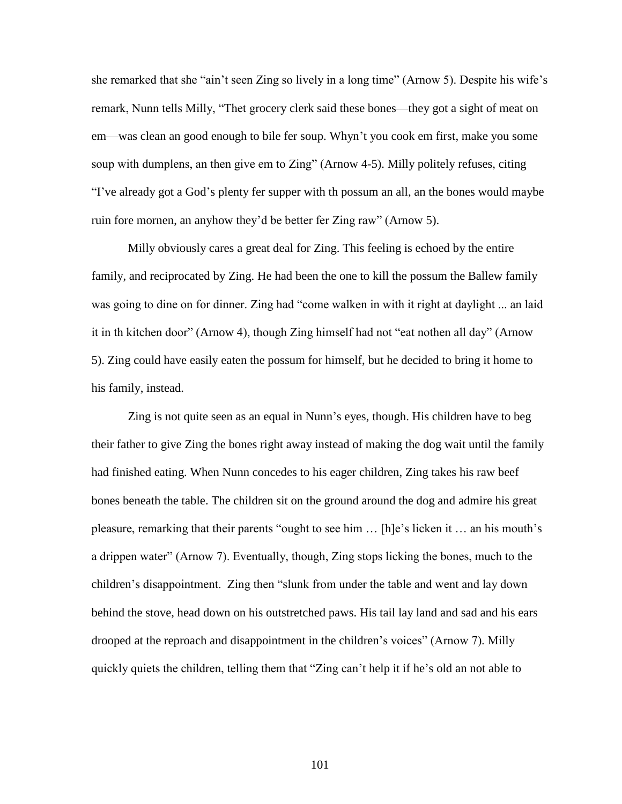she remarked that she "ain't seen Zing so lively in a long time" (Arnow 5). Despite his wife's remark, Nunn tells Milly, "Thet grocery clerk said these bones—they got a sight of meat on em—was clean an good enough to bile fer soup. Whyn't you cook em first, make you some soup with dumplens, an then give em to Zing" (Arnow 4-5). Milly politely refuses, citing "I've already got a God's plenty fer supper with th possum an all, an the bones would maybe ruin fore mornen, an anyhow they'd be better fer Zing raw" (Arnow 5).

Milly obviously cares a great deal for Zing. This feeling is echoed by the entire family, and reciprocated by Zing. He had been the one to kill the possum the Ballew family was going to dine on for dinner. Zing had "come walken in with it right at daylight ... an laid it in th kitchen door" (Arnow 4), though Zing himself had not "eat nothen all day" (Arnow 5). Zing could have easily eaten the possum for himself, but he decided to bring it home to his family, instead.

Zing is not quite seen as an equal in Nunn's eyes, though. His children have to beg their father to give Zing the bones right away instead of making the dog wait until the family had finished eating. When Nunn concedes to his eager children, Zing takes his raw beef bones beneath the table. The children sit on the ground around the dog and admire his great pleasure, remarking that their parents "ought to see him … [h]e's licken it … an his mouth's a drippen water" (Arnow 7). Eventually, though, Zing stops licking the bones, much to the children's disappointment. Zing then "slunk from under the table and went and lay down behind the stove, head down on his outstretched paws. His tail lay land and sad and his ears drooped at the reproach and disappointment in the children's voices" (Arnow 7). Milly quickly quiets the children, telling them that "Zing can't help it if he's old an not able to

101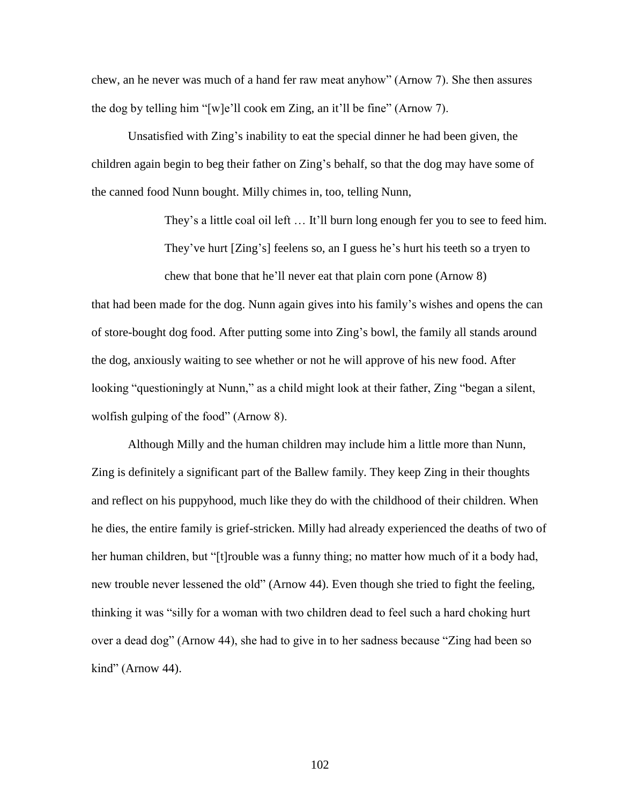chew, an he never was much of a hand fer raw meat anyhow" (Arnow 7). She then assures the dog by telling him "[w]e'll cook em Zing, an it'll be fine" (Arnow 7).

Unsatisfied with Zing's inability to eat the special dinner he had been given, the children again begin to beg their father on Zing's behalf, so that the dog may have some of the canned food Nunn bought. Milly chimes in, too, telling Nunn,

They's a little coal oil left … It'll burn long enough fer you to see to feed him.

They've hurt [Zing's] feelens so, an I guess he's hurt his teeth so a tryen to chew that bone that he'll never eat that plain corn pone (Arnow 8)

that had been made for the dog. Nunn again gives into his family's wishes and opens the can of store-bought dog food. After putting some into Zing's bowl, the family all stands around the dog, anxiously waiting to see whether or not he will approve of his new food. After looking "questioningly at Nunn," as a child might look at their father, Zing "began a silent, wolfish gulping of the food" (Arnow 8).

Although Milly and the human children may include him a little more than Nunn, Zing is definitely a significant part of the Ballew family. They keep Zing in their thoughts and reflect on his puppyhood, much like they do with the childhood of their children. When he dies, the entire family is grief-stricken. Milly had already experienced the deaths of two of her human children, but "[t]rouble was a funny thing; no matter how much of it a body had, new trouble never lessened the old" (Arnow 44). Even though she tried to fight the feeling, thinking it was "silly for a woman with two children dead to feel such a hard choking hurt over a dead dog" (Arnow 44), she had to give in to her sadness because "Zing had been so kind" (Arnow 44).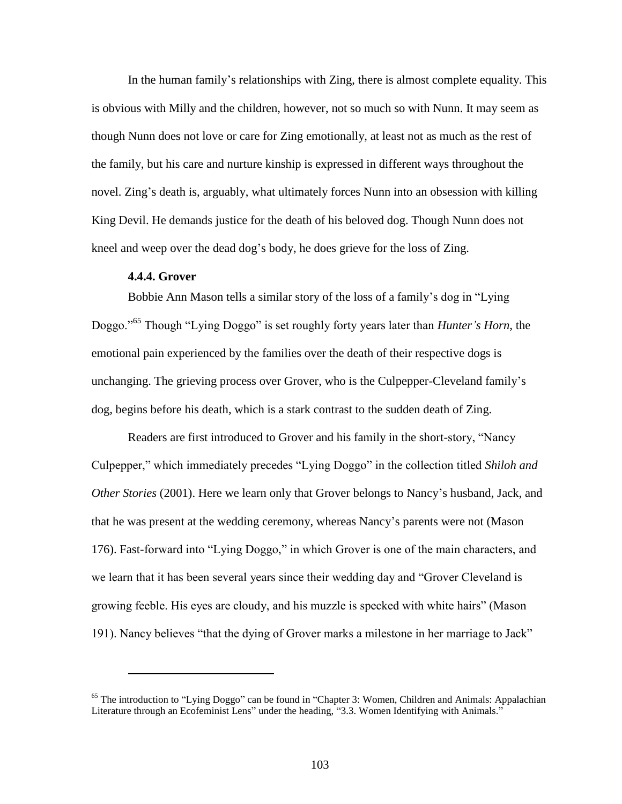In the human family's relationships with Zing, there is almost complete equality. This is obvious with Milly and the children, however, not so much so with Nunn. It may seem as though Nunn does not love or care for Zing emotionally, at least not as much as the rest of the family, but his care and nurture kinship is expressed in different ways throughout the novel. Zing's death is, arguably, what ultimately forces Nunn into an obsession with killing King Devil. He demands justice for the death of his beloved dog. Though Nunn does not kneel and weep over the dead dog's body, he does grieve for the loss of Zing.

#### **4.4.4. Grover**

 $\overline{a}$ 

Bobbie Ann Mason tells a similar story of the loss of a family's dog in "Lying Doggo."<sup>65</sup> Though "Lying Doggo" is set roughly forty years later than *Hunter's Horn*, the emotional pain experienced by the families over the death of their respective dogs is unchanging. The grieving process over Grover, who is the Culpepper-Cleveland family's dog, begins before his death, which is a stark contrast to the sudden death of Zing.

Readers are first introduced to Grover and his family in the short-story, "Nancy Culpepper," which immediately precedes "Lying Doggo" in the collection titled *Shiloh and Other Stories* (2001). Here we learn only that Grover belongs to Nancy's husband, Jack, and that he was present at the wedding ceremony, whereas Nancy's parents were not (Mason 176). Fast-forward into "Lying Doggo," in which Grover is one of the main characters, and we learn that it has been several years since their wedding day and "Grover Cleveland is growing feeble. His eyes are cloudy, and his muzzle is specked with white hairs" (Mason 191). Nancy believes "that the dying of Grover marks a milestone in her marriage to Jack"

<sup>&</sup>lt;sup>65</sup> The introduction to "Lying Doggo" can be found in "Chapter 3: Women, Children and Animals: Appalachian Literature through an Ecofeminist Lens" under the heading, "3.3. Women Identifying with Animals."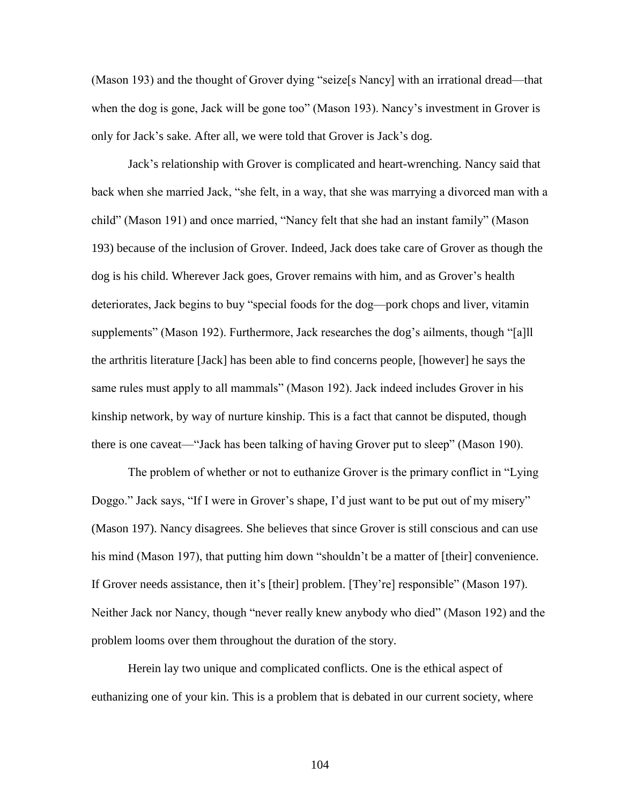(Mason 193) and the thought of Grover dying "seize[s Nancy] with an irrational dread—that when the dog is gone, Jack will be gone too" (Mason 193). Nancy's investment in Grover is only for Jack's sake. After all, we were told that Grover is Jack's dog.

Jack's relationship with Grover is complicated and heart-wrenching. Nancy said that back when she married Jack, "she felt, in a way, that she was marrying a divorced man with a child" (Mason 191) and once married, "Nancy felt that she had an instant family" (Mason 193) because of the inclusion of Grover. Indeed, Jack does take care of Grover as though the dog is his child. Wherever Jack goes, Grover remains with him, and as Grover's health deteriorates, Jack begins to buy "special foods for the dog—pork chops and liver, vitamin supplements" (Mason 192). Furthermore, Jack researches the dog's ailments, though "[a]ll the arthritis literature [Jack] has been able to find concerns people, [however] he says the same rules must apply to all mammals" (Mason 192). Jack indeed includes Grover in his kinship network, by way of nurture kinship. This is a fact that cannot be disputed, though there is one caveat—"Jack has been talking of having Grover put to sleep" (Mason 190).

The problem of whether or not to euthanize Grover is the primary conflict in "Lying Doggo." Jack says, "If I were in Grover's shape, I'd just want to be put out of my misery" (Mason 197). Nancy disagrees. She believes that since Grover is still conscious and can use his mind (Mason 197), that putting him down "shouldn't be a matter of [their] convenience. If Grover needs assistance, then it's [their] problem. [They're] responsible" (Mason 197). Neither Jack nor Nancy, though "never really knew anybody who died" (Mason 192) and the problem looms over them throughout the duration of the story.

Herein lay two unique and complicated conflicts. One is the ethical aspect of euthanizing one of your kin. This is a problem that is debated in our current society, where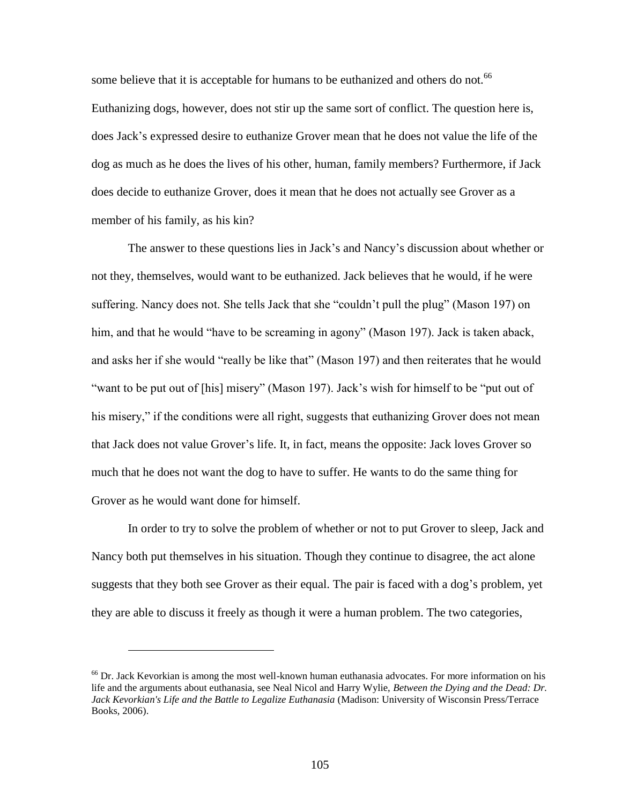some believe that it is acceptable for humans to be euthanized and others do not.<sup>66</sup> Euthanizing dogs, however, does not stir up the same sort of conflict. The question here is, does Jack's expressed desire to euthanize Grover mean that he does not value the life of the dog as much as he does the lives of his other, human, family members? Furthermore, if Jack does decide to euthanize Grover, does it mean that he does not actually see Grover as a member of his family, as his kin?

The answer to these questions lies in Jack's and Nancy's discussion about whether or not they, themselves, would want to be euthanized. Jack believes that he would, if he were suffering. Nancy does not. She tells Jack that she "couldn't pull the plug" (Mason 197) on him, and that he would "have to be screaming in agony" (Mason 197). Jack is taken aback, and asks her if she would "really be like that" (Mason 197) and then reiterates that he would "want to be put out of [his] misery" (Mason 197). Jack's wish for himself to be "put out of his misery," if the conditions were all right, suggests that euthanizing Grover does not mean that Jack does not value Grover's life. It, in fact, means the opposite: Jack loves Grover so much that he does not want the dog to have to suffer. He wants to do the same thing for Grover as he would want done for himself.

In order to try to solve the problem of whether or not to put Grover to sleep, Jack and Nancy both put themselves in his situation. Though they continue to disagree, the act alone suggests that they both see Grover as their equal. The pair is faced with a dog's problem, yet they are able to discuss it freely as though it were a human problem. The two categories,

 $\overline{a}$ 

 $66$  Dr. Jack Kevorkian is among the most well-known human euthanasia advocates. For more information on his life and the arguments about euthanasia, see Neal Nicol and Harry Wylie, *Between the Dying and the Dead: Dr. Jack Kevorkian's Life and the Battle to Legalize Euthanasia* (Madison: University of Wisconsin Press/Terrace Books, 2006).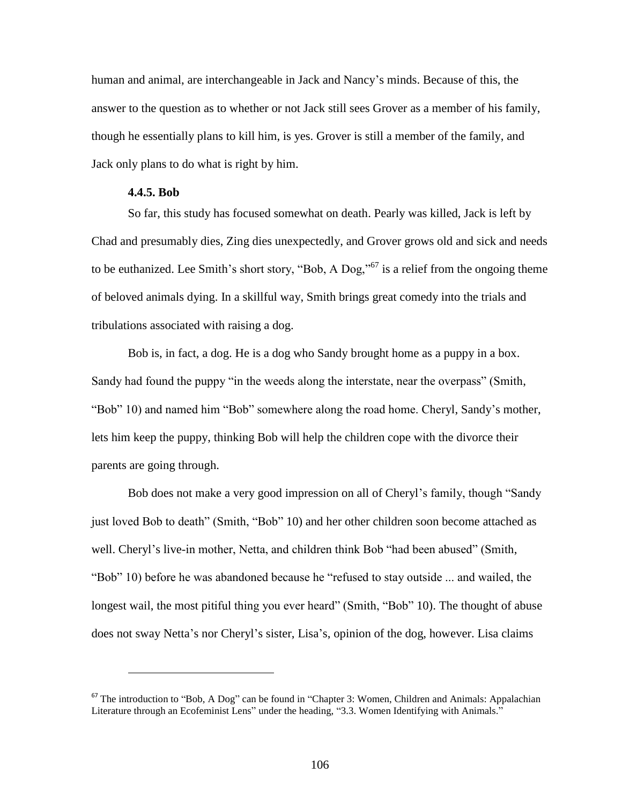human and animal, are interchangeable in Jack and Nancy's minds. Because of this, the answer to the question as to whether or not Jack still sees Grover as a member of his family, though he essentially plans to kill him, is yes. Grover is still a member of the family, and Jack only plans to do what is right by him.

# **4.4.5. Bob**

 $\overline{a}$ 

So far, this study has focused somewhat on death. Pearly was killed, Jack is left by Chad and presumably dies, Zing dies unexpectedly, and Grover grows old and sick and needs to be euthanized. Lee Smith's short story, "Bob, A Dog,"<sup>67</sup> is a relief from the ongoing theme of beloved animals dying. In a skillful way, Smith brings great comedy into the trials and tribulations associated with raising a dog.

Bob is, in fact, a dog. He is a dog who Sandy brought home as a puppy in a box. Sandy had found the puppy "in the weeds along the interstate, near the overpass" (Smith, "Bob" 10) and named him "Bob" somewhere along the road home. Cheryl, Sandy's mother, lets him keep the puppy, thinking Bob will help the children cope with the divorce their parents are going through.

Bob does not make a very good impression on all of Cheryl's family, though "Sandy just loved Bob to death" (Smith, "Bob" 10) and her other children soon become attached as well. Cheryl's live-in mother, Netta, and children think Bob "had been abused" (Smith, "Bob" 10) before he was abandoned because he "refused to stay outside ... and wailed, the longest wail, the most pitiful thing you ever heard" (Smith, "Bob" 10). The thought of abuse does not sway Netta's nor Cheryl's sister, Lisa's, opinion of the dog, however. Lisa claims

<sup>&</sup>lt;sup>67</sup> The introduction to "Bob, A Dog" can be found in "Chapter 3: Women, Children and Animals: Appalachian Literature through an Ecofeminist Lens" under the heading, "3.3. Women Identifying with Animals."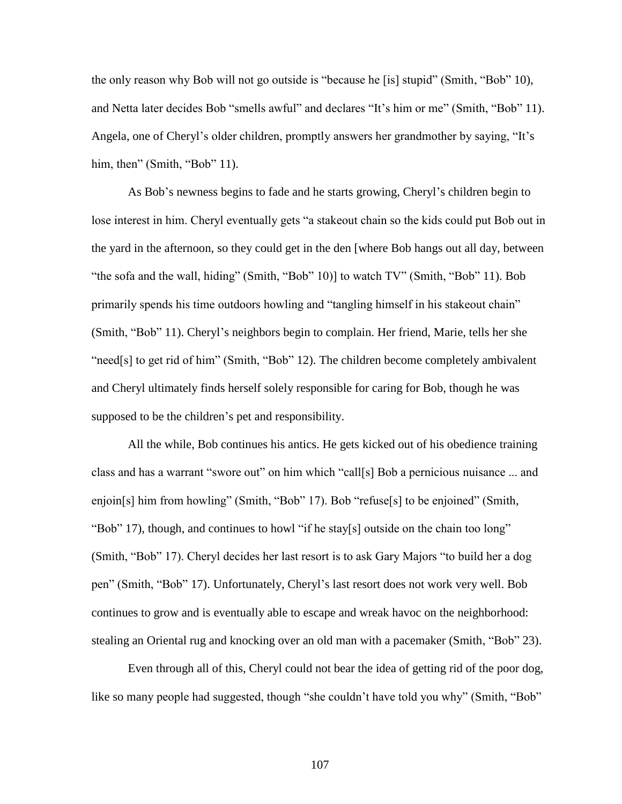the only reason why Bob will not go outside is "because he [is] stupid" (Smith, "Bob" 10), and Netta later decides Bob "smells awful" and declares "It's him or me" (Smith, "Bob" 11). Angela, one of Cheryl's older children, promptly answers her grandmother by saying, "It's him, then" (Smith, "Bob" 11).

As Bob's newness begins to fade and he starts growing, Cheryl's children begin to lose interest in him. Cheryl eventually gets "a stakeout chain so the kids could put Bob out in the yard in the afternoon, so they could get in the den [where Bob hangs out all day, between "the sofa and the wall, hiding" (Smith, "Bob" 10)] to watch TV" (Smith, "Bob" 11). Bob primarily spends his time outdoors howling and "tangling himself in his stakeout chain" (Smith, "Bob" 11). Cheryl's neighbors begin to complain. Her friend, Marie, tells her she "need[s] to get rid of him" (Smith, "Bob" 12). The children become completely ambivalent and Cheryl ultimately finds herself solely responsible for caring for Bob, though he was supposed to be the children's pet and responsibility.

All the while, Bob continues his antics. He gets kicked out of his obedience training class and has a warrant "swore out" on him which "call[s] Bob a pernicious nuisance ... and enjoin[s] him from howling" (Smith, "Bob" 17). Bob "refuse[s] to be enjoined" (Smith, "Bob" 17), though, and continues to howl "if he stay[s] outside on the chain too long" (Smith, "Bob" 17). Cheryl decides her last resort is to ask Gary Majors "to build her a dog pen" (Smith, "Bob" 17). Unfortunately, Cheryl's last resort does not work very well. Bob continues to grow and is eventually able to escape and wreak havoc on the neighborhood: stealing an Oriental rug and knocking over an old man with a pacemaker (Smith, "Bob" 23).

Even through all of this, Cheryl could not bear the idea of getting rid of the poor dog, like so many people had suggested, though "she couldn't have told you why" (Smith, "Bob"

107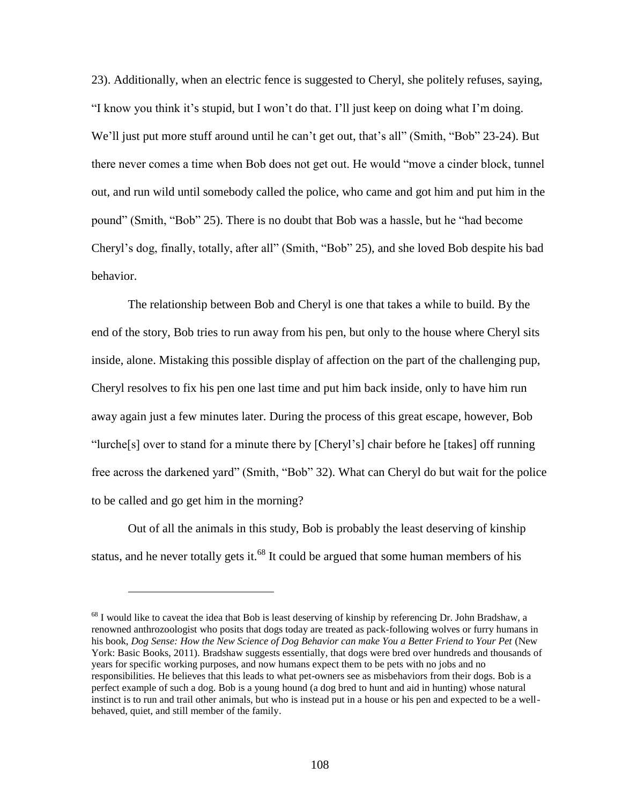23). Additionally, when an electric fence is suggested to Cheryl, she politely refuses, saying, "I know you think it's stupid, but I won't do that. I'll just keep on doing what I'm doing. We'll just put more stuff around until he can't get out, that's all" (Smith, "Bob" 23-24). But there never comes a time when Bob does not get out. He would "move a cinder block, tunnel out, and run wild until somebody called the police, who came and got him and put him in the pound" (Smith, "Bob" 25). There is no doubt that Bob was a hassle, but he "had become Cheryl's dog, finally, totally, after all" (Smith, "Bob" 25), and she loved Bob despite his bad behavior.

The relationship between Bob and Cheryl is one that takes a while to build. By the end of the story, Bob tries to run away from his pen, but only to the house where Cheryl sits inside, alone. Mistaking this possible display of affection on the part of the challenging pup, Cheryl resolves to fix his pen one last time and put him back inside, only to have him run away again just a few minutes later. During the process of this great escape, however, Bob "lurche[s] over to stand for a minute there by [Cheryl's] chair before he [takes] off running free across the darkened yard" (Smith, "Bob" 32). What can Cheryl do but wait for the police to be called and go get him in the morning?

Out of all the animals in this study, Bob is probably the least deserving of kinship status, and he never totally gets it.<sup>68</sup> It could be argued that some human members of his

 $\overline{a}$ 

<sup>&</sup>lt;sup>68</sup> I would like to caveat the idea that Bob is least deserving of kinship by referencing Dr. John Bradshaw, a renowned anthrozoologist who posits that dogs today are treated as pack-following wolves or furry humans in his book, *Dog Sense: How the New Science of Dog Behavior can make You a Better Friend to Your Pet* (New York: Basic Books, 2011). Bradshaw suggests essentially, that dogs were bred over hundreds and thousands of years for specific working purposes, and now humans expect them to be pets with no jobs and no responsibilities. He believes that this leads to what pet-owners see as misbehaviors from their dogs. Bob is a perfect example of such a dog. Bob is a young hound (a dog bred to hunt and aid in hunting) whose natural instinct is to run and trail other animals, but who is instead put in a house or his pen and expected to be a wellbehaved, quiet, and still member of the family.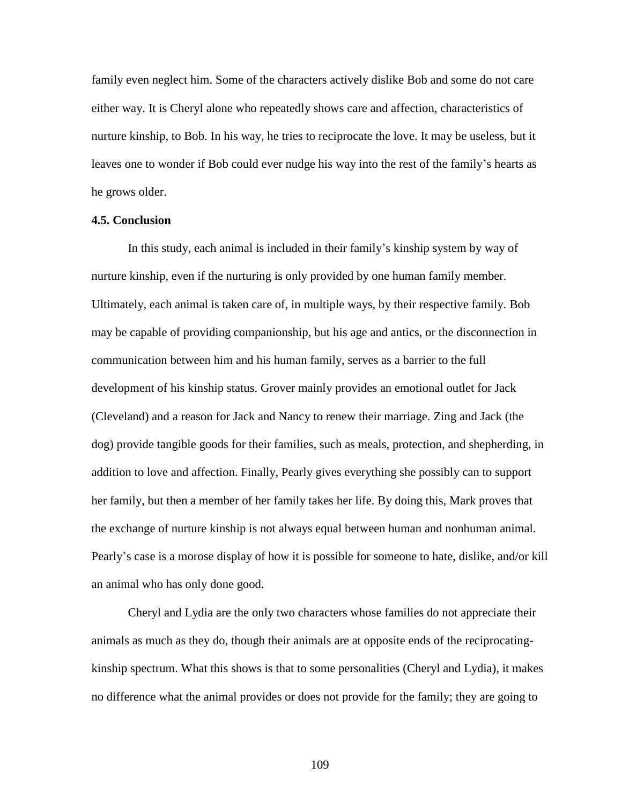family even neglect him. Some of the characters actively dislike Bob and some do not care either way. It is Cheryl alone who repeatedly shows care and affection, characteristics of nurture kinship, to Bob. In his way, he tries to reciprocate the love. It may be useless, but it leaves one to wonder if Bob could ever nudge his way into the rest of the family's hearts as he grows older.

## **4.5. Conclusion**

In this study, each animal is included in their family's kinship system by way of nurture kinship, even if the nurturing is only provided by one human family member. Ultimately, each animal is taken care of, in multiple ways, by their respective family. Bob may be capable of providing companionship, but his age and antics, or the disconnection in communication between him and his human family, serves as a barrier to the full development of his kinship status. Grover mainly provides an emotional outlet for Jack (Cleveland) and a reason for Jack and Nancy to renew their marriage. Zing and Jack (the dog) provide tangible goods for their families, such as meals, protection, and shepherding, in addition to love and affection. Finally, Pearly gives everything she possibly can to support her family, but then a member of her family takes her life. By doing this, Mark proves that the exchange of nurture kinship is not always equal between human and nonhuman animal. Pearly's case is a morose display of how it is possible for someone to hate, dislike, and/or kill an animal who has only done good.

Cheryl and Lydia are the only two characters whose families do not appreciate their animals as much as they do, though their animals are at opposite ends of the reciprocatingkinship spectrum. What this shows is that to some personalities (Cheryl and Lydia), it makes no difference what the animal provides or does not provide for the family; they are going to

109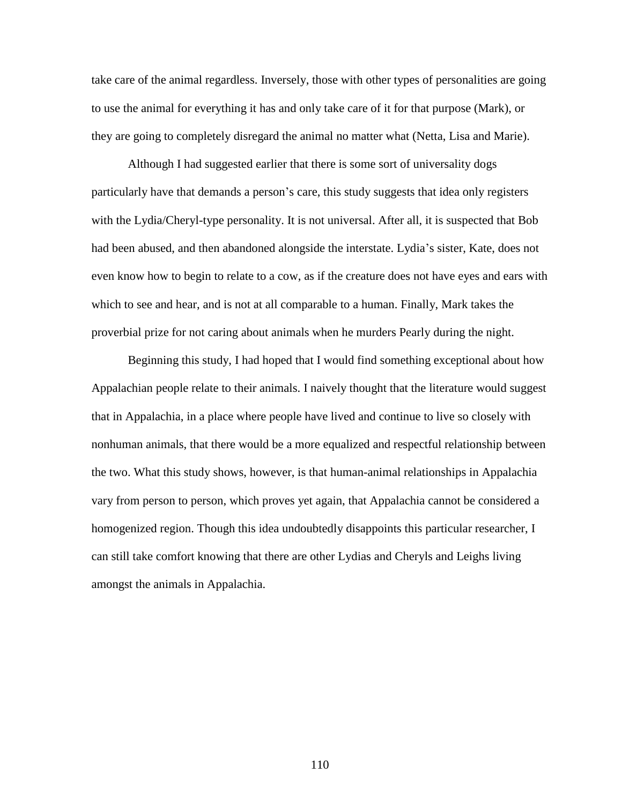take care of the animal regardless. Inversely, those with other types of personalities are going to use the animal for everything it has and only take care of it for that purpose (Mark), or they are going to completely disregard the animal no matter what (Netta, Lisa and Marie).

Although I had suggested earlier that there is some sort of universality dogs particularly have that demands a person's care, this study suggests that idea only registers with the Lydia/Cheryl-type personality. It is not universal. After all, it is suspected that Bob had been abused, and then abandoned alongside the interstate. Lydia's sister, Kate, does not even know how to begin to relate to a cow, as if the creature does not have eyes and ears with which to see and hear, and is not at all comparable to a human. Finally, Mark takes the proverbial prize for not caring about animals when he murders Pearly during the night.

Beginning this study, I had hoped that I would find something exceptional about how Appalachian people relate to their animals. I naively thought that the literature would suggest that in Appalachia, in a place where people have lived and continue to live so closely with nonhuman animals, that there would be a more equalized and respectful relationship between the two. What this study shows, however, is that human-animal relationships in Appalachia vary from person to person, which proves yet again, that Appalachia cannot be considered a homogenized region. Though this idea undoubtedly disappoints this particular researcher, I can still take comfort knowing that there are other Lydias and Cheryls and Leighs living amongst the animals in Appalachia.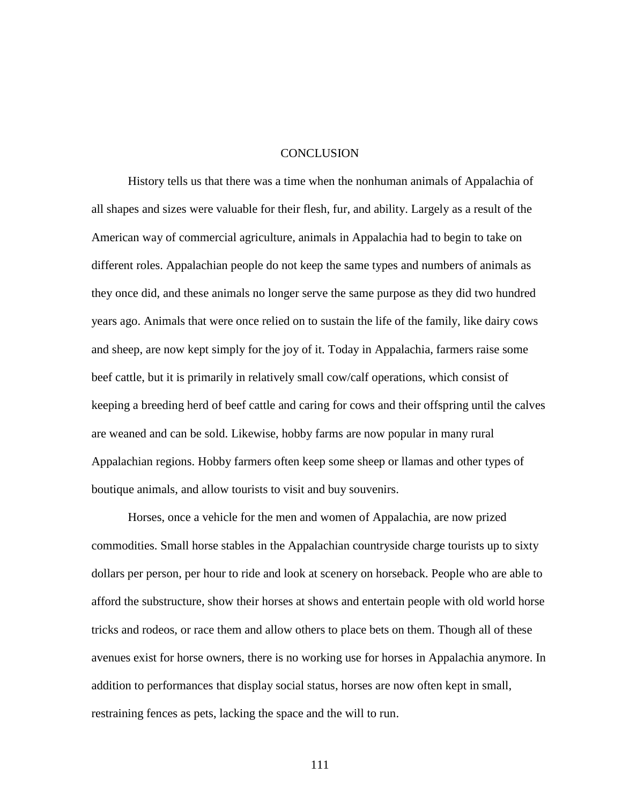#### **CONCLUSION**

History tells us that there was a time when the nonhuman animals of Appalachia of all shapes and sizes were valuable for their flesh, fur, and ability. Largely as a result of the American way of commercial agriculture, animals in Appalachia had to begin to take on different roles. Appalachian people do not keep the same types and numbers of animals as they once did, and these animals no longer serve the same purpose as they did two hundred years ago. Animals that were once relied on to sustain the life of the family, like dairy cows and sheep, are now kept simply for the joy of it. Today in Appalachia, farmers raise some beef cattle, but it is primarily in relatively small cow/calf operations, which consist of keeping a breeding herd of beef cattle and caring for cows and their offspring until the calves are weaned and can be sold. Likewise, hobby farms are now popular in many rural Appalachian regions. Hobby farmers often keep some sheep or llamas and other types of boutique animals, and allow tourists to visit and buy souvenirs.

Horses, once a vehicle for the men and women of Appalachia, are now prized commodities. Small horse stables in the Appalachian countryside charge tourists up to sixty dollars per person, per hour to ride and look at scenery on horseback. People who are able to afford the substructure, show their horses at shows and entertain people with old world horse tricks and rodeos, or race them and allow others to place bets on them. Though all of these avenues exist for horse owners, there is no working use for horses in Appalachia anymore. In addition to performances that display social status, horses are now often kept in small, restraining fences as pets, lacking the space and the will to run.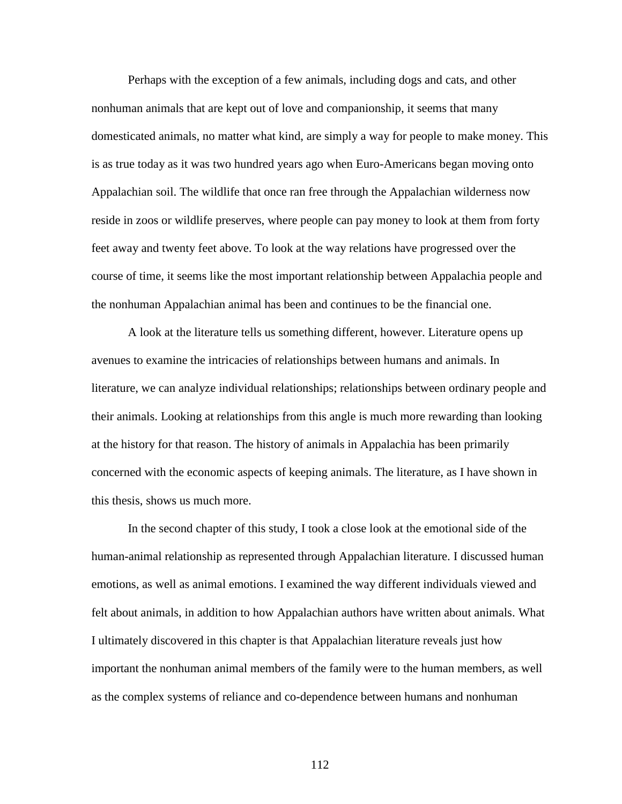Perhaps with the exception of a few animals, including dogs and cats, and other nonhuman animals that are kept out of love and companionship, it seems that many domesticated animals, no matter what kind, are simply a way for people to make money. This is as true today as it was two hundred years ago when Euro-Americans began moving onto Appalachian soil. The wildlife that once ran free through the Appalachian wilderness now reside in zoos or wildlife preserves, where people can pay money to look at them from forty feet away and twenty feet above. To look at the way relations have progressed over the course of time, it seems like the most important relationship between Appalachia people and the nonhuman Appalachian animal has been and continues to be the financial one.

A look at the literature tells us something different, however. Literature opens up avenues to examine the intricacies of relationships between humans and animals. In literature, we can analyze individual relationships; relationships between ordinary people and their animals. Looking at relationships from this angle is much more rewarding than looking at the history for that reason. The history of animals in Appalachia has been primarily concerned with the economic aspects of keeping animals. The literature, as I have shown in this thesis, shows us much more.

In the second chapter of this study, I took a close look at the emotional side of the human-animal relationship as represented through Appalachian literature. I discussed human emotions, as well as animal emotions. I examined the way different individuals viewed and felt about animals, in addition to how Appalachian authors have written about animals. What I ultimately discovered in this chapter is that Appalachian literature reveals just how important the nonhuman animal members of the family were to the human members, as well as the complex systems of reliance and co-dependence between humans and nonhuman

112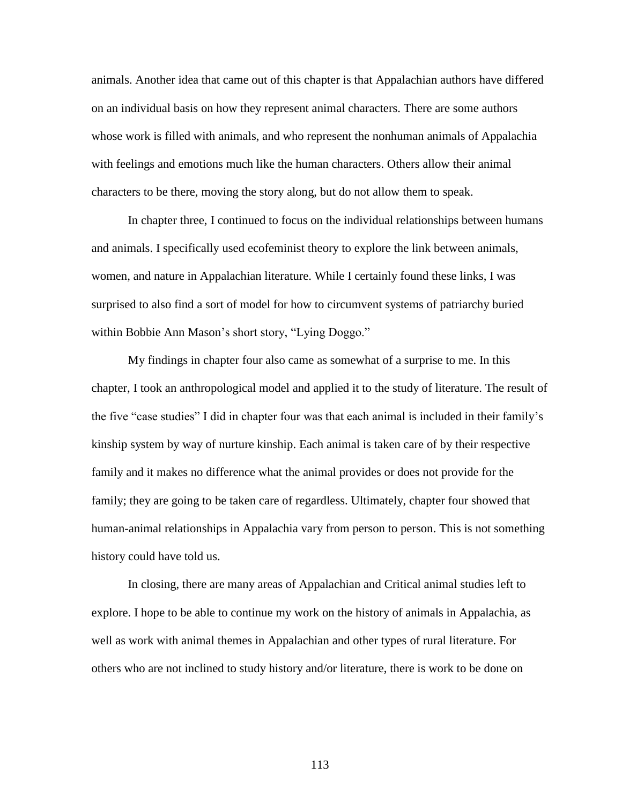animals. Another idea that came out of this chapter is that Appalachian authors have differed on an individual basis on how they represent animal characters. There are some authors whose work is filled with animals, and who represent the nonhuman animals of Appalachia with feelings and emotions much like the human characters. Others allow their animal characters to be there, moving the story along, but do not allow them to speak.

In chapter three, I continued to focus on the individual relationships between humans and animals. I specifically used ecofeminist theory to explore the link between animals, women, and nature in Appalachian literature. While I certainly found these links, I was surprised to also find a sort of model for how to circumvent systems of patriarchy buried within Bobbie Ann Mason's short story, "Lying Doggo."

My findings in chapter four also came as somewhat of a surprise to me. In this chapter, I took an anthropological model and applied it to the study of literature. The result of the five "case studies" I did in chapter four was that each animal is included in their family's kinship system by way of nurture kinship. Each animal is taken care of by their respective family and it makes no difference what the animal provides or does not provide for the family; they are going to be taken care of regardless. Ultimately, chapter four showed that human-animal relationships in Appalachia vary from person to person. This is not something history could have told us.

In closing, there are many areas of Appalachian and Critical animal studies left to explore. I hope to be able to continue my work on the history of animals in Appalachia, as well as work with animal themes in Appalachian and other types of rural literature. For others who are not inclined to study history and/or literature, there is work to be done on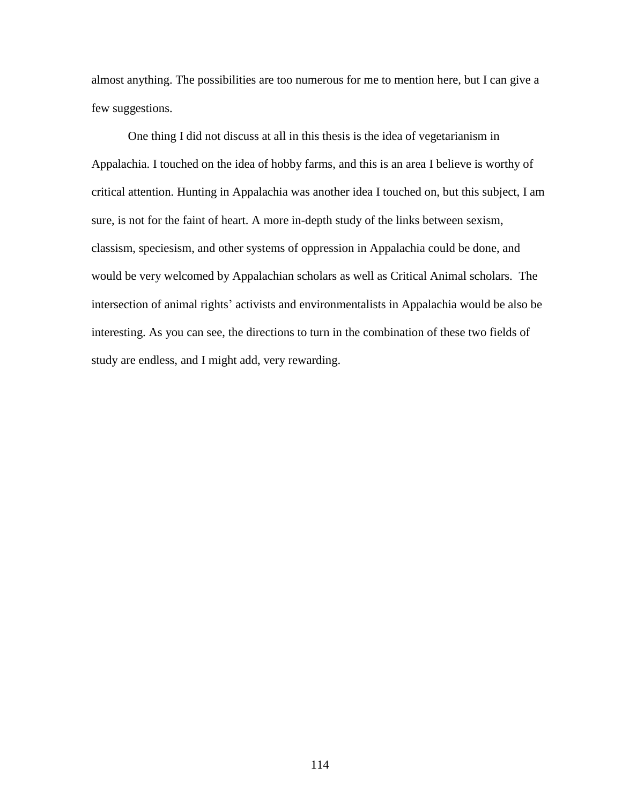almost anything. The possibilities are too numerous for me to mention here, but I can give a few suggestions.

One thing I did not discuss at all in this thesis is the idea of vegetarianism in Appalachia. I touched on the idea of hobby farms, and this is an area I believe is worthy of critical attention. Hunting in Appalachia was another idea I touched on, but this subject, I am sure, is not for the faint of heart. A more in-depth study of the links between sexism, classism, speciesism, and other systems of oppression in Appalachia could be done, and would be very welcomed by Appalachian scholars as well as Critical Animal scholars. The intersection of animal rights' activists and environmentalists in Appalachia would be also be interesting. As you can see, the directions to turn in the combination of these two fields of study are endless, and I might add, very rewarding.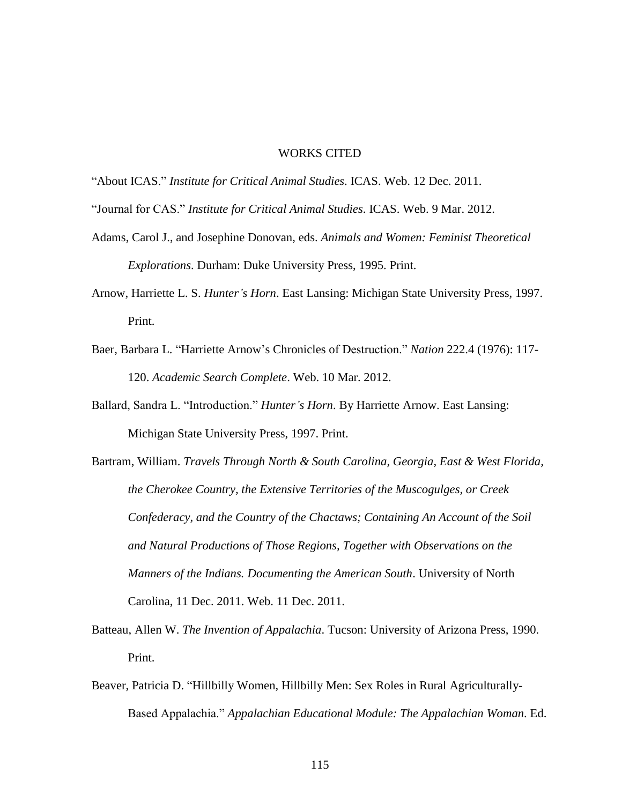### WORKS CITED

"About ICAS." *Institute for Critical Animal Studies*. ICAS. Web. 12 Dec. 2011.

- "Journal for CAS." *Institute for Critical Animal Studies*. ICAS. Web. 9 Mar. 2012.
- Adams, Carol J., and Josephine Donovan, eds. *Animals and Women: Feminist Theoretical Explorations*. Durham: Duke University Press, 1995. Print.
- Arnow, Harriette L. S. *Hunter's Horn*. East Lansing: Michigan State University Press, 1997. Print.
- Baer, Barbara L. "Harriette Arnow's Chronicles of Destruction." *Nation* 222.4 (1976): 117- 120. *Academic Search Complete*. Web. 10 Mar. 2012.
- Ballard, Sandra L. "Introduction." *Hunter's Horn*. By Harriette Arnow. East Lansing: Michigan State University Press, 1997. Print.
- Bartram, William. *Travels Through North & South Carolina, Georgia, East & West Florida, the Cherokee Country, the Extensive Territories of the Muscogulges, or Creek Confederacy, and the Country of the Chactaws; Containing An Account of the Soil and Natural Productions of Those Regions, Together with Observations on the Manners of the Indians. Documenting the American South*. University of North Carolina, 11 Dec. 2011. Web. 11 Dec. 2011.
- Batteau, Allen W. *The Invention of Appalachia*. Tucson: University of Arizona Press, 1990. Print.
- Beaver, Patricia D. "Hillbilly Women, Hillbilly Men: Sex Roles in Rural Agriculturally-Based Appalachia." *Appalachian Educational Module: The Appalachian Woman*. Ed.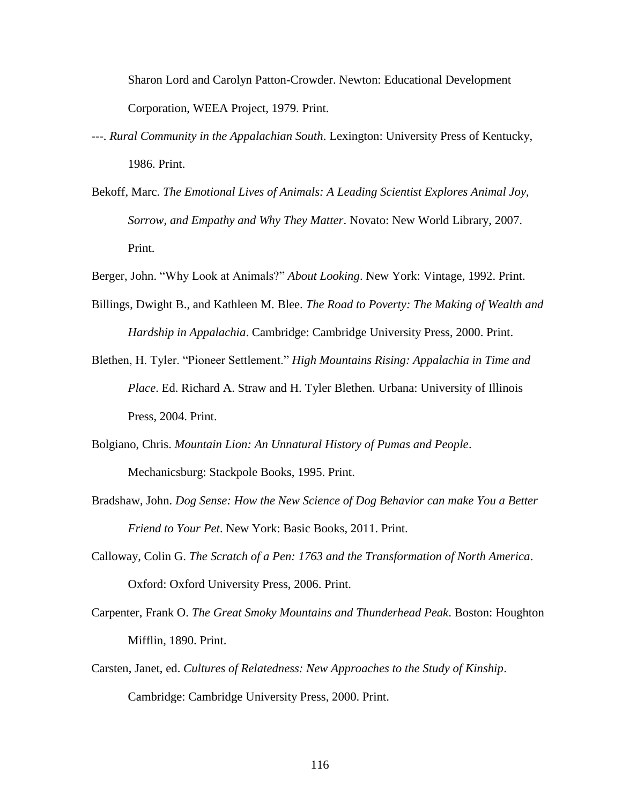Sharon Lord and Carolyn Patton-Crowder. Newton: Educational Development Corporation, WEEA Project, 1979. Print.

- ---. *Rural Community in the Appalachian South*. Lexington: University Press of Kentucky, 1986. Print.
- Bekoff, Marc. *The Emotional Lives of Animals: A Leading Scientist Explores Animal Joy, Sorrow, and Empathy and Why They Matter*. Novato: New World Library, 2007. Print.
- Berger, John. "Why Look at Animals?" *About Looking*. New York: Vintage, 1992. Print.
- Billings, Dwight B., and Kathleen M. Blee. *The Road to Poverty: The Making of Wealth and Hardship in Appalachia*. Cambridge: Cambridge University Press, 2000. Print.
- Blethen, H. Tyler. "Pioneer Settlement." *High Mountains Rising: Appalachia in Time and Place*. Ed. Richard A. Straw and H. Tyler Blethen. Urbana: University of Illinois Press, 2004. Print.
- Bolgiano, Chris. *Mountain Lion: An Unnatural History of Pumas and People*. Mechanicsburg: Stackpole Books, 1995. Print.
- Bradshaw, John. *Dog Sense: How the New Science of Dog Behavior can make You a Better Friend to Your Pet*. New York: Basic Books, 2011. Print.
- Calloway, Colin G. *The Scratch of a Pen: 1763 and the Transformation of North America*. Oxford: Oxford University Press, 2006. Print.
- Carpenter, Frank O. *The Great Smoky Mountains and Thunderhead Peak*. Boston: Houghton Mifflin, 1890. Print.
- Carsten, Janet, ed. *Cultures of Relatedness: New Approaches to the Study of Kinship*. Cambridge: Cambridge University Press, 2000. Print.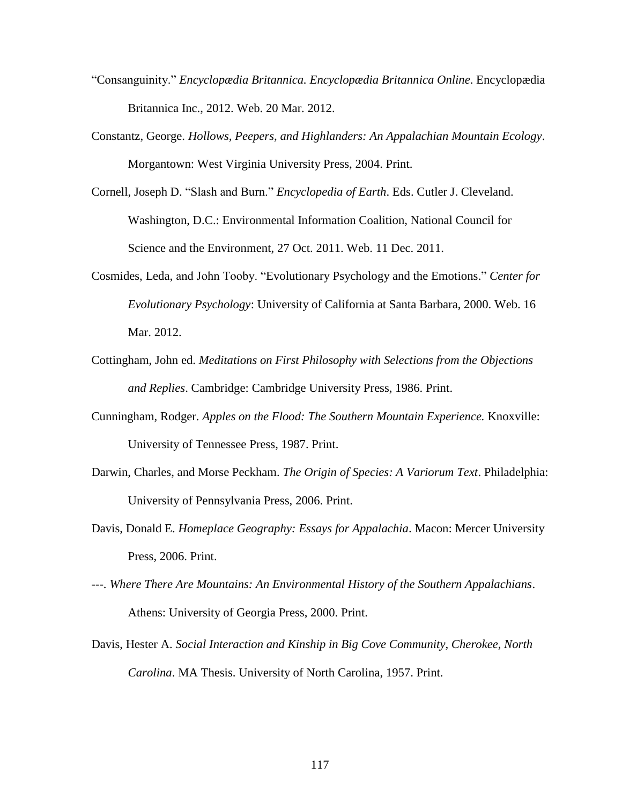- "Consanguinity." *Encyclopædia Britannica. Encyclopædia Britannica Online*. Encyclopædia Britannica Inc., 2012. Web. 20 Mar. 2012.
- Constantz, George. *Hollows, Peepers, and Highlanders: An Appalachian Mountain Ecology*. Morgantown: West Virginia University Press, 2004. Print.
- Cornell, Joseph D. "Slash and Burn." *Encyclopedia of Earth*. Eds. Cutler J. Cleveland. Washington, D.C.: Environmental Information Coalition, National Council for Science and the Environment, 27 Oct. 2011. Web. 11 Dec. 2011.
- Cosmides, Leda, and John Tooby. "Evolutionary Psychology and the Emotions." *Center for Evolutionary Psychology*: University of California at Santa Barbara, 2000. Web. 16 Mar. 2012.
- Cottingham, John ed. *Meditations on First Philosophy with Selections from the Objections and Replies*. Cambridge: Cambridge University Press, 1986. Print.
- Cunningham, Rodger. *Apples on the Flood: The Southern Mountain Experience.* Knoxville: University of Tennessee Press, 1987. Print.
- Darwin, Charles, and Morse Peckham. *The Origin of Species: A Variorum Text*. Philadelphia: University of Pennsylvania Press, 2006. Print.
- Davis, Donald E. *Homeplace Geography: Essays for Appalachia*. Macon: Mercer University Press, 2006. Print.
- ---. *Where There Are Mountains: An Environmental History of the Southern Appalachians*. Athens: University of Georgia Press, 2000. Print.
- Davis, Hester A. *Social Interaction and Kinship in Big Cove Community, Cherokee, North Carolina*. MA Thesis. University of North Carolina, 1957. Print.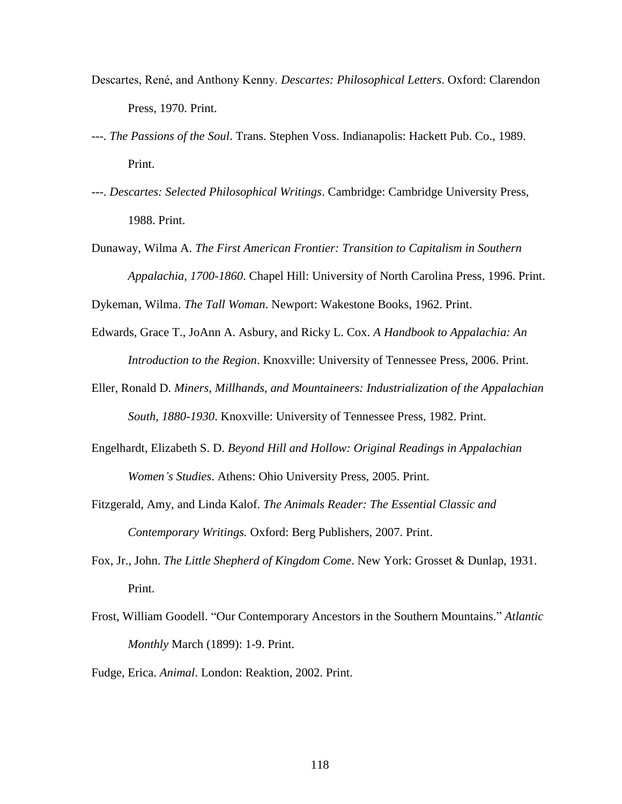- Descartes, René, and Anthony Kenny. *Descartes: Philosophical Letters*. Oxford: Clarendon Press, 1970. Print.
- ---. *The Passions of the Soul*. Trans. Stephen Voss. Indianapolis: Hackett Pub. Co., 1989. Print.
- ---. *Descartes: Selected Philosophical Writings*. Cambridge: Cambridge University Press, 1988. Print.
- Dunaway, Wilma A. *The First American Frontier: Transition to Capitalism in Southern Appalachia, 1700-1860*. Chapel Hill: University of North Carolina Press, 1996. Print.

Dykeman, Wilma. *The Tall Woman*. Newport: Wakestone Books, 1962. Print.

- Edwards, Grace T., JoAnn A. Asbury, and Ricky L. Cox. *A Handbook to Appalachia: An Introduction to the Region*. Knoxville: University of Tennessee Press, 2006. Print.
- Eller, Ronald D. *Miners, Millhands, and Mountaineers: Industrialization of the Appalachian South, 1880-1930*. Knoxville: University of Tennessee Press, 1982. Print.
- Engelhardt, Elizabeth S. D. *Beyond Hill and Hollow: Original Readings in Appalachian Women's Studies*. Athens: Ohio University Press, 2005. Print.
- Fitzgerald, Amy, and Linda Kalof. *The Animals Reader: The Essential Classic and Contemporary Writings.* Oxford: Berg Publishers, 2007. Print.
- Fox, Jr., John. *The Little Shepherd of Kingdom Come*. New York: Grosset & Dunlap, 1931. Print.
- Frost, William Goodell. "Our Contemporary Ancestors in the Southern Mountains." *Atlantic Monthly* March (1899): 1-9. Print.
- Fudge, Erica. *Animal*. London: Reaktion, 2002. Print.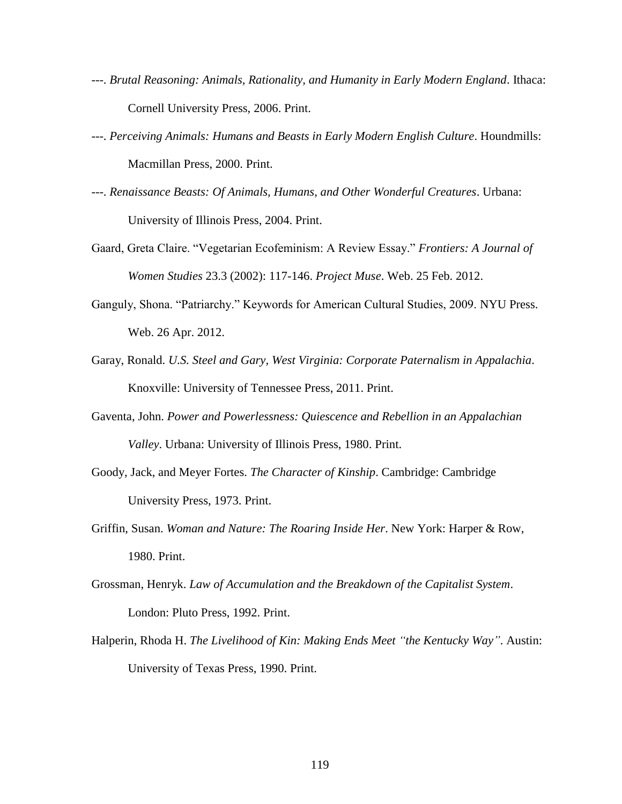- ---. *Brutal Reasoning: Animals, Rationality, and Humanity in Early Modern England*. Ithaca: Cornell University Press, 2006. Print.
- ---. *Perceiving Animals: Humans and Beasts in Early Modern English Culture*. Houndmills: Macmillan Press, 2000. Print.
- ---. *Renaissance Beasts: Of Animals, Humans, and Other Wonderful Creatures*. Urbana: University of Illinois Press, 2004. Print.
- Gaard, Greta Claire. "Vegetarian Ecofeminism: A Review Essay." *Frontiers: A Journal of Women Studies* 23.3 (2002): 117-146. *Project Muse*. Web. 25 Feb. 2012.
- Ganguly, Shona. "Patriarchy." Keywords for American Cultural Studies, 2009. NYU Press. Web. 26 Apr. 2012.
- Garay, Ronald. *U.S. Steel and Gary, West Virginia: Corporate Paternalism in Appalachia*. Knoxville: University of Tennessee Press, 2011. Print.
- Gaventa, John. *Power and Powerlessness: Quiescence and Rebellion in an Appalachian Valley*. Urbana: University of Illinois Press, 1980. Print.
- Goody, Jack, and Meyer Fortes. *The Character of Kinship*. Cambridge: Cambridge University Press, 1973. Print.
- Griffin, Susan. *Woman and Nature: The Roaring Inside Her*. New York: Harper & Row, 1980. Print.
- Grossman, Henryk. *Law of Accumulation and the Breakdown of the Capitalist System*. London: Pluto Press, 1992. Print.
- Halperin, Rhoda H. *The Livelihood of Kin: Making Ends Meet "the Kentucky Way"*. Austin: University of Texas Press, 1990. Print.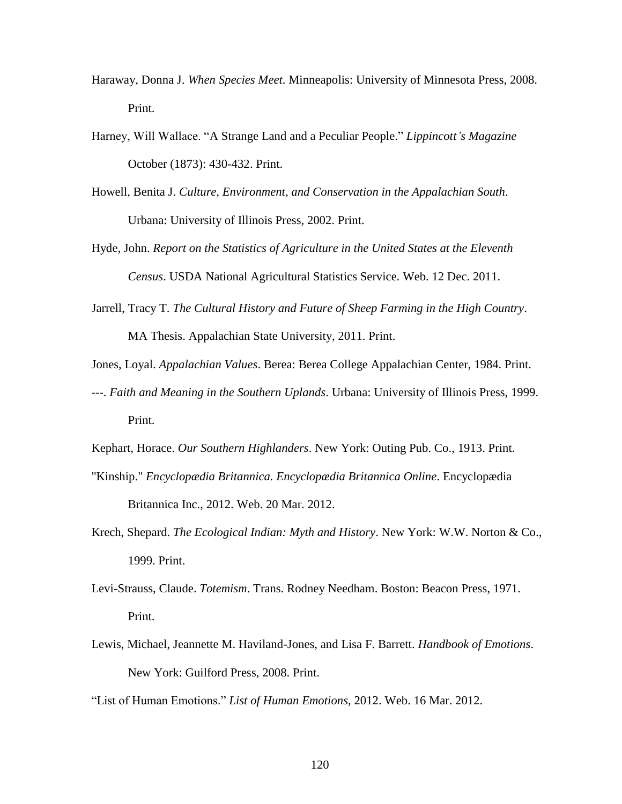- Haraway, Donna J. *When Species Meet*. Minneapolis: University of Minnesota Press, 2008. Print.
- Harney, Will Wallace. "A Strange Land and a Peculiar People." *Lippincott's Magazine* October (1873): 430-432. Print.
- Howell, Benita J. *Culture, Environment, and Conservation in the Appalachian South*. Urbana: University of Illinois Press, 2002. Print.
- Hyde, John. *Report on the Statistics of Agriculture in the United States at the Eleventh Census*. USDA National Agricultural Statistics Service. Web. 12 Dec. 2011.
- Jarrell, Tracy T. *The Cultural History and Future of Sheep Farming in the High Country*. MA Thesis. Appalachian State University, 2011. Print.
- Jones, Loyal. *Appalachian Values*. Berea: Berea College Appalachian Center, 1984. Print.
- ---. *Faith and Meaning in the Southern Uplands*. Urbana: University of Illinois Press, 1999. Print.
- Kephart, Horace. *Our Southern Highlanders*. New York: Outing Pub. Co., 1913. Print.
- "Kinship." *Encyclopædia Britannica. Encyclopædia Britannica Online*. Encyclopædia Britannica Inc., 2012. Web. 20 Mar. 2012.
- Krech, Shepard. *The Ecological Indian: Myth and History*. New York: W.W. Norton & Co., 1999. Print.
- Levi-Strauss, Claude. *Totemism*. Trans. Rodney Needham. Boston: Beacon Press, 1971. Print.
- Lewis, Michael, Jeannette M. Haviland-Jones, and Lisa F. Barrett. *Handbook of Emotions*. New York: Guilford Press, 2008. Print.
- "List of Human Emotions." *List of Human Emotions*, 2012. Web. 16 Mar. 2012.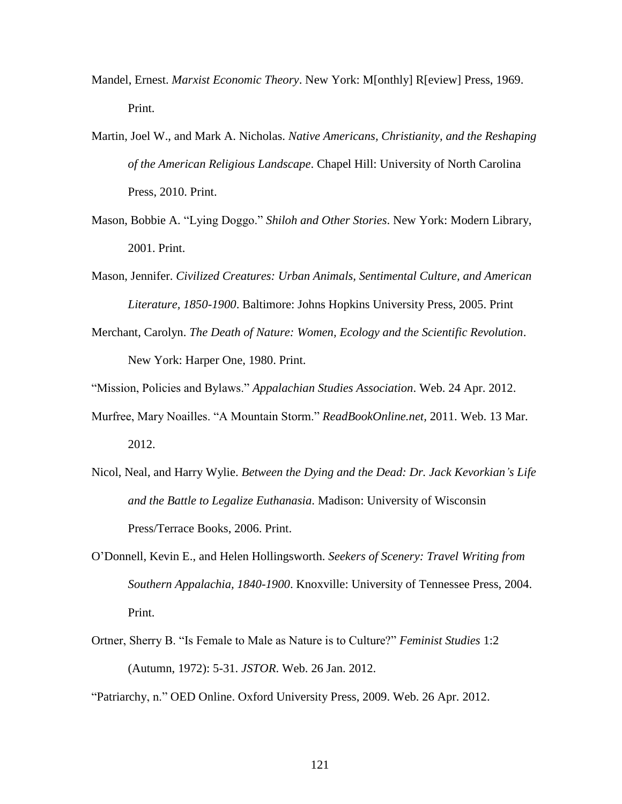- Mandel, Ernest. *Marxist Economic Theory*. New York: M[onthly] R[eview] Press, 1969. Print.
- Martin, Joel W., and Mark A. Nicholas. *Native Americans, Christianity, and the Reshaping of the American Religious Landscape*. Chapel Hill: University of North Carolina Press, 2010. Print.
- Mason, Bobbie A. "Lying Doggo." *Shiloh and Other Stories*. New York: Modern Library, 2001. Print.
- Mason, Jennifer. *Civilized Creatures: Urban Animals, Sentimental Culture, and American Literature, 1850-1900*. Baltimore: Johns Hopkins University Press, 2005. Print
- Merchant, Carolyn. *The Death of Nature: Women, Ecology and the Scientific Revolution*. New York: Harper One, 1980. Print.

"Mission, Policies and Bylaws." *Appalachian Studies Association*. Web. 24 Apr. 2012.

- Murfree, Mary Noailles. "A Mountain Storm." *ReadBookOnline.net,* 2011. Web. 13 Mar. 2012.
- Nicol, Neal, and Harry Wylie. *Between the Dying and the Dead: Dr. Jack Kevorkian's Life and the Battle to Legalize Euthanasia*. Madison: University of Wisconsin Press/Terrace Books, 2006. Print.
- O'Donnell, Kevin E., and Helen Hollingsworth. *Seekers of Scenery: Travel Writing from Southern Appalachia, 1840-1900*. Knoxville: University of Tennessee Press, 2004. Print.
- Ortner, Sherry B. "Is Female to Male as Nature is to Culture?" *Feminist Studies* 1:2 (Autumn, 1972): 5-31. *JSTOR*. Web. 26 Jan. 2012.

"Patriarchy, n." OED Online. Oxford University Press, 2009. Web. 26 Apr. 2012.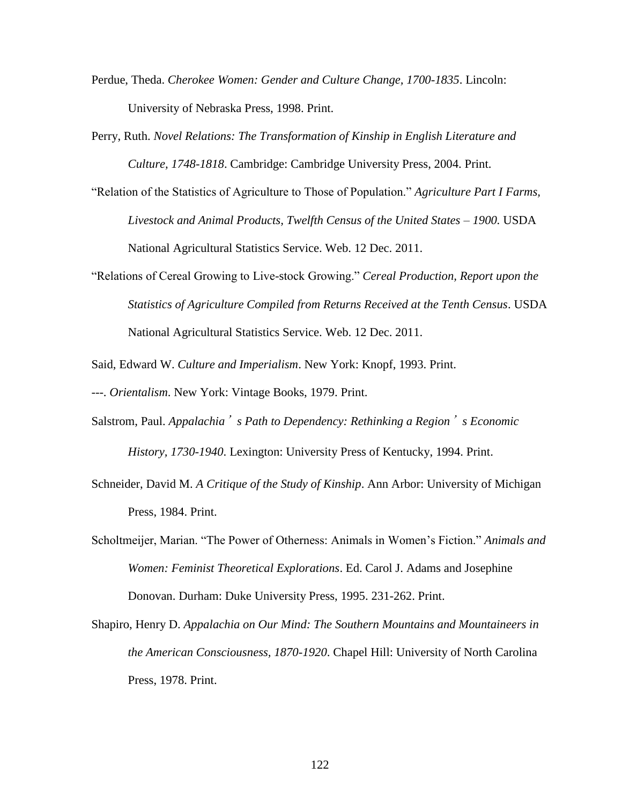- Perdue, Theda. *Cherokee Women: Gender and Culture Change, 1700-1835*. Lincoln: University of Nebraska Press, 1998. Print.
- Perry, Ruth. *Novel Relations: The Transformation of Kinship in English Literature and Culture, 1748-1818*. Cambridge: Cambridge University Press, 2004. Print.
- "Relation of the Statistics of Agriculture to Those of Population." *Agriculture Part I Farms, Livestock and Animal Products, Twelfth Census of the United States – 1900.* USDA National Agricultural Statistics Service. Web. 12 Dec. 2011.
- "Relations of Cereal Growing to Live-stock Growing." *Cereal Production, Report upon the Statistics of Agriculture Compiled from Returns Received at the Tenth Census*. USDA National Agricultural Statistics Service. Web. 12 Dec. 2011.
- Said, Edward W. *Culture and Imperialism*. New York: Knopf, 1993. Print.

---. *Orientalism*. New York: Vintage Books, 1979. Print.

- Salstrom, Paul. *Appalachia*'*s Path to Dependency: Rethinking a Region*'*s Economic History, 1730-1940*. Lexington: University Press of Kentucky, 1994. Print.
- Schneider, David M. *A Critique of the Study of Kinship*. Ann Arbor: University of Michigan Press, 1984. Print.
- Scholtmeijer, Marian. "The Power of Otherness: Animals in Women's Fiction." *Animals and Women: Feminist Theoretical Explorations*. Ed. Carol J. Adams and Josephine Donovan. Durham: Duke University Press, 1995. 231-262. Print.
- Shapiro, Henry D. *Appalachia on Our Mind: The Southern Mountains and Mountaineers in the American Consciousness, 1870-1920*. Chapel Hill: University of North Carolina Press, 1978. Print.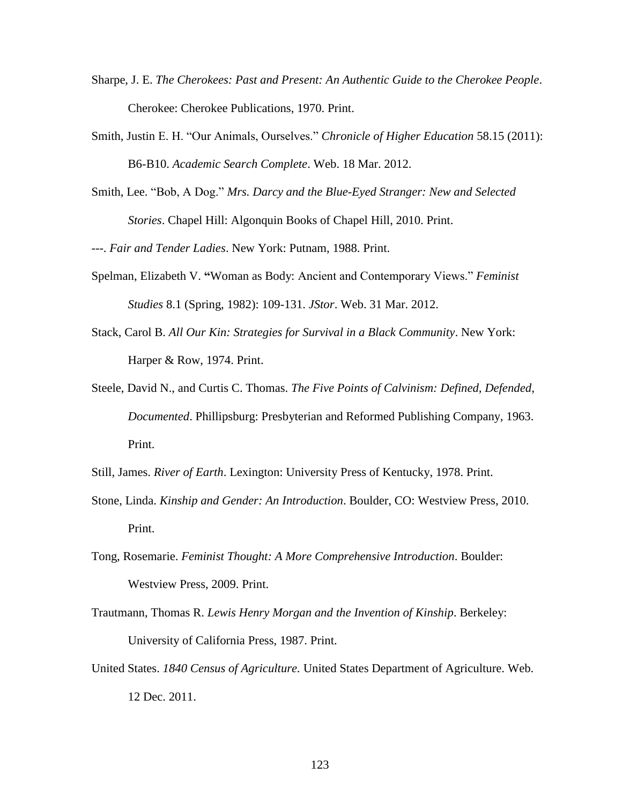- Sharpe, J. E. *The Cherokees: Past and Present: An Authentic Guide to the Cherokee People*. Cherokee: Cherokee Publications, 1970. Print.
- Smith, Justin E. H. "Our Animals, Ourselves." *Chronicle of Higher Education* 58.15 (2011): B6-B10. *Academic Search Complete*. Web. 18 Mar. 2012.
- Smith, Lee. "Bob, A Dog." *Mrs. Darcy and the Blue-Eyed Stranger: New and Selected Stories*. Chapel Hill: Algonquin Books of Chapel Hill, 2010. Print.

---. *Fair and Tender Ladies*. New York: Putnam, 1988. Print.

- Spelman, Elizabeth V. **"**Woman as Body: Ancient and Contemporary Views." *Feminist Studies* 8.1 (Spring, 1982): 109-131. *JStor*. Web. 31 Mar. 2012.
- Stack, Carol B. *All Our Kin: Strategies for Survival in a Black Community*. New York: Harper & Row, 1974. Print.
- Steele, David N., and Curtis C. Thomas. *The Five Points of Calvinism: Defined, Defended, Documented*. Phillipsburg: Presbyterian and Reformed Publishing Company, 1963. Print.
- Still, James. *River of Earth*. Lexington: University Press of Kentucky, 1978. Print.
- Stone, Linda. *Kinship and Gender: An Introduction*. Boulder, CO: Westview Press, 2010. Print.
- Tong, Rosemarie. *Feminist Thought: A More Comprehensive Introduction*. Boulder: Westview Press, 2009. Print.
- Trautmann, Thomas R. *Lewis Henry Morgan and the Invention of Kinship*. Berkeley: University of California Press, 1987. Print.
- United States. *1840 Census of Agriculture.* United States Department of Agriculture. Web. 12 Dec. 2011.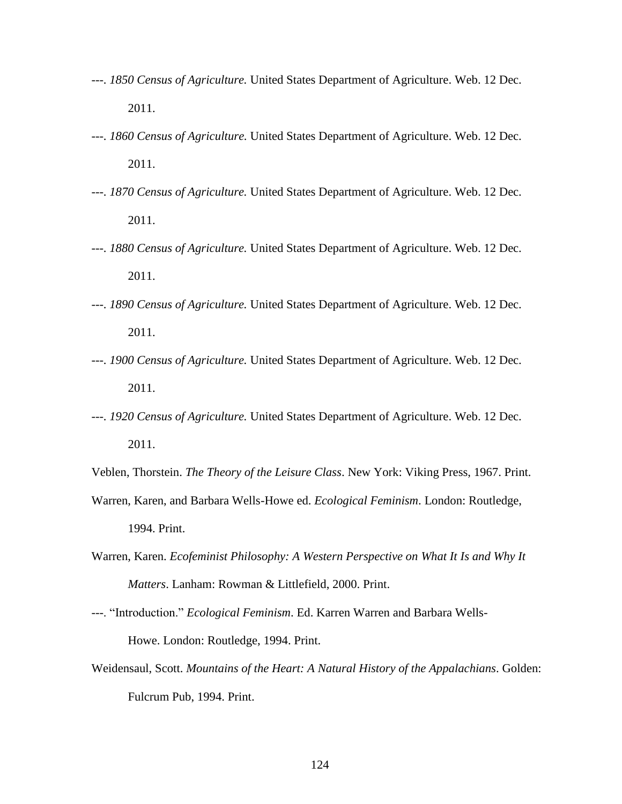- ---. *1850 Census of Agriculture.* United States Department of Agriculture. Web. 12 Dec. 2011.
- ---. *1860 Census of Agriculture.* United States Department of Agriculture. Web. 12 Dec. 2011.
- ---. *1870 Census of Agriculture.* United States Department of Agriculture. Web. 12 Dec. 2011.
- ---. *1880 Census of Agriculture.* United States Department of Agriculture. Web. 12 Dec. 2011.
- ---. *1890 Census of Agriculture.* United States Department of Agriculture. Web. 12 Dec. 2011.
- ---. *1900 Census of Agriculture.* United States Department of Agriculture. Web. 12 Dec. 2011.
- ---. *1920 Census of Agriculture.* United States Department of Agriculture. Web. 12 Dec. 2011.

Veblen, Thorstein. *The Theory of the Leisure Class*. New York: Viking Press, 1967. Print.

- Warren, Karen, and Barbara Wells-Howe ed. *Ecological Feminism*. London: Routledge, 1994. Print.
- Warren, Karen. *Ecofeminist Philosophy: A Western Perspective on What It Is and Why It Matters*. Lanham: Rowman & Littlefield, 2000. Print.
- ---. "Introduction." *Ecological Feminism*. Ed. Karren Warren and Barbara Wells-Howe. London: Routledge, 1994. Print.
- Weidensaul, Scott. *Mountains of the Heart: A Natural History of the Appalachians*. Golden: Fulcrum Pub, 1994. Print.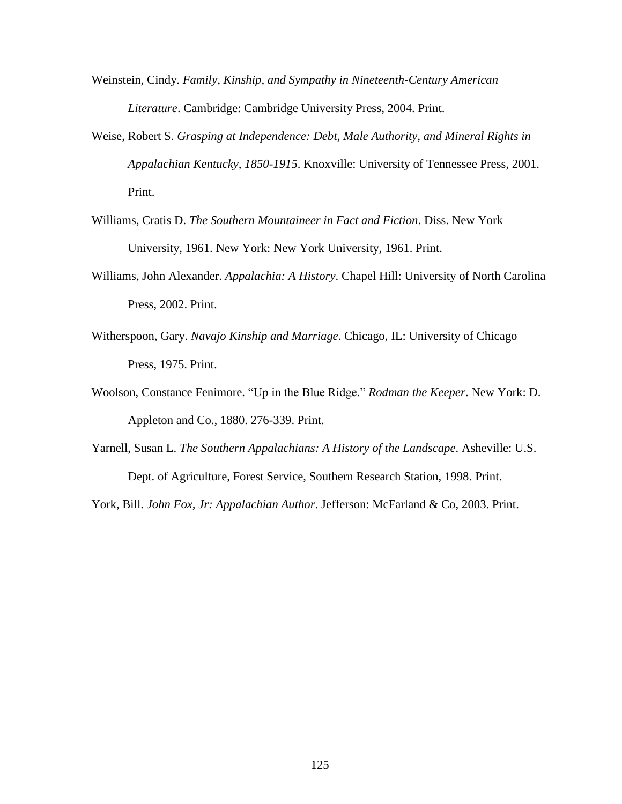- Weinstein, Cindy. *Family, Kinship, and Sympathy in Nineteenth-Century American Literature*. Cambridge: Cambridge University Press, 2004. Print.
- Weise, Robert S. *Grasping at Independence: Debt, Male Authority, and Mineral Rights in Appalachian Kentucky, 1850-1915*. Knoxville: University of Tennessee Press, 2001. Print.
- Williams, Cratis D. *The Southern Mountaineer in Fact and Fiction*. Diss. New York University, 1961. New York: New York University, 1961. Print.
- Williams, John Alexander. *Appalachia: A History*. Chapel Hill: University of North Carolina Press, 2002. Print.
- Witherspoon, Gary. *Navajo Kinship and Marriage*. Chicago, IL: University of Chicago Press, 1975. Print.
- Woolson, Constance Fenimore. "Up in the Blue Ridge." *Rodman the Keeper*. New York: D. Appleton and Co., 1880. 276-339. Print.
- Yarnell, Susan L. *The Southern Appalachians: A History of the Landscape*. Asheville: U.S. Dept. of Agriculture, Forest Service, Southern Research Station, 1998. Print.

York, Bill. *John Fox, Jr: Appalachian Author*. Jefferson: McFarland & Co, 2003. Print.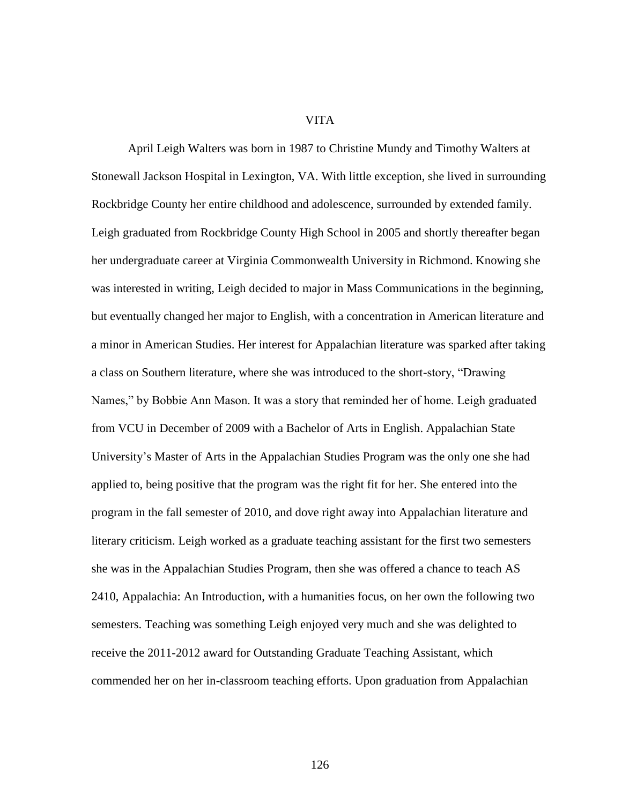## VITA

April Leigh Walters was born in 1987 to Christine Mundy and Timothy Walters at Stonewall Jackson Hospital in Lexington, VA. With little exception, she lived in surrounding Rockbridge County her entire childhood and adolescence, surrounded by extended family. Leigh graduated from Rockbridge County High School in 2005 and shortly thereafter began her undergraduate career at Virginia Commonwealth University in Richmond. Knowing she was interested in writing, Leigh decided to major in Mass Communications in the beginning, but eventually changed her major to English, with a concentration in American literature and a minor in American Studies. Her interest for Appalachian literature was sparked after taking a class on Southern literature, where she was introduced to the short-story, "Drawing Names," by Bobbie Ann Mason. It was a story that reminded her of home. Leigh graduated from VCU in December of 2009 with a Bachelor of Arts in English. Appalachian State University's Master of Arts in the Appalachian Studies Program was the only one she had applied to, being positive that the program was the right fit for her. She entered into the program in the fall semester of 2010, and dove right away into Appalachian literature and literary criticism. Leigh worked as a graduate teaching assistant for the first two semesters she was in the Appalachian Studies Program, then she was offered a chance to teach AS 2410, Appalachia: An Introduction, with a humanities focus, on her own the following two semesters. Teaching was something Leigh enjoyed very much and she was delighted to receive the 2011-2012 award for Outstanding Graduate Teaching Assistant, which commended her on her in-classroom teaching efforts. Upon graduation from Appalachian